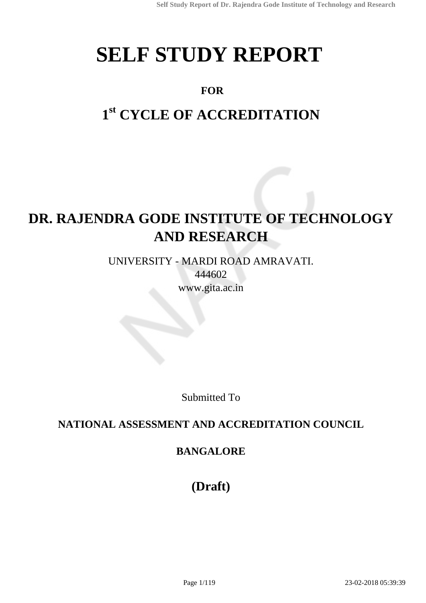# **SELF STUDY REPORT**

### **FOR**

# **1 st CYCLE OF ACCREDITATION**

# **DR. RAJENDRA GODE INSTITUTE OF TECHNOLOGY AND RESEARCH**

UNIVERSITY - MARDI ROAD AMRAVATI. 444602 www.gita.ac.in

Submitted To

### **NATIONAL ASSESSMENT AND ACCREDITATION COUNCIL**

### **BANGALORE**

**(Draft)**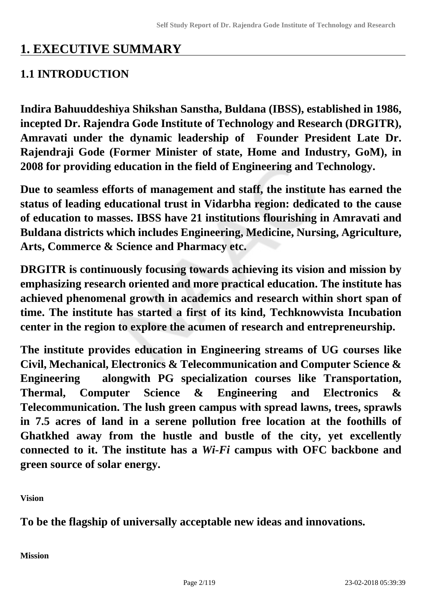# **1. EXECUTIVE SUMMARY**

### **1.1 INTRODUCTION**

**Indira Bahuuddeshiya Shikshan Sanstha, Buldana (IBSS), established in 1986, incepted Dr. Rajendra Gode Institute of Technology and Research (DRGITR), Amravati under the dynamic leadership of Founder President Late Dr. Rajendraji Gode (Former Minister of state, Home and Industry, GoM), in 2008 for providing education in the field of Engineering and Technology.**

**Due to seamless efforts of management and staff, the institute has earned the status of leading educational trust in Vidarbha region: dedicated to the cause of education to masses. IBSS have 21 institutions flourishing in Amravati and Buldana districts which includes Engineering, Medicine, Nursing, Agriculture, Arts, Commerce & Science and Pharmacy etc.**

**DRGITR is continuously focusing towards achieving its vision and mission by emphasizing research oriented and more practical education. The institute has achieved phenomenal growth in academics and research within short span of time. The institute has started a first of its kind, Techknowvista Incubation center in the region to explore the acumen of research and entrepreneurship.**

**The institute provides education in Engineering streams of UG courses like Civil, Mechanical, Electronics & Telecommunication and Computer Science & Engineering alongwith PG specialization courses like Transportation, Thermal, Computer Science & Engineering and Electronics & Telecommunication. The lush green campus with spread lawns, trees, sprawls in 7.5 acres of land in a serene pollution free location at the foothills of Ghatkhed away from the hustle and bustle of the city, yet excellently connected to it. The institute has a** *Wi-Fi* **campus with OFC backbone and green source of solar energy.**

**Vision** 

**To be the flagship of universally acceptable new ideas and innovations.**

**Mission**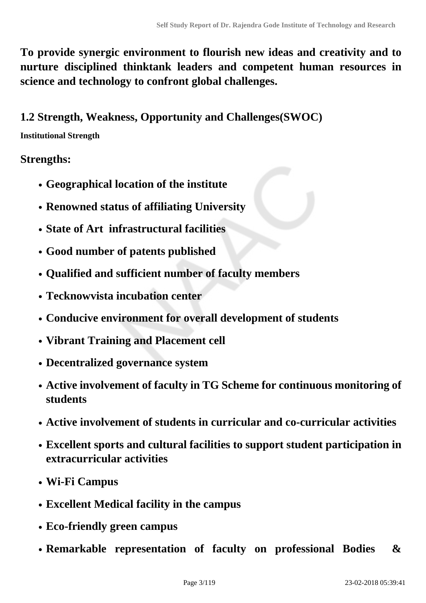**To provide synergic environment to flourish new ideas and creativity and to nurture disciplined thinktank leaders and competent human resources in science and technology to confront global challenges.**

### **1.2 Strength, Weakness, Opportunity and Challenges(SWOC)**

### **Institutional Strength**

### **Strengths:**

- **Geographical location of the institute**
- **Renowned status of affiliating University**
- **State of Art infrastructural facilities**
- **Good number of patents published**
- **Qualified and sufficient number of faculty members**
- **Tecknowvista incubation center**
- **Conducive environment for overall development of students**
- **Vibrant Training and Placement cell**
- **Decentralized governance system**
- **Active involvement of faculty in TG Scheme for continuous monitoring of students**
- **Active involvement of students in curricular and co-curricular activities**
- **Excellent sports and cultural facilities to support student participation in extracurricular activities**
- **Wi-Fi Campus**
- **Excellent Medical facility in the campus**
- **Eco-friendly green campus**
- **Remarkable representation of faculty on professional Bodies &**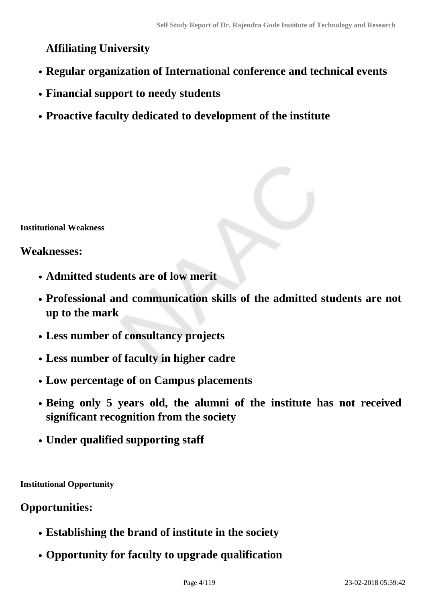### **Affiliating University**

- **Regular organization of International conference and technical events**
- **Financial support to needy students**
- **Proactive faculty dedicated to development of the institute**

**Institutional Weakness** 

### **Weaknesses:**

- **Admitted students are of low merit**
- **Professional and communication skills of the admitted students are not up to the mark**
- **Less number of consultancy projects**
- **Less number of faculty in higher cadre**
- **Low percentage of on Campus placements**
- **Being only 5 years old, the alumni of the institute has not received significant recognition from the society**
- **Under qualified supporting staff**

**Institutional Opportunity** 

### **Opportunities:**

- **Establishing the brand of institute in the society**
- **Opportunity for faculty to upgrade qualification**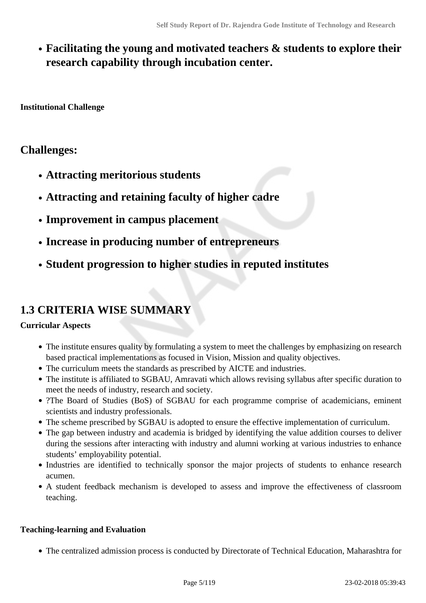### **Facilitating the young and motivated teachers & students to explore their research capability through incubation center.**

**Institutional Challenge** 

### **Challenges:**

- **Attracting meritorious students**
- **Attracting and retaining faculty of higher cadre**
- **Improvement in campus placement**
- **Increase in producing number of entrepreneurs**
- **Student progression to higher studies in reputed institutes**

### **1.3 CRITERIA WISE SUMMARY**

#### **Curricular Aspects**

- The institute ensures quality by formulating a system to meet the challenges by emphasizing on research based practical implementations as focused in Vision, Mission and quality objectives.
- The curriculum meets the standards as prescribed by AICTE and industries.
- The institute is affiliated to SGBAU, Amravati which allows revising syllabus after specific duration to meet the needs of industry, research and society.
- ?The Board of Studies (BoS) of SGBAU for each programme comprise of academicians, eminent scientists and industry professionals.
- The scheme prescribed by SGBAU is adopted to ensure the effective implementation of curriculum.
- The gap between industry and academia is bridged by identifying the value addition courses to deliver during the sessions after interacting with industry and alumni working at various industries to enhance students' employability potential.
- Industries are identified to technically sponsor the major projects of students to enhance research acumen.
- A student feedback mechanism is developed to assess and improve the effectiveness of classroom teaching.

#### **Teaching-learning and Evaluation**

The centralized admission process is conducted by Directorate of Technical Education, Maharashtra for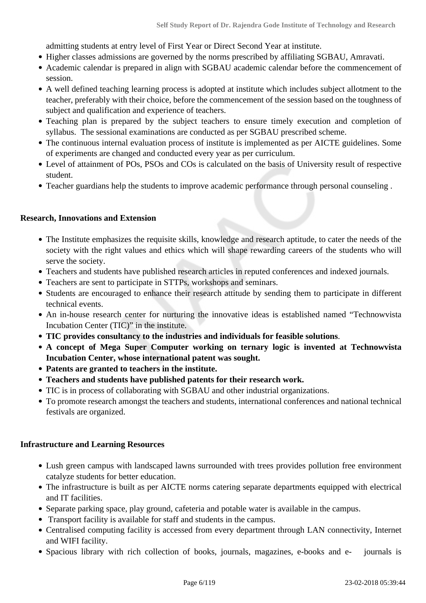admitting students at entry level of First Year or Direct Second Year at institute.

- Higher classes admissions are governed by the norms prescribed by affiliating SGBAU, Amravati.
- Academic calendar is prepared in align with SGBAU academic calendar before the commencement of session.
- A well defined teaching learning process is adopted at institute which includes subject allotment to the teacher, preferably with their choice, before the commencement of the session based on the toughness of subject and qualification and experience of teachers.
- Teaching plan is prepared by the subject teachers to ensure timely execution and completion of syllabus. The sessional examinations are conducted as per SGBAU prescribed scheme.
- The continuous internal evaluation process of institute is implemented as per AICTE guidelines. Some of experiments are changed and conducted every year as per curriculum.
- Level of attainment of POs, PSOs and COs is calculated on the basis of University result of respective student.
- Teacher guardians help the students to improve academic performance through personal counseling .

#### **Research, Innovations and Extension**

- The Institute emphasizes the requisite skills, knowledge and research aptitude, to cater the needs of the society with the right values and ethics which will shape rewarding careers of the students who will serve the society.
- Teachers and students have published research articles in reputed conferences and indexed journals.
- Teachers are sent to participate in STTPs, workshops and seminars.
- Students are encouraged to enhance their research attitude by sending them to participate in different technical events.
- An in-house research center for nurturing the innovative ideas is established named "Technowvista Incubation Center (TIC)" in the institute.
- **TIC provides consultancy to the industries and individuals for feasible solutions**.
- **A concept of Mega Super Computer working on ternary logic is invented at Technowvista Incubation Center, whose international patent was sought.**
- **Patents are granted to teachers in the institute.**
- **Teachers and students have published patents for their research work.**
- TIC is in process of collaborating with SGBAU and other industrial organizations.
- To promote research amongst the teachers and students, international conferences and national technical festivals are organized.

#### **Infrastructure and Learning Resources**

- Lush green campus with landscaped lawns surrounded with trees provides pollution free environment catalyze students for better education.
- The infrastructure is built as per AICTE norms catering separate departments equipped with electrical and IT facilities.
- Separate parking space, play ground, cafeteria and potable water is available in the campus.
- Transport facility is available for staff and students in the campus.
- Centralised computing facility is accessed from every department through LAN connectivity, Internet and WIFI facility.
- Spacious library with rich collection of books, journals, magazines, e-books and e- journals is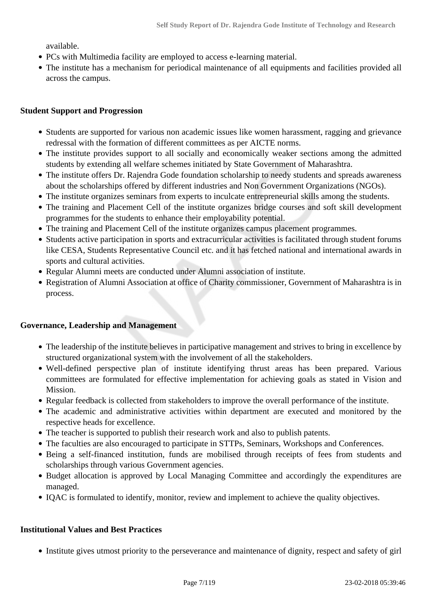available.

- PCs with Multimedia facility are employed to access e-learning material.
- The institute has a mechanism for periodical maintenance of all equipments and facilities provided all across the campus.

#### **Student Support and Progression**

- Students are supported for various non academic issues like women harassment, ragging and grievance redressal with the formation of different committees as per AICTE norms.
- The institute provides support to all socially and economically weaker sections among the admitted students by extending all welfare schemes initiated by State Government of Maharashtra.
- The institute offers Dr. Rajendra Gode foundation scholarship to needy students and spreads awareness about the scholarships offered by different industries and Non Government Organizations (NGOs).
- The institute organizes seminars from experts to inculcate entrepreneurial skills among the students.
- The training and Placement Cell of the institute organizes bridge courses and soft skill development programmes for the students to enhance their employability potential.
- The training and Placement Cell of the institute organizes campus placement programmes.
- Students active participation in sports and extracurricular activities is facilitated through student forums like CESA, Students Representative Council etc. and it has fetched national and international awards in sports and cultural activities.
- Regular Alumni meets are conducted under Alumni association of institute.
- Registration of Alumni Association at office of Charity commissioner, Government of Maharashtra is in process.

#### **Governance, Leadership and Management**

- The leadership of the institute believes in participative management and strives to bring in excellence by structured organizational system with the involvement of all the stakeholders.
- Well-defined perspective plan of institute identifying thrust areas has been prepared. Various committees are formulated for effective implementation for achieving goals as stated in Vision and Mission.
- Regular feedback is collected from stakeholders to improve the overall performance of the institute.
- The academic and administrative activities within department are executed and monitored by the respective heads for excellence.
- The teacher is supported to publish their research work and also to publish patents.
- The faculties are also encouraged to participate in STTPs, Seminars, Workshops and Conferences.
- Being a self-financed institution, funds are mobilised through receipts of fees from students and scholarships through various Government agencies.
- Budget allocation is approved by Local Managing Committee and accordingly the expenditures are managed.
- IQAC is formulated to identify, monitor, review and implement to achieve the quality objectives.

#### **Institutional Values and Best Practices**

• Institute gives utmost priority to the perseverance and maintenance of dignity, respect and safety of girl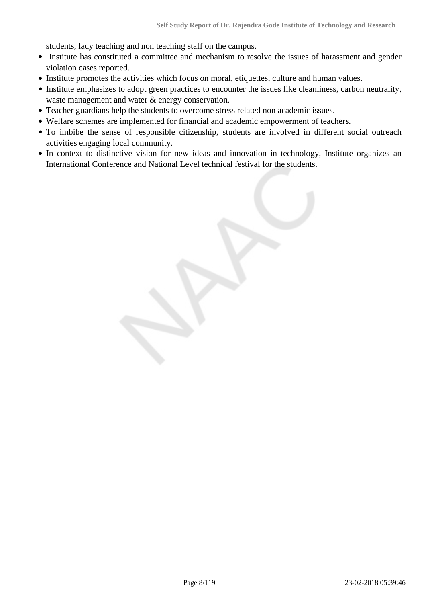students, lady teaching and non teaching staff on the campus.

- Institute has constituted a committee and mechanism to resolve the issues of harassment and gender violation cases reported.
- Institute promotes the activities which focus on moral, etiquettes, culture and human values.
- Institute emphasizes to adopt green practices to encounter the issues like cleanliness, carbon neutrality, waste management and water & energy conservation.
- Teacher guardians help the students to overcome stress related non academic issues.
- Welfare schemes are implemented for financial and academic empowerment of teachers.
- To imbibe the sense of responsible citizenship, students are involved in different social outreach activities engaging local community.
- In context to distinctive vision for new ideas and innovation in technology, Institute organizes an International Conference and National Level technical festival for the students.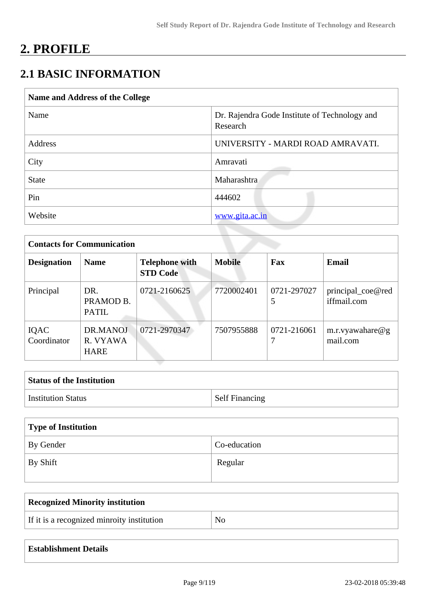# **2. PROFILE**

### **2.1 BASIC INFORMATION**

| Name and Address of the College |                                                           |
|---------------------------------|-----------------------------------------------------------|
| Name                            | Dr. Rajendra Gode Institute of Technology and<br>Research |
| Address                         | UNIVERSITY - MARDI ROAD AMRAVATI.                         |
| City                            | Amravati                                                  |
| <b>State</b>                    | Maharashtra                                               |
| Pin                             | 444602                                                    |
| Website                         | www.gita.ac.in                                            |

| <b>Contacts for Communication</b> |                                     |                                          |               |                  |                                  |  |  |  |
|-----------------------------------|-------------------------------------|------------------------------------------|---------------|------------------|----------------------------------|--|--|--|
| <b>Designation</b>                | <b>Name</b>                         | <b>Telephone with</b><br><b>STD Code</b> | <b>Mobile</b> | Fax              | <b>Email</b>                     |  |  |  |
| Principal                         | DR.<br>PRAMOD B.<br><b>PATIL</b>    | 0721-2160625                             | 7720002401    | 0721-297027<br>5 | principal_coe@red<br>iffmail.com |  |  |  |
| IQAC<br>Coordinator               | DR.MANOJ<br>R. VYAWA<br><b>HARE</b> | 0721-2970347                             | 7507955888    | 0721-216061      | m.r.vyawahare $@g$<br>mail.com   |  |  |  |

| <b>Status of the Institution</b> |                       |
|----------------------------------|-----------------------|
| <b>Institution Status</b>        | <b>Self Financing</b> |

| Type of Institution |              |
|---------------------|--------------|
| By Gender           | Co-education |
| By Shift            | Regular      |

| Recognized Minority institution            |                |
|--------------------------------------------|----------------|
| If it is a recognized minroity institution | N <sub>o</sub> |

| <b>Establishment Details</b> |  |  |  |  |  |
|------------------------------|--|--|--|--|--|
|------------------------------|--|--|--|--|--|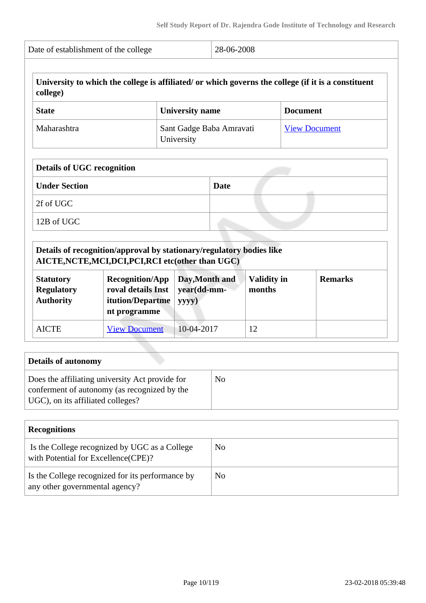|                                                           | Date of establishment of the college                                                                                        | 28-06-2008                             |                              |                                                                                                     |  |  |
|-----------------------------------------------------------|-----------------------------------------------------------------------------------------------------------------------------|----------------------------------------|------------------------------|-----------------------------------------------------------------------------------------------------|--|--|
| college)                                                  |                                                                                                                             |                                        |                              | University to which the college is affiliated/ or which governs the college (if it is a constituent |  |  |
| <b>State</b>                                              |                                                                                                                             | <b>University name</b>                 |                              | <b>Document</b>                                                                                     |  |  |
| Maharashtra                                               |                                                                                                                             | Sant Gadge Baba Amravati<br>University | <b>View Document</b>         |                                                                                                     |  |  |
| <b>Details of UGC recognition</b>                         |                                                                                                                             |                                        |                              |                                                                                                     |  |  |
| <b>Under Section</b>                                      |                                                                                                                             | <b>Date</b>                            |                              |                                                                                                     |  |  |
| 2f of UGC                                                 |                                                                                                                             |                                        |                              |                                                                                                     |  |  |
| 12B of UGC                                                |                                                                                                                             |                                        |                              |                                                                                                     |  |  |
|                                                           | Details of recognition/approval by stationary/regulatory bodies like<br>AICTE, NCTE, MCI, DCI, PCI, RCI etc(other than UGC) |                                        |                              |                                                                                                     |  |  |
| <b>Statutory</b><br><b>Regulatory</b><br><b>Authority</b> | <b>Recognition/App</b><br>roval details Inst<br>itution/Departme<br>nt programme                                            | Day, Month and<br>year(dd-mm-<br>yyyy) | <b>Validity in</b><br>months | <b>Remarks</b>                                                                                      |  |  |
|                                                           | <b>View Document</b>                                                                                                        | 10-04-2017                             | 12                           |                                                                                                     |  |  |

| Details of autonomy                                                                                                                  |    |
|--------------------------------------------------------------------------------------------------------------------------------------|----|
| Does the affiliating university Act provide for<br>conferment of autonomy (as recognized by the<br>UGC), on its affiliated colleges? | No |

| <b>Recognitions</b>                                                                  |     |
|--------------------------------------------------------------------------------------|-----|
| Is the College recognized by UGC as a College<br>with Potential for Excellence(CPE)? | No. |
| Is the College recognized for its performance by<br>any other governmental agency?   | No. |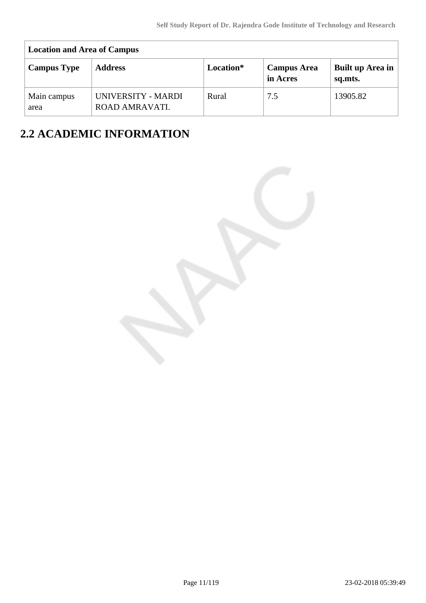| <b>Location and Area of Campus</b> |                                      |           |                                |                             |  |  |  |  |  |
|------------------------------------|--------------------------------------|-----------|--------------------------------|-----------------------------|--|--|--|--|--|
| <b>Campus Type</b>                 | <b>Address</b>                       | Location* | <b>Campus Area</b><br>in Acres | Built up Area in<br>sq.mts. |  |  |  |  |  |
| Main campus<br>area                | UNIVERSITY - MARDI<br>ROAD AMRAVATI. | Rural     | 7.5                            | 13905.82                    |  |  |  |  |  |

# **2.2 ACADEMIC INFORMATION**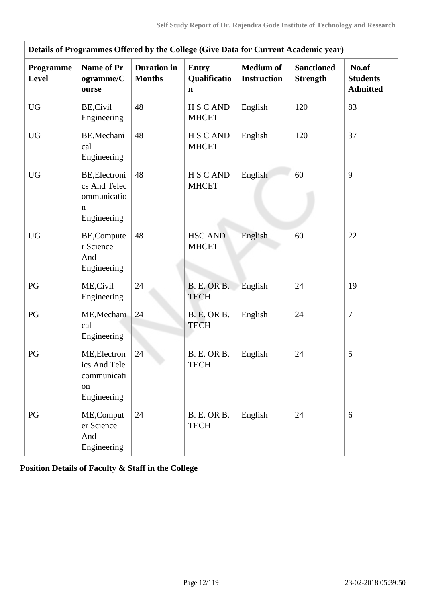| Details of Programmes Offered by the College (Give Data for Current Academic year) |                                                                  |                                     |                                   |                                        |                                      |                                             |  |  |  |
|------------------------------------------------------------------------------------|------------------------------------------------------------------|-------------------------------------|-----------------------------------|----------------------------------------|--------------------------------------|---------------------------------------------|--|--|--|
| Programme<br><b>Level</b>                                                          | <b>Name of Pr</b><br>ogramme/C<br>ourse                          | <b>Duration</b> in<br><b>Months</b> | <b>Entry</b><br>Qualificatio<br>n | <b>Medium of</b><br><b>Instruction</b> | <b>Sanctioned</b><br><b>Strength</b> | No.of<br><b>Students</b><br><b>Admitted</b> |  |  |  |
| <b>UG</b>                                                                          | BE, Civil<br>Engineering                                         | 48                                  | H S C AND<br><b>MHCET</b>         | English                                | 120                                  | 83                                          |  |  |  |
| <b>UG</b>                                                                          | BE, Mechani<br>cal<br>Engineering                                | 48                                  | <b>HSCAND</b><br><b>MHCET</b>     | English                                | 120                                  | 37                                          |  |  |  |
| <b>UG</b>                                                                          | BE, Electroni<br>cs And Telec<br>ommunicatio<br>n<br>Engineering | 48                                  | H S C AND<br><b>MHCET</b>         | English                                | 60                                   | 9                                           |  |  |  |
| <b>UG</b>                                                                          | BE,Compute<br>r Science<br>And<br>Engineering                    | 48                                  | <b>HSC AND</b><br><b>MHCET</b>    | English                                | 60                                   | 22                                          |  |  |  |
| PG                                                                                 | ME, Civil<br>Engineering                                         | 24                                  | <b>B. E. OR B.</b><br><b>TECH</b> | English                                | 24                                   | 19                                          |  |  |  |
| PG                                                                                 | ME, Mechani<br>cal<br>Engineering                                | 24                                  | <b>B. E. OR B.</b><br><b>TECH</b> | English                                | 24                                   | $\overline{7}$                              |  |  |  |
| PG                                                                                 | ME, Electron<br>ics And Tele<br>communicati<br>on<br>Engineering | 24                                  | B. E. OR B.<br>TECH               | English                                | 24                                   | 5                                           |  |  |  |
| PG                                                                                 | ME, Comput<br>er Science<br>And<br>Engineering                   | 24                                  | <b>B. E. OR B.</b><br><b>TECH</b> | English                                | 24                                   | 6                                           |  |  |  |

**Position Details of Faculty & Staff in the College**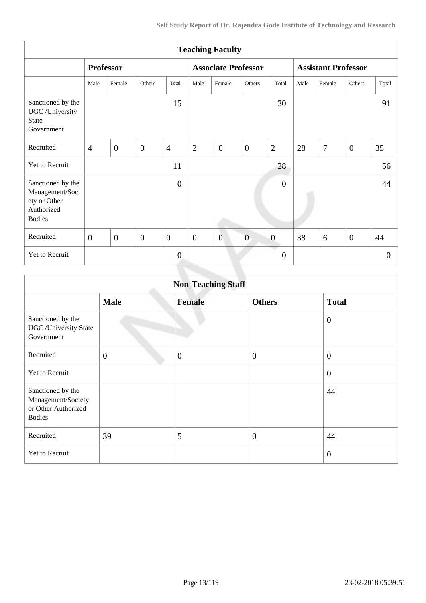| <b>Teaching Faculty</b>                                                             |                  |                |                |                |                  |                            |                |                  |                            |        |                |                |
|-------------------------------------------------------------------------------------|------------------|----------------|----------------|----------------|------------------|----------------------------|----------------|------------------|----------------------------|--------|----------------|----------------|
|                                                                                     | <b>Professor</b> |                |                |                |                  | <b>Associate Professor</b> |                |                  | <b>Assistant Professor</b> |        |                |                |
|                                                                                     | Male             | Female         | Others         | Total          | Male             | Female                     | Others         | Total            | Male                       | Female | Others         | Total          |
| Sanctioned by the<br>UGC /University<br><b>State</b><br>Government                  |                  |                |                | 15             |                  |                            |                | 30               |                            |        |                | 91             |
| Recruited                                                                           | $\overline{4}$   | $\overline{0}$ | $\overline{0}$ | $\overline{4}$ | $\overline{2}$   | $\overline{0}$             | $\overline{0}$ | $\overline{2}$   | 28                         | $\tau$ | $\overline{0}$ | 35             |
| Yet to Recruit                                                                      |                  |                |                | 11             |                  |                            |                | 28               |                            |        |                | 56             |
| Sanctioned by the<br>Management/Soci<br>ety or Other<br>Authorized<br><b>Bodies</b> |                  |                |                | $\overline{0}$ |                  |                            |                | $\overline{0}$   |                            |        |                | 44             |
| Recruited                                                                           | $\overline{0}$   | $\overline{0}$ | $\overline{0}$ | $\overline{0}$ | $\boldsymbol{0}$ | $\overline{0}$             | $\overline{0}$ | $\boldsymbol{0}$ | 38                         | 6      | $\overline{0}$ | 44             |
| Yet to Recruit                                                                      |                  |                |                | $\overline{0}$ |                  |                            |                | $\overline{0}$   |                            |        |                | $\overline{0}$ |
|                                                                                     |                  |                |                |                |                  |                            |                |                  |                            |        |                |                |

| <b>Non-Teaching Staff</b>                                                       |                |               |                  |                |  |  |  |
|---------------------------------------------------------------------------------|----------------|---------------|------------------|----------------|--|--|--|
|                                                                                 | <b>Male</b>    | <b>Female</b> | <b>Others</b>    | <b>Total</b>   |  |  |  |
| Sanctioned by the<br><b>UGC</b> / University State<br>Government                |                |               |                  | $\theta$       |  |  |  |
| Recruited                                                                       | $\overline{0}$ | $\theta$      | $\boldsymbol{0}$ | $\theta$       |  |  |  |
| Yet to Recruit                                                                  |                |               |                  | $\overline{0}$ |  |  |  |
| Sanctioned by the<br>Management/Society<br>or Other Authorized<br><b>Bodies</b> |                |               |                  | 44             |  |  |  |
| Recruited                                                                       | 39             | 5             | $\overline{0}$   | 44             |  |  |  |
| Yet to Recruit                                                                  |                |               |                  | $\overline{0}$ |  |  |  |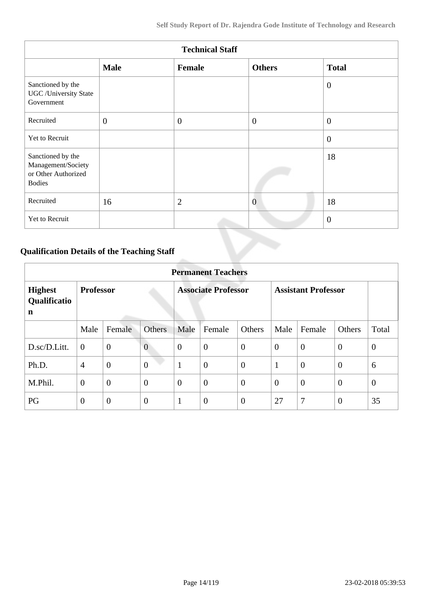| <b>Technical Staff</b>                                                          |                |                  |                |                |  |  |  |
|---------------------------------------------------------------------------------|----------------|------------------|----------------|----------------|--|--|--|
|                                                                                 | <b>Male</b>    | Female           | <b>Others</b>  | <b>Total</b>   |  |  |  |
| Sanctioned by the<br><b>UGC</b> /University State<br>Government                 |                |                  |                | $\overline{0}$ |  |  |  |
| Recruited                                                                       | $\overline{0}$ | $\boldsymbol{0}$ | $\overline{0}$ | $\theta$       |  |  |  |
| Yet to Recruit                                                                  |                |                  |                | $\theta$       |  |  |  |
| Sanctioned by the<br>Management/Society<br>or Other Authorized<br><b>Bodies</b> |                |                  |                | 18             |  |  |  |
| Recruited                                                                       | 16             | $\overline{2}$   | $\overline{0}$ | 18             |  |  |  |
| Yet to Recruit                                                                  |                |                  |                | $\overline{0}$ |  |  |  |

### **Qualification Details of the Teaching Staff**

|                                     | <b>Permanent Teachers</b> |                  |                            |                |                            |                  |                |                |                |          |
|-------------------------------------|---------------------------|------------------|----------------------------|----------------|----------------------------|------------------|----------------|----------------|----------------|----------|
| <b>Highest</b><br>Qualificatio<br>n | <b>Professor</b>          |                  | <b>Associate Professor</b> |                | <b>Assistant Professor</b> |                  |                |                |                |          |
|                                     | Male                      | Female           | <b>Others</b>              | Male           | Female                     | Others           | Male           | Female         | Others         | Total    |
| D.sc/D.Litt.                        | $\overline{0}$            | $\boldsymbol{0}$ | $\overline{0}$             | $\theta$       | $\overline{0}$             | $\overline{0}$   | $\overline{0}$ | $\theta$       | $\overline{0}$ | $\theta$ |
| Ph.D.                               | $\overline{4}$            | $\overline{0}$   | $\overline{0}$             | -1             | $\overline{0}$             | $\boldsymbol{0}$ |                | $\overline{0}$ | $\overline{0}$ | 6        |
| M.Phil.                             | $\mathbf{0}$              | $\overline{0}$   | $\overline{0}$             | $\overline{0}$ | $\overline{0}$             | $\overline{0}$   | $\overline{0}$ | $\overline{0}$ | $\overline{0}$ | $\theta$ |
| PG                                  | $\theta$                  | $\mathbf{0}$     | $\theta$                   | 1              | $\overline{0}$             | $\boldsymbol{0}$ | 27             | 7              | $\theta$       | 35       |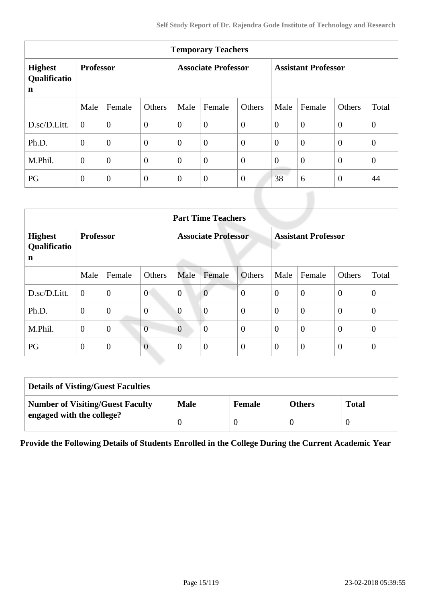| <b>Temporary Teachers</b>           |                  |                |                            |                |                            |                |                |                |                |                |
|-------------------------------------|------------------|----------------|----------------------------|----------------|----------------------------|----------------|----------------|----------------|----------------|----------------|
| <b>Highest</b><br>Qualificatio<br>n | <b>Professor</b> |                | <b>Associate Professor</b> |                | <b>Assistant Professor</b> |                |                |                |                |                |
|                                     | Male             | Female         | Others                     | Male           | Female                     | Others         | Male           | Female         | Others         | Total          |
| D.sc/D.Litt.                        | $\overline{0}$   | $\overline{0}$ | $\overline{0}$             | $\overline{0}$ | $\overline{0}$             | $\overline{0}$ | $\overline{0}$ | $\overline{0}$ | $\overline{0}$ | $\theta$       |
| Ph.D.                               | $\overline{0}$   | $\overline{0}$ | $\overline{0}$             | $\mathbf{0}$   | $\theta$                   | $\overline{0}$ | $\overline{0}$ | $\overline{0}$ | $\overline{0}$ | $\overline{0}$ |
| M.Phil.                             | $\overline{0}$   | $\overline{0}$ | $\overline{0}$             | $\overline{0}$ | $\overline{0}$             | $\overline{0}$ | $\overline{0}$ | $\overline{0}$ | $\overline{0}$ | $\theta$       |
| PG                                  | $\overline{0}$   | $\overline{0}$ | $\overline{0}$             | $\mathbf{0}$   | $\overline{0}$             | $\overline{0}$ | 38             | 6              | $\theta$       | 44             |

| <b>Part Time Teachers</b>           |                  |                  |                            |                |                            |                  |                |                |                  |                |
|-------------------------------------|------------------|------------------|----------------------------|----------------|----------------------------|------------------|----------------|----------------|------------------|----------------|
| <b>Highest</b><br>Qualificatio<br>n | <b>Professor</b> |                  | <b>Associate Professor</b> |                | <b>Assistant Professor</b> |                  |                |                |                  |                |
|                                     | Male             | Female           | Others                     | Male           | Female                     | Others           | Male           | Female         | Others           | Total          |
| D.sc/D.Litt.                        | $\overline{0}$   | $\overline{0}$   | $\overline{0}$             | $\overline{0}$ | $\overline{0}$             | $\overline{0}$   | $\theta$       | $\overline{0}$ | $\theta$         | $\overline{0}$ |
| Ph.D.                               | $\mathbf{0}$     | $\boldsymbol{0}$ | $\overline{0}$             | $\overline{0}$ | $\overline{0}$             | $\overline{0}$   | $\overline{0}$ | $\overline{0}$ | $\overline{0}$   | $\theta$       |
| M.Phil.                             | $\theta$         | $\overline{0}$   | $\overline{0}$             | $\overline{0}$ | $\overline{0}$             | $\boldsymbol{0}$ | $\theta$       | $\overline{0}$ | $\boldsymbol{0}$ | $\overline{0}$ |
| PG                                  | $\overline{0}$   | $\overline{0}$   | $\overline{0}$             | $\overline{0}$ | $\overline{0}$             | $\boldsymbol{0}$ | $\overline{0}$ | $\overline{0}$ | $\boldsymbol{0}$ | $\theta$       |

| <b>Details of Visting/Guest Faculties</b> |             |               |               |              |  |  |
|-------------------------------------------|-------------|---------------|---------------|--------------|--|--|
| <b>Number of Visiting/Guest Faculty</b>   | <b>Male</b> | <b>Female</b> | <b>Others</b> | <b>Total</b> |  |  |
| engaged with the college?                 |             |               |               |              |  |  |

**Provide the Following Details of Students Enrolled in the College During the Current Academic Year**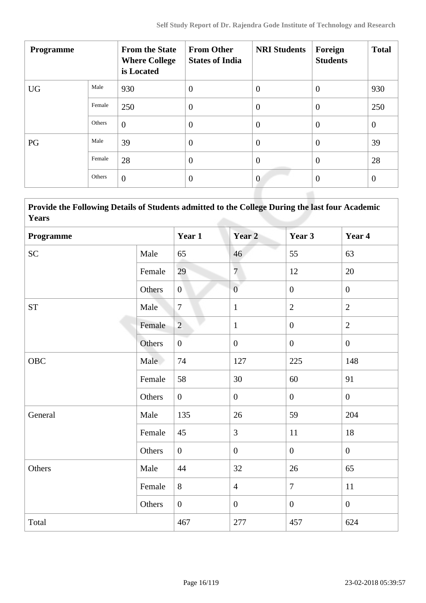| <b>Programme</b> |        | <b>From the State</b><br><b>Where College</b><br>is Located | <b>From Other</b><br><b>States of India</b> | <b>NRI Students</b> | Foreign<br><b>Students</b> | <b>Total</b>   |
|------------------|--------|-------------------------------------------------------------|---------------------------------------------|---------------------|----------------------------|----------------|
| <b>UG</b>        | Male   | 930                                                         | $\overline{0}$                              | $\overline{0}$      | $\overline{0}$             | 930            |
|                  | Female | 250                                                         | $\overline{0}$                              | $\overline{0}$      | $\overline{0}$             | 250            |
|                  | Others | $\overline{0}$                                              | $\overline{0}$                              | $\overline{0}$      | $\overline{0}$             | $\overline{0}$ |
| PG               | Male   | 39                                                          | $\overline{0}$                              | $\theta$            | $\overline{0}$             | 39             |
|                  | Female | 28                                                          | $\overline{0}$                              | $\overline{0}$      | $\overline{0}$             | 28             |
|                  | Others | $\overline{0}$                                              | $\overline{0}$                              | $\mathbf{0}$        | $\overline{0}$             | $\overline{0}$ |
|                  |        |                                                             |                                             |                     |                            |                |

 **Provide the Following Details of Students admitted to the College During the last four Academic Years**

| Programme           |        | Year 1           | Year <sub>2</sub> | Year 3         | Year 4           |
|---------------------|--------|------------------|-------------------|----------------|------------------|
| SC                  | Male   | 65               | 46                | 55             | 63               |
|                     | Female | 29               | $\overline{7}$    | 12             | 20               |
|                     | Others | $\overline{0}$   | $\overline{0}$    | $\overline{0}$ | $\mathbf{0}$     |
| $\operatorname{ST}$ | Male   | $\tau$           | $\mathbf{1}$      | $\overline{2}$ | $\overline{2}$   |
|                     | Female | $\overline{2}$   | $\mathbf{1}$      | $\mathbf{0}$   | $\overline{2}$   |
|                     | Others | $\boldsymbol{0}$ | $\boldsymbol{0}$  | $\overline{0}$ | $\mathbf{0}$     |
| OBC                 | Male   | 74               | 127               | 225            | 148              |
|                     | Female | 58               | 30                | 60             | 91               |
|                     | Others | $\overline{0}$   | $\boldsymbol{0}$  | $\overline{0}$ | $\boldsymbol{0}$ |
| General             | Male   | 135              | 26                | 59             | 204              |
|                     | Female | 45               | $\overline{3}$    | 11             | 18               |
|                     | Others | $\overline{0}$   | $\overline{0}$    | $\overline{0}$ | $\overline{0}$   |
| Others              | Male   | 44               | 32                | 26             | 65               |
|                     | Female | 8                | $\overline{4}$    | $\overline{7}$ | 11               |
|                     | Others | $\overline{0}$   | $\overline{0}$    | $\overline{0}$ | $\mathbf{0}$     |
| Total               |        | 467              | 277               | 457            | 624              |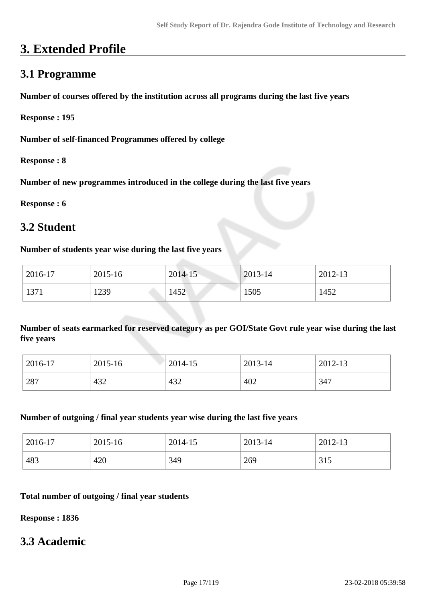# **3. Extended Profile**

### **3.1 Programme**

**Number of courses offered by the institution across all programs during the last five years**

**Response : 195**

**Number of self-financed Programmes offered by college**

**Response : 8**

**Number of new programmes introduced in the college during the last five years**

**Response : 6**

### **3.2 Student**

#### **Number of students year wise during the last five years**

| 2016-17 | 2015-16 | 2014-15 | $2013 - 14$ | 2012-13 |
|---------|---------|---------|-------------|---------|
| 1371    | 1239    | 1452    | 1505        | 1452    |

**Number of seats earmarked for reserved category as per GOI/State Govt rule year wise during the last five years**

| 2016-17 | 2015-16 | 2014-15 | 2013-14 | 2012-13 |
|---------|---------|---------|---------|---------|
| 287     | 432     | 432     | 402     | 347     |

#### **Number of outgoing / final year students year wise during the last five years**

| 2016-17 | 2015-16 | 2014-15 | 2013-14 | 2012-13 |
|---------|---------|---------|---------|---------|
| 483     | 420     | 349     | 269     | 315     |

#### **Total number of outgoing / final year students**

**Response : 1836**

#### **3.3 Academic**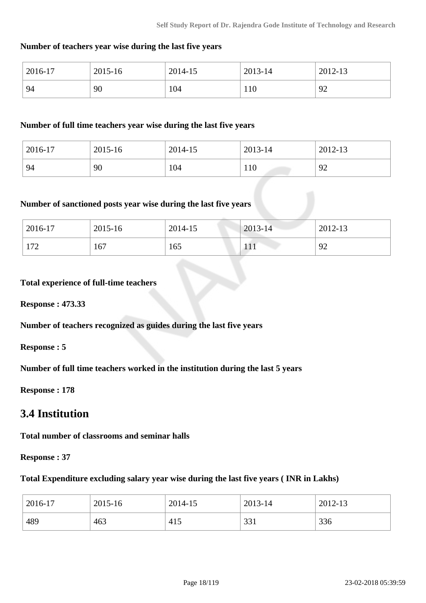#### **Number of teachers year wise during the last five years**

| 2016-17 | 2015-16 | 2014-15 | 2013-14 | 2012-13 |
|---------|---------|---------|---------|---------|
| 94      | 90      | 104     | 110     | 92      |

#### **Number of full time teachers year wise during the last five years**

| 2016-17 | 2015-16 | 2014-15 | 2013-14 | 2012-13 |
|---------|---------|---------|---------|---------|
| 94      | 90      | 104     | 110     | 92      |

#### **Number of sanctioned posts year wise during the last five years**

| 2016-17 | 2015-16 | 2014-15 | 2013-14 | 2012-13 |
|---------|---------|---------|---------|---------|
| 172     | 167     | 165     | 111     | 92      |

#### **Total experience of full-time teachers**

**Response : 473.33**

**Number of teachers recognized as guides during the last five years**

**Response : 5**

**Number of full time teachers worked in the institution during the last 5 years**

**Response : 178**

### **3.4 Institution**

**Total number of classrooms and seminar halls**

**Response : 37**

#### **Total Expenditure excluding salary year wise during the last five years ( INR in Lakhs)**

| 2016-17 | 2015-16 | 2014-15 | 2013-14 | 2012-13 |
|---------|---------|---------|---------|---------|
| 489     | 463     | 415     | 331     | 336     |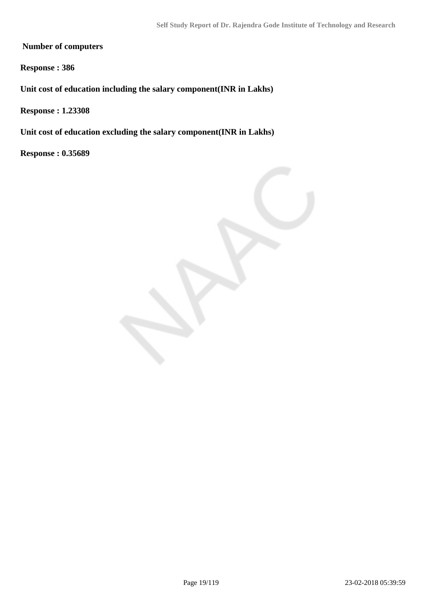**Number of computers**

**Response : 386**

**Unit cost of education including the salary component(INR in Lakhs)**

**Response : 1.23308**

**Unit cost of education excluding the salary component(INR in Lakhs)**

**Response : 0.35689**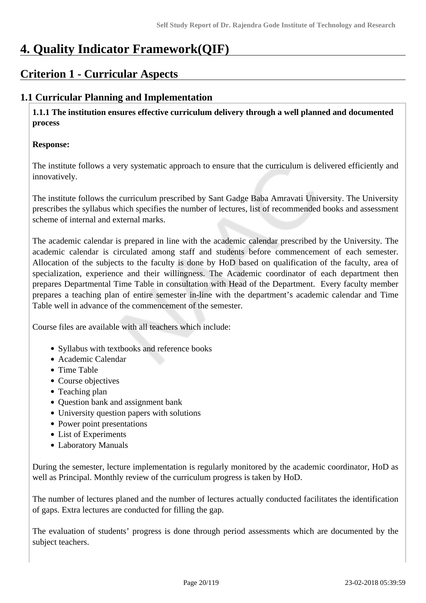# **4. Quality Indicator Framework(QIF)**

### **Criterion 1 - Curricular Aspects**

### **1.1 Curricular Planning and Implementation**

 **1.1.1 The institution ensures effective curriculum delivery through a well planned and documented process** 

#### **Response:**

The institute follows a very systematic approach to ensure that the curriculum is delivered efficiently and innovatively.

The institute follows the curriculum prescribed by Sant Gadge Baba Amravati University. The University prescribes the syllabus which specifies the number of lectures, list of recommended books and assessment scheme of internal and external marks.

The academic calendar is prepared in line with the academic calendar prescribed by the University. The academic calendar is circulated among staff and students before commencement of each semester. Allocation of the subjects to the faculty is done by HoD based on qualification of the faculty, area of specialization, experience and their willingness. The Academic coordinator of each department then prepares Departmental Time Table in consultation with Head of the Department. Every faculty member prepares a teaching plan of entire semester in-line with the department's academic calendar and Time Table well in advance of the commencement of the semester.

Course files are available with all teachers which include:

- Syllabus with textbooks and reference books
- Academic Calendar
- Time Table
- Course objectives
- Teaching plan
- Question bank and assignment bank
- University question papers with solutions
- Power point presentations
- List of Experiments
- Laboratory Manuals

During the semester, lecture implementation is regularly monitored by the academic coordinator, HoD as well as Principal. Monthly review of the curriculum progress is taken by HoD.

The number of lectures planed and the number of lectures actually conducted facilitates the identification of gaps. Extra lectures are conducted for filling the gap.

The evaluation of students' progress is done through period assessments which are documented by the subject teachers.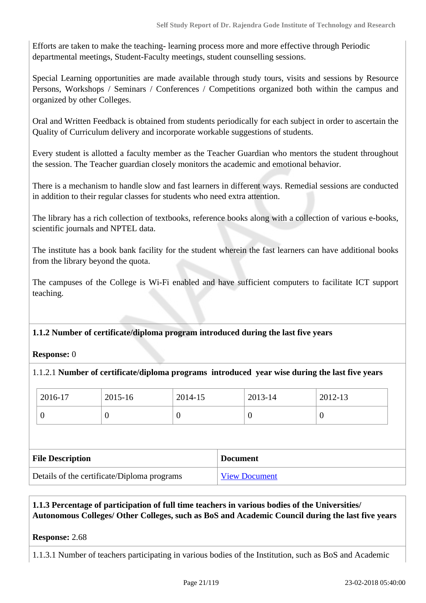Efforts are taken to make the teaching- learning process more and more effective through Periodic departmental meetings, Student-Faculty meetings, student counselling sessions.

Special Learning opportunities are made available through study tours, visits and sessions by Resource Persons, Workshops / Seminars / Conferences / Competitions organized both within the campus and organized by other Colleges.

Oral and Written Feedback is obtained from students periodically for each subject in order to ascertain the Quality of Curriculum delivery and incorporate workable suggestions of students.

Every student is allotted a faculty member as the Teacher Guardian who mentors the student throughout the session. The Teacher guardian closely monitors the academic and emotional behavior.

There is a mechanism to handle slow and fast learners in different ways. Remedial sessions are conducted in addition to their regular classes for students who need extra attention.

The library has a rich collection of textbooks, reference books along with a collection of various e-books, scientific journals and NPTEL data.

The institute has a book bank facility for the student wherein the fast learners can have additional books from the library beyond the quota.

The campuses of the College is Wi-Fi enabled and have sufficient computers to facilitate ICT support teaching.

**1.1.2 Number of certificate/diploma program introduced during the last five years**

**Response:** 0

1.1.2.1 **Number of certificate/diploma programs introduced year wise during the last five years**

| 2016-17                 | 2015-16  | 2014-15 |                 | 2013-14  |                  | 2012-13 |
|-------------------------|----------|---------|-----------------|----------|------------------|---------|
| 0                       | $\theta$ | 0       |                 | $\theta$ | $\boldsymbol{0}$ |         |
|                         |          |         |                 |          |                  |         |
|                         |          |         |                 |          |                  |         |
| <b>File Description</b> |          |         | <b>Document</b> |          |                  |         |

#### **1.1.3 Percentage of participation of full time teachers in various bodies of the Universities/ Autonomous Colleges/ Other Colleges, such as BoS and Academic Council during the last five years**

#### **Response:** 2.68

1.1.3.1 Number of teachers participating in various bodies of the Institution, such as BoS and Academic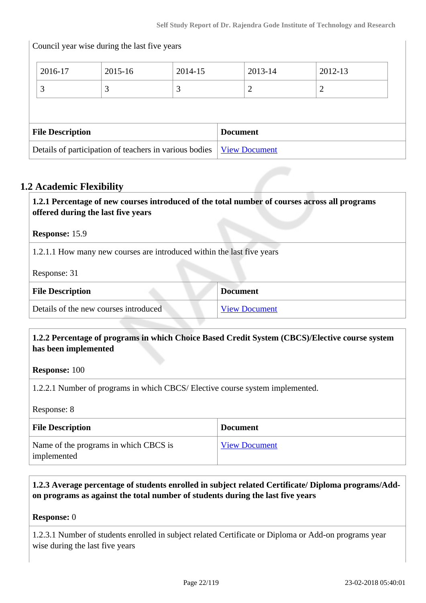|                                                        | Council year wise during the last five years |         |  |                      |         |  |
|--------------------------------------------------------|----------------------------------------------|---------|--|----------------------|---------|--|
| 2016-17                                                | 2015-16                                      | 2014-15 |  | 2013-14              | 2012-13 |  |
| 3                                                      | 3                                            | 3       |  | 2                    | 2       |  |
|                                                        |                                              |         |  |                      |         |  |
| <b>File Description</b><br><b>Document</b>             |                                              |         |  |                      |         |  |
| Details of participation of teachers in various bodies |                                              |         |  | <b>View Document</b> |         |  |

#### **1.2 Academic Flexibility**

| offered during the last five years                                     | 1.2.1 Percentage of new courses introduced of the total number of courses across all programs |
|------------------------------------------------------------------------|-----------------------------------------------------------------------------------------------|
| <b>Response: 15.9</b>                                                  |                                                                                               |
| 1.2.1.1 How many new courses are introduced within the last five years |                                                                                               |
| Response: 31                                                           |                                                                                               |
| <b>File Description</b>                                                | <b>Document</b>                                                                               |
| Details of the new courses introduced                                  | <b>View Document</b>                                                                          |

#### **1.2.2 Percentage of programs in which Choice Based Credit System (CBCS)/Elective course system has been implemented**

**Response:** 100

1.2.2.1 Number of programs in which CBCS/ Elective course system implemented.

Response: 8

| <b>File Description</b>                              | <b>Document</b>      |
|------------------------------------------------------|----------------------|
| Name of the programs in which CBCS is<br>implemented | <b>View Document</b> |

#### **1.2.3 Average percentage of students enrolled in subject related Certificate/ Diploma programs/Addon programs as against the total number of students during the last five years**

#### **Response:** 0

1.2.3.1 Number of students enrolled in subject related Certificate or Diploma or Add-on programs year wise during the last five years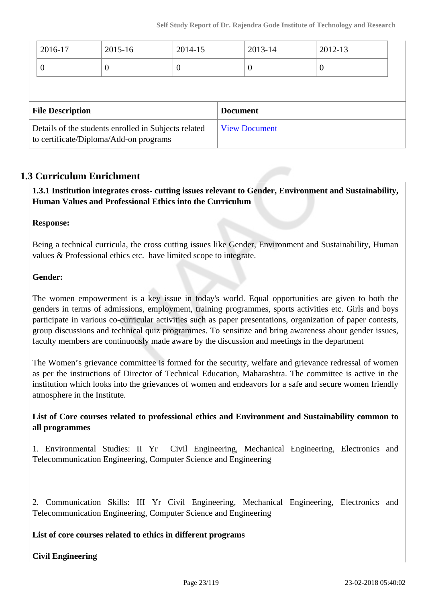| 2016-17                                                                                        | 2015-16  | 2014-15         |                      | 2013-14  | 2012-13        |  |
|------------------------------------------------------------------------------------------------|----------|-----------------|----------------------|----------|----------------|--|
| 0                                                                                              | $\theta$ | 0               |                      | $\theta$ | $\overline{0}$ |  |
|                                                                                                |          |                 |                      |          |                |  |
| <b>File Description</b>                                                                        |          | <b>Document</b> |                      |          |                |  |
| Details of the students enrolled in Subjects related<br>to certificate/Diploma/Add-on programs |          |                 | <b>View Document</b> |          |                |  |

#### **1.3 Curriculum Enrichment**

 **1.3.1 Institution integrates cross- cutting issues relevant to Gender, Environment and Sustainability, Human Values and Professional Ethics into the Curriculum**

#### **Response:**

Being a technical curricula, the cross cutting issues like Gender, Environment and Sustainability, Human values & Professional ethics etc. have limited scope to integrate.

#### **Gender:**

The women empowerment is a key issue in today's world. Equal opportunities are given to both the genders in terms of admissions, employment, training programmes, sports activities etc. Girls and boys participate in various co-curricular activities such as paper presentations, organization of paper contests, group discussions and technical quiz programmes. To sensitize and bring awareness about gender issues, faculty members are continuously made aware by the discussion and meetings in the department

The Women's grievance committee is formed for the security, welfare and grievance redressal of women as per the instructions of Director of Technical Education, Maharashtra. The committee is active in the institution which looks into the grievances of women and endeavors for a safe and secure women friendly atmosphere in the Institute.

#### **List of Core courses related to professional ethics and Environment and Sustainability common to all programmes**

1. Environmental Studies: II Yr Civil Engineering, Mechanical Engineering, Electronics and Telecommunication Engineering, Computer Science and Engineering

2. Communication Skills: III Yr Civil Engineering, Mechanical Engineering, Electronics and Telecommunication Engineering, Computer Science and Engineering

**List of core courses related to ethics in different programs**

**Civil Engineering**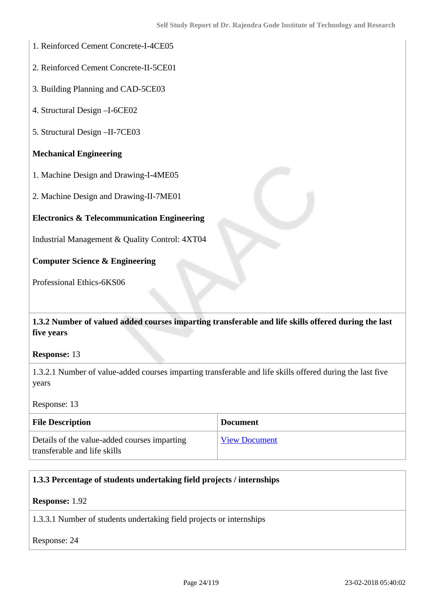- 1. Reinforced Cement Concrete-I-4CE05
- 2. Reinforced Cement Concrete-II-5CE01
- 3. Building Planning and CAD-5CE03
- 4. Structural Design –I-6CE02
- 5. Structural Design –II-7CE03

#### **Mechanical Engineering**

- 1. Machine Design and Drawing-I-4ME05
- 2. Machine Design and Drawing-II-7ME01

#### **Electronics & Telecommunication Engineering**

Industrial Management & Quality Control: 4XT04

#### **Computer Science & Engineering**

Professional Ethics-6KS06

#### **1.3.2 Number of valued added courses imparting transferable and life skills offered during the last five years**

#### **Response:** 13

1.3.2.1 Number of value-added courses imparting transferable and life skills offered during the last five years

Response: 13

| <b>File Description</b>                                                      | <b>Document</b>      |
|------------------------------------------------------------------------------|----------------------|
| Details of the value-added courses imparting<br>transferable and life skills | <b>View Document</b> |

#### **1.3.3 Percentage of students undertaking field projects / internships**

**Response:** 1.92

1.3.3.1 Number of students undertaking field projects or internships

Response: 24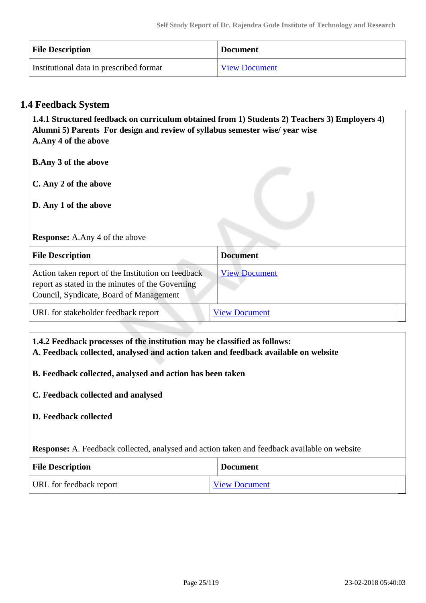| <b>File Description</b>                 | <b>Document</b>      |
|-----------------------------------------|----------------------|
| Institutional data in prescribed format | <b>View Document</b> |

#### **1.4 Feedback System**

 **1.4.1 Structured feedback on curriculum obtained from 1) Students 2) Teachers 3) Employers 4) Alumni 5) Parents For design and review of syllabus semester wise/ year wise A.Any 4 of the above B.Any 3 of the above C. Any 2 of the above D. Any 1 of the above Response:** A.Any 4 of the above **File Description Document** Action taken report of the Institution on feedback report as stated in the minutes of the Governing Council, Syndicate, Board of Management [View Document](https://assessmentonline.naac.gov.in/storage/app/hei/SSR/101087/1.4.1_1518419694_1103.pdf) URL for stakeholder feedback report [View Document](http://gita.ac.in/images/Curriculumfeedback.pdf)

#### **1.4.2 Feedback processes of the institution may be classified as follows:**

**A. Feedback collected, analysed and action taken and feedback available on website**

#### **B. Feedback collected, analysed and action has been taken**

**C. Feedback collected and analysed**

#### **D. Feedback collected**

**Response:** A. Feedback collected, analysed and action taken and feedback available on website

| <b>File Description</b> | <b>Document</b>      |
|-------------------------|----------------------|
| URL for feedback report | <b>View Document</b> |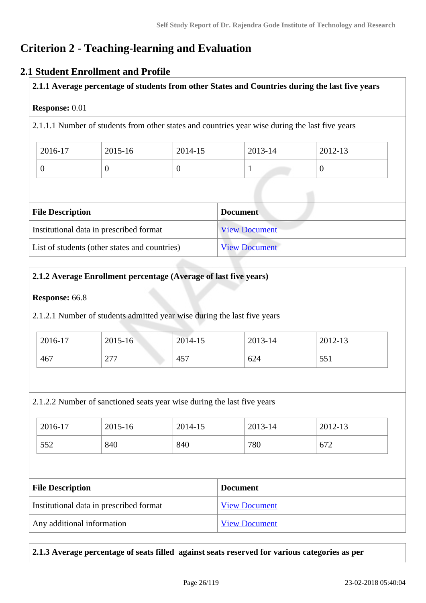### **Criterion 2 - Teaching-learning and Evaluation**

#### **2.1 Student Enrollment and Profile**

#### **2.1.1 Average percentage of students from other States and Countries during the last five years**

#### **Response:** 0.01

2.1.1.1 Number of students from other states and countries year wise during the last five years

| 2016-17 | 2015-16 | 2014-15 | 2013-14 | 2012-13 |
|---------|---------|---------|---------|---------|
|         | ◟       |         |         |         |

| <b>File Description</b>                       | <b>Document</b>      |
|-----------------------------------------------|----------------------|
| Institutional data in prescribed format       | <b>View Document</b> |
| List of students (other states and countries) | <b>View Document</b> |

#### **2.1.2 Average Enrollment percentage (Average of last five years)**

#### **Response:** 66.8

2.1.2.1 Number of students admitted year wise during the last five years

| 2016-17 | 2015-16           | 2014-15 | 2013-14 | 2012-13 |
|---------|-------------------|---------|---------|---------|
| 467     | 277<br>$\sim$ 1 1 | 457     | 624     | 551     |

2.1.2.2 Number of sanctioned seats year wise during the last five years

| 2016-17 | 2015-16 | 2014-15 | 2013-14 | 2012-13 |
|---------|---------|---------|---------|---------|
| 552     | 840     | 840     | 780     | 672     |

| <b>File Description</b>                 | <b>Document</b>      |
|-----------------------------------------|----------------------|
| Institutional data in prescribed format | <b>View Document</b> |
| Any additional information              | <b>View Document</b> |

#### **2.1.3 Average percentage of seats filled against seats reserved for various categories as per**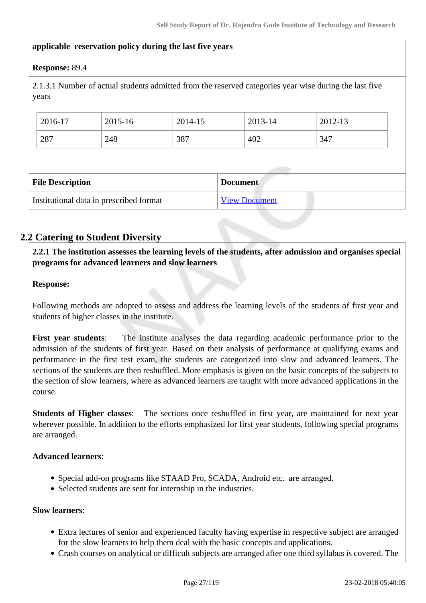#### **applicable reservation policy during the last five years**

#### **Response:** 89.4

2.1.3.1 Number of actual students admitted from the reserved categories year wise during the last five years

|                                            | 2016-17 | 2015-16 | 2014-15              |  | 2013-14 | 2012-13 |
|--------------------------------------------|---------|---------|----------------------|--|---------|---------|
|                                            | 287     | 248     | 387                  |  | 402     | 347     |
|                                            |         |         |                      |  |         |         |
| <b>File Description</b><br><b>Document</b> |         |         |                      |  |         |         |
| Institutional data in prescribed format    |         |         | <b>View Document</b> |  |         |         |

#### **2.2 Catering to Student Diversity**

 **2.2.1 The institution assesses the learning levels of the students, after admission and organises special programs for advanced learners and slow learners**

#### **Response:**

Following methods are adopted to assess and address the learning levels of the students of first year and students of higher classes in the institute.

**First year students**: The institute analyses the data regarding academic performance prior to the admission of the students of first year. Based on their analysis of performance at qualifying exams and performance in the first test exam, the students are categorized into slow and advanced learners. The sections of the students are then reshuffled. More emphasis is given on the basic concepts of the subjects to the section of slow learners, where as advanced learners are taught with more advanced applications in the course.

**Students of Higher classes**: The sections once reshuffled in first year, are maintained for next year wherever possible. In addition to the efforts emphasized for first year students, following special programs are arranged.

#### **Advanced learners**:

- Special add-on programs like STAAD Pro, SCADA, Android etc. are arranged.
- Selected students are sent for internship in the industries.

#### **Slow learners**:

- Extra lectures of senior and experienced faculty having expertise in respective subject are arranged for the slow learners to help them deal with the basic concepts and applications.
- Crash courses on analytical or difficult subjects are arranged after one third syllabus is covered. The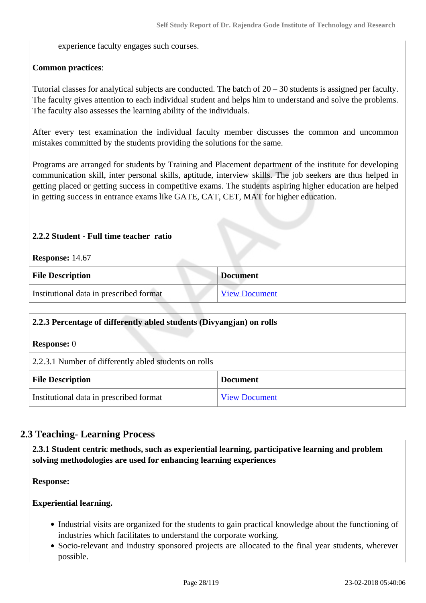experience faculty engages such courses.

#### **Common practices**:

Tutorial classes for analytical subjects are conducted. The batch of 20 – 30 students is assigned per faculty. The faculty gives attention to each individual student and helps him to understand and solve the problems. The faculty also assesses the learning ability of the individuals.

After every test examination the individual faculty member discusses the common and uncommon mistakes committed by the students providing the solutions for the same.

Programs are arranged for students by Training and Placement department of the institute for developing communication skill, inter personal skills, aptitude, interview skills. The job seekers are thus helped in getting placed or getting success in competitive exams. The students aspiring higher education are helped in getting success in entrance exams like GATE, CAT, CET, MAT for higher education.

#### **2.2.2 Student - Full time teacher ratio**

**Response:** 14.67

| <b>File Description</b>                 | <b>Document</b>      |
|-----------------------------------------|----------------------|
| Institutional data in prescribed format | <b>View Document</b> |

| 2.2.3 Percentage of differently abled students (Divyangjan) on rolls |  |  |
|----------------------------------------------------------------------|--|--|
| <b>Response:</b> 0                                                   |  |  |
| 2.2.3.1 Number of differently abled students on rolls                |  |  |
| <b>File Description</b><br><b>Document</b>                           |  |  |
| Institutional data in prescribed format<br><b>View Document</b>      |  |  |

#### **2.3 Teaching- Learning Process**

 **2.3.1 Student centric methods, such as experiential learning, participative learning and problem solving methodologies are used for enhancing learning experiences**

**Response:** 

#### **Experiential learning.**

- Industrial visits are organized for the students to gain practical knowledge about the functioning of industries which facilitates to understand the corporate working.
- Socio-relevant and industry sponsored projects are allocated to the final year students, wherever possible.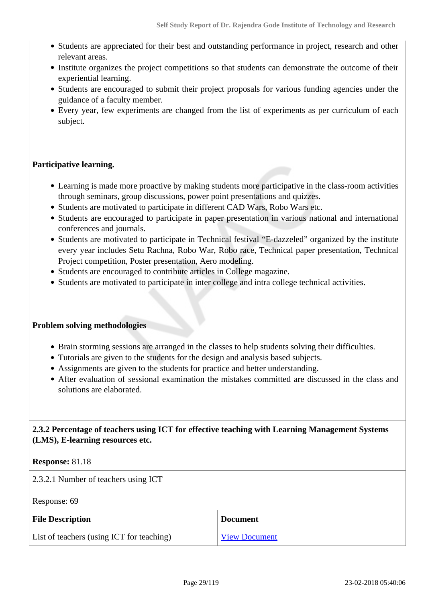- Students are appreciated for their best and outstanding performance in project, research and other relevant areas.
- Institute organizes the project competitions so that students can demonstrate the outcome of their experiential learning.
- Students are encouraged to submit their project proposals for various funding agencies under the guidance of a faculty member.
- Every year, few experiments are changed from the list of experiments as per curriculum of each subject.

#### **Participative learning.**

- Learning is made more proactive by making students more participative in the class-room activities through seminars, group discussions, power point presentations and quizzes.
- Students are motivated to participate in different CAD Wars, Robo Wars etc.
- Students are encouraged to participate in paper presentation in various national and international conferences and journals.
- Students are motivated to participate in Technical festival "E-dazzeled" organized by the institute every year includes Setu Rachna, Robo War, Robo race, Technical paper presentation, Technical Project competition, Poster presentation, Aero modeling.
- Students are encouraged to contribute articles in College magazine.
- Students are motivated to participate in inter college and intra college technical activities.

#### **Problem solving methodologies**

- Brain storming sessions are arranged in the classes to help students solving their difficulties.
- Tutorials are given to the students for the design and analysis based subjects.
- Assignments are given to the students for practice and better understanding.
- After evaluation of sessional examination the mistakes committed are discussed in the class and solutions are elaborated.

 **2.3.2 Percentage of teachers using ICT for effective teaching with Learning Management Systems (LMS), E-learning resources etc.**

#### **Response:** 81.18

2.3.2.1 Number of teachers using ICT

Response: 69

| <b>File Description</b>                   | <b>Document</b>      |
|-------------------------------------------|----------------------|
| List of teachers (using ICT for teaching) | <b>View Document</b> |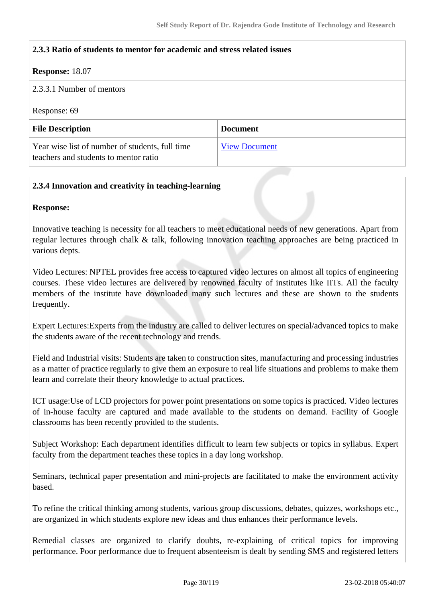#### **2.3.3 Ratio of students to mentor for academic and stress related issues**

#### **Response:** 18.07

#### 2.3.3.1 Number of mentors

Response: 69

| <b>File Description</b>                                                                  | <b>Document</b>      |
|------------------------------------------------------------------------------------------|----------------------|
| Year wise list of number of students, full time<br>teachers and students to mentor ratio | <b>View Document</b> |

#### **2.3.4 Innovation and creativity in teaching-learning**

#### **Response:**

Innovative teaching is necessity for all teachers to meet educational needs of new generations. Apart from regular lectures through chalk & talk, following innovation teaching approaches are being practiced in various depts.

Video Lectures: NPTEL provides free access to captured video lectures on almost all topics of engineering courses. These video lectures are delivered by renowned faculty of institutes like IITs. All the faculty members of the institute have downloaded many such lectures and these are shown to the students frequently.

Expert Lectures:Experts from the industry are called to deliver lectures on special/advanced topics to make the students aware of the recent technology and trends.

Field and Industrial visits: Students are taken to construction sites, manufacturing and processing industries as a matter of practice regularly to give them an exposure to real life situations and problems to make them learn and correlate their theory knowledge to actual practices.

ICT usage:Use of LCD projectors for power point presentations on some topics is practiced. Video lectures of in-house faculty are captured and made available to the students on demand. Facility of Google classrooms has been recently provided to the students.

Subject Workshop: Each department identifies difficult to learn few subjects or topics in syllabus. Expert faculty from the department teaches these topics in a day long workshop.

Seminars, technical paper presentation and mini-projects are facilitated to make the environment activity based.

To refine the critical thinking among students, various group discussions, debates, quizzes, workshops etc., are organized in which students explore new ideas and thus enhances their performance levels.

Remedial classes are organized to clarify doubts, re-explaining of critical topics for improving performance. Poor performance due to frequent absenteeism is dealt by sending SMS and registered letters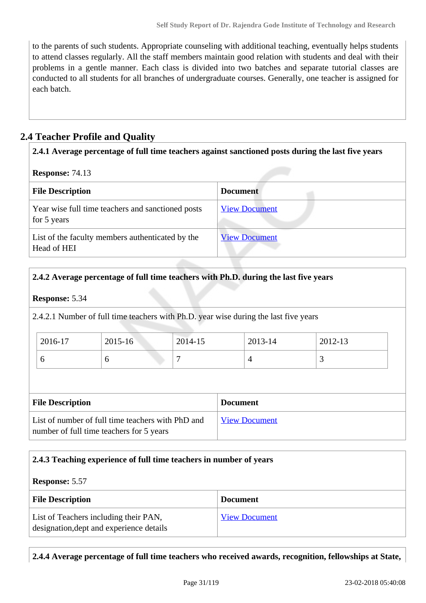to the parents of such students. Appropriate counseling with additional teaching, eventually helps students to attend classes regularly. All the staff members maintain good relation with students and deal with their problems in a gentle manner. Each class is divided into two batches and separate tutorial classes are conducted to all students for all branches of undergraduate courses. Generally, one teacher is assigned for each batch.

### **2.4 Teacher Profile and Quality**

| 2.4.1 Average percentage of full time teachers against sanctioned posts during the last five years |                      |  |  |
|----------------------------------------------------------------------------------------------------|----------------------|--|--|
| <b>Response: 74.13</b>                                                                             |                      |  |  |
| <b>File Description</b>                                                                            | <b>Document</b>      |  |  |
| Year wise full time teachers and sanctioned posts<br>for 5 years                                   | <b>View Document</b> |  |  |
| List of the faculty members authenticated by the<br>Head of HEI                                    | <b>View Document</b> |  |  |

#### **2.4.2 Average percentage of full time teachers with Ph.D. during the last five years**

#### **Response:** 5.34

2.4.2.1 Number of full time teachers with Ph.D. year wise during the last five years

| 2016-17 | $2015 - 16$ | 2014-15 | 2013-14 | 2012-13 |
|---------|-------------|---------|---------|---------|
|         | ◡           |         |         | ັ       |

| <b>File Description</b>                                                                       | <b>Document</b>      |
|-----------------------------------------------------------------------------------------------|----------------------|
| List of number of full time teachers with PhD and<br>number of full time teachers for 5 years | <b>View Document</b> |

#### **2.4.3 Teaching experience of full time teachers in number of years**

#### **Response:** 5.57

| <b>File Description</b>                                                           | <b>Document</b>      |
|-----------------------------------------------------------------------------------|----------------------|
| List of Teachers including their PAN,<br>designation, dept and experience details | <b>View Document</b> |

**2.4.4 Average percentage of full time teachers who received awards, recognition, fellowships at State,**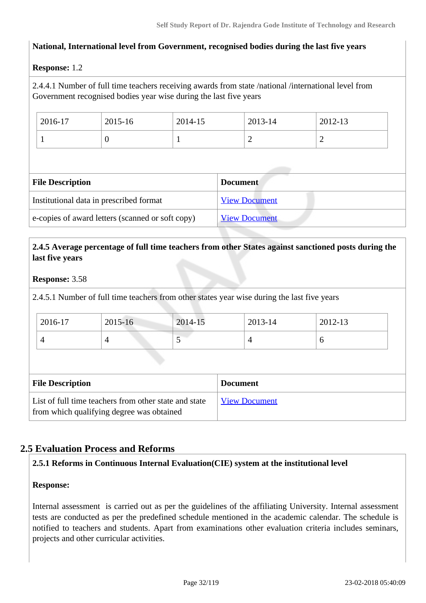#### **National, International level from Government, recognised bodies during the last five years**

#### **Response:** 1.2

2.4.4.1 Number of full time teachers receiving awards from state /national /international level from Government recognised bodies year wise during the last five years

| 2016-17 | 2015-16 | 2014-15 | 2013-14 | 2012-13   |
|---------|---------|---------|---------|-----------|
|         | v       |         | ∼<br>—  | <b>__</b> |

| <b>File Description</b>                          | <b>Document</b>      |
|--------------------------------------------------|----------------------|
| Institutional data in prescribed format          | <b>View Document</b> |
| e-copies of award letters (scanned or soft copy) | <b>View Document</b> |

#### **2.4.5 Average percentage of full time teachers from other States against sanctioned posts during the last five years**

#### **Response:** 3.58

2.4.5.1 Number of full time teachers from other states year wise during the last five years

| 2016-17 | 2015-16 | 2014-15 | 2013-14 | 2012-13 |
|---------|---------|---------|---------|---------|
|         | ∸       | ັ       |         | ν       |

| <b>File Description</b>                                                                            | <b>Document</b>      |
|----------------------------------------------------------------------------------------------------|----------------------|
| List of full time teachers from other state and state<br>from which qualifying degree was obtained | <b>View Document</b> |

#### **2.5 Evaluation Process and Reforms**

#### **2.5.1 Reforms in Continuous Internal Evaluation(CIE) system at the institutional level**

#### **Response:**

Internal assessment is carried out as per the guidelines of the affiliating University. Internal assessment tests are conducted as per the predefined schedule mentioned in the academic calendar. The schedule is notified to teachers and students. Apart from examinations other evaluation criteria includes seminars, projects and other curricular activities.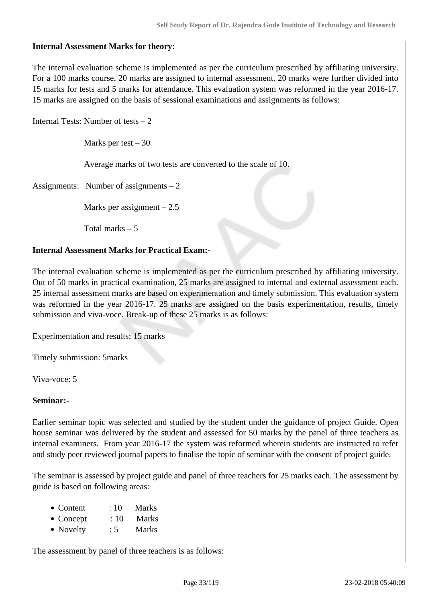#### **Internal Assessment Marks for theory:**

The internal evaluation scheme is implemented as per the curriculum prescribed by affiliating university. For a 100 marks course, 20 marks are assigned to internal assessment. 20 marks were further divided into 15 marks for tests and 5 marks for attendance. This evaluation system was reformed in the year 2016-17. 15 marks are assigned on the basis of sessional examinations and assignments as follows:

Internal Tests: Number of tests  $-2$ 

Marks per test  $-30$ 

Average marks of two tests are converted to the scale of 10.

Assignments: Number of assignments – 2

Marks per assignment  $-2.5$ 

Total marks – 5

#### **Internal Assessment Marks for Practical Exam:-**

The internal evaluation scheme is implemented as per the curriculum prescribed by affiliating university. Out of 50 marks in practical examination, 25 marks are assigned to internal and external assessment each. 25 internal assessment marks are based on experimentation and timely submission. This evaluation system was reformed in the year 2016-17. 25 marks are assigned on the basis experimentation, results, timely submission and viva-voce. Break-up of these 25 marks is as follows:

Experimentation and results: 15 marks

Timely submission: 5marks

Viva-voce: 5

#### **Seminar:-**

Earlier seminar topic was selected and studied by the student under the guidance of project Guide. Open house seminar was delivered by the student and assessed for 50 marks by the panel of three teachers as internal examiners. From year 2016-17 the system was reformed wherein students are instructed to refer and study peer reviewed journal papers to finalise the topic of seminar with the consent of project guide.

The seminar is assessed by project guide and panel of three teachers for 25 marks each. The assessment by guide is based on following areas:

- Content : 10 Marks
- Concept : 10 Marks
- Novelty : 5 Marks

The assessment by panel of three teachers is as follows: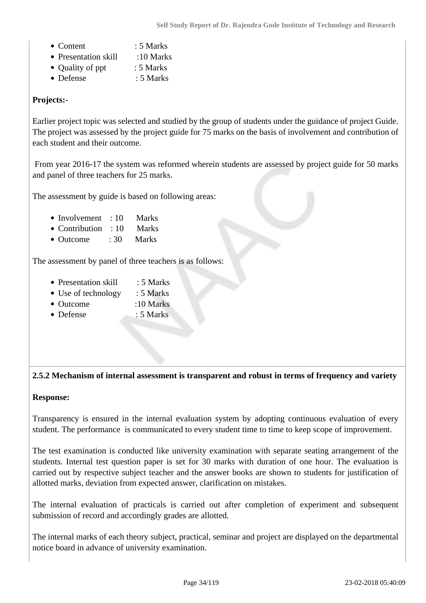- Content : 5 Marks
- Presentation skill :10 Marks
- Quality of ppt : 5 Marks
- Defense : 5 Marks

#### **Projects:-**

Earlier project topic was selected and studied by the group of students under the guidance of project Guide. The project was assessed by the project guide for 75 marks on the basis of involvement and contribution of each student and their outcome.

 From year 2016-17 the system was reformed wherein students are assessed by project guide for 50 marks and panel of three teachers for 25 marks.

The assessment by guide is based on following areas:

- Involvement : 10 Marks
- Contribution : 10 Marks
- Outcome : 30 Marks

The assessment by panel of three teachers is as follows:

- Presentation skill : 5 Marks
- Use of technology : 5 Marks
- Outcome :10 Marks
- Defense : 5 Marks

#### **2.5.2 Mechanism of internal assessment is transparent and robust in terms of frequency and variety**

#### **Response:**

Transparency is ensured in the internal evaluation system by adopting continuous evaluation of every student. The performance is communicated to every student time to time to keep scope of improvement.

The test examination is conducted like university examination with separate seating arrangement of the students. Internal test question paper is set for 30 marks with duration of one hour. The evaluation is carried out by respective subject teacher and the answer books are shown to students for justification of allotted marks, deviation from expected answer, clarification on mistakes.

The internal evaluation of practicals is carried out after completion of experiment and subsequent submission of record and accordingly grades are allotted.

The internal marks of each theory subject, practical, seminar and project are displayed on the departmental notice board in advance of university examination.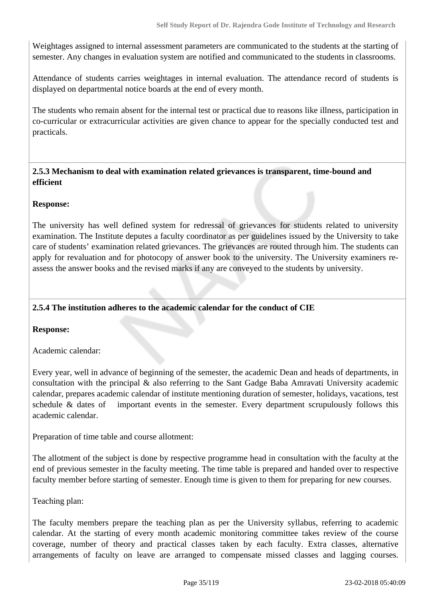Weightages assigned to internal assessment parameters are communicated to the students at the starting of semester. Any changes in evaluation system are notified and communicated to the students in classrooms.

Attendance of students carries weightages in internal evaluation. The attendance record of students is displayed on departmental notice boards at the end of every month.

The students who remain absent for the internal test or practical due to reasons like illness, participation in co-curricular or extracurricular activities are given chance to appear for the specially conducted test and practicals.

#### **2.5.3 Mechanism to deal with examination related grievances is transparent, time-bound and efficient**

#### **Response:**

The university has well defined system for redressal of grievances for students related to university examination. The Institute deputes a faculty coordinator as per guidelines issued by the University to take care of students' examination related grievances. The grievances are routed through him. The students can apply for revaluation and for photocopy of answer book to the university. The University examiners reassess the answer books and the revised marks if any are conveyed to the students by university.

#### **2.5.4 The institution adheres to the academic calendar for the conduct of CIE**

#### **Response:**

Academic calendar:

Every year, well in advance of beginning of the semester, the academic Dean and heads of departments, in consultation with the principal & also referring to the Sant Gadge Baba Amravati University academic calendar, prepares academic calendar of institute mentioning duration of semester, holidays, vacations, test schedule & dates of important events in the semester. Every department scrupulously follows this academic calendar.

Preparation of time table and course allotment:

The allotment of the subject is done by respective programme head in consultation with the faculty at the end of previous semester in the faculty meeting. The time table is prepared and handed over to respective faculty member before starting of semester. Enough time is given to them for preparing for new courses.

Teaching plan:

The faculty members prepare the teaching plan as per the University syllabus, referring to academic calendar. At the starting of every month academic monitoring committee takes review of the course coverage, number of theory and practical classes taken by each faculty. Extra classes, alternative arrangements of faculty on leave are arranged to compensate missed classes and lagging courses.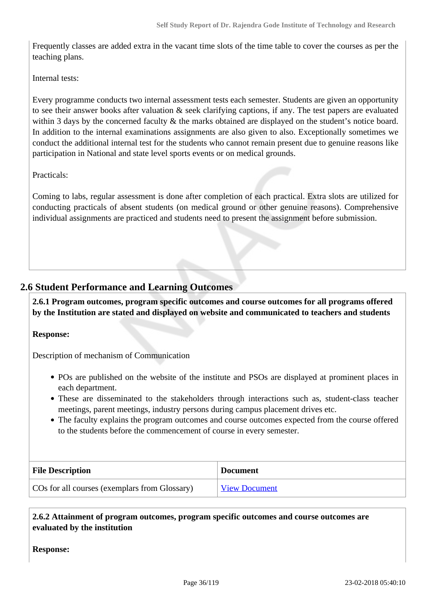Frequently classes are added extra in the vacant time slots of the time table to cover the courses as per the teaching plans.

Internal tests:

Every programme conducts two internal assessment tests each semester. Students are given an opportunity to see their answer books after valuation & seek clarifying captions, if any. The test papers are evaluated within 3 days by the concerned faculty & the marks obtained are displayed on the student's notice board. In addition to the internal examinations assignments are also given to also. Exceptionally sometimes we conduct the additional internal test for the students who cannot remain present due to genuine reasons like participation in National and state level sports events or on medical grounds.

Practicals:

Coming to labs, regular assessment is done after completion of each practical. Extra slots are utilized for conducting practicals of absent students (on medical ground or other genuine reasons). Comprehensive individual assignments are practiced and students need to present the assignment before submission.

#### **2.6 Student Performance and Learning Outcomes**

 **2.6.1 Program outcomes, program specific outcomes and course outcomes for all programs offered by the Institution are stated and displayed on website and communicated to teachers and students**

#### **Response:**

Description of mechanism of Communication

- POs are published on the website of the institute and PSOs are displayed at prominent places in each department.
- These are disseminated to the stakeholders through interactions such as, student-class teacher meetings, parent meetings, industry persons during campus placement drives etc.
- The faculty explains the program outcomes and course outcomes expected from the course offered to the students before the commencement of course in every semester.

| <b>File Description</b>                       | <b>Document</b>      |
|-----------------------------------------------|----------------------|
| COs for all courses (exemplars from Glossary) | <b>View Document</b> |

 **2.6.2 Attainment of program outcomes, program specific outcomes and course outcomes are evaluated by the institution**

**Response:**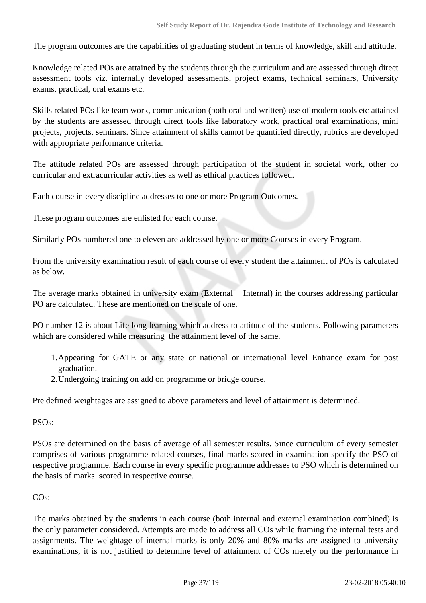The program outcomes are the capabilities of graduating student in terms of knowledge, skill and attitude.

Knowledge related POs are attained by the students through the curriculum and are assessed through direct assessment tools viz. internally developed assessments, project exams, technical seminars, University exams, practical, oral exams etc.

Skills related POs like team work, communication (both oral and written) use of modern tools etc attained by the students are assessed through direct tools like laboratory work, practical oral examinations, mini projects, projects, seminars. Since attainment of skills cannot be quantified directly, rubrics are developed with appropriate performance criteria.

The attitude related POs are assessed through participation of the student in societal work, other co curricular and extracurricular activities as well as ethical practices followed.

Each course in every discipline addresses to one or more Program Outcomes.

These program outcomes are enlisted for each course.

Similarly POs numbered one to eleven are addressed by one or more Courses in every Program.

From the university examination result of each course of every student the attainment of POs is calculated as below.

The average marks obtained in university exam (External + Internal) in the courses addressing particular PO are calculated. These are mentioned on the scale of one.

PO number 12 is about Life long learning which address to attitude of the students. Following parameters which are considered while measuring the attainment level of the same.

- 1.Appearing for GATE or any state or national or international level Entrance exam for post graduation.
- 2.Undergoing training on add on programme or bridge course.

Pre defined weightages are assigned to above parameters and level of attainment is determined.

PSOs:

PSOs are determined on the basis of average of all semester results. Since curriculum of every semester comprises of various programme related courses, final marks scored in examination specify the PSO of respective programme. Each course in every specific programme addresses to PSO which is determined on the basis of marks scored in respective course.

CO<sub>s</sub>:

The marks obtained by the students in each course (both internal and external examination combined) is the only parameter considered. Attempts are made to address all COs while framing the internal tests and assignments. The weightage of internal marks is only 20% and 80% marks are assigned to university examinations, it is not justified to determine level of attainment of COs merely on the performance in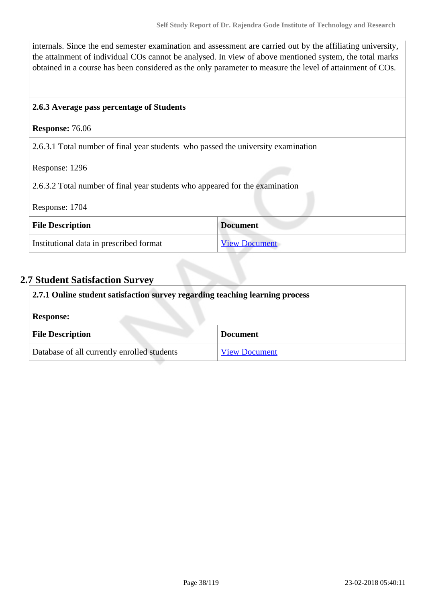internals. Since the end semester examination and assessment are carried out by the affiliating university, the attainment of individual COs cannot be analysed. In view of above mentioned system, the total marks obtained in a course has been considered as the only parameter to measure the level of attainment of COs.

#### **2.6.3 Average pass percentage of Students**

#### **Response:** 76.06

2.6.3.1 Total number of final year students who passed the university examination

Response: 1296

2.6.3.2 Total number of final year students who appeared for the examination

#### Response: 1704

| <b>File Description</b>                 | <b>Document</b>      |
|-----------------------------------------|----------------------|
| Institutional data in prescribed format | <b>View Document</b> |

## **2.7 Student Satisfaction Survey**

| 2.7.1 Online student satisfaction survey regarding teaching learning process |                      |
|------------------------------------------------------------------------------|----------------------|
| <b>Response:</b>                                                             |                      |
| <b>File Description</b>                                                      | <b>Document</b>      |
| Database of all currently enrolled students                                  | <b>View Document</b> |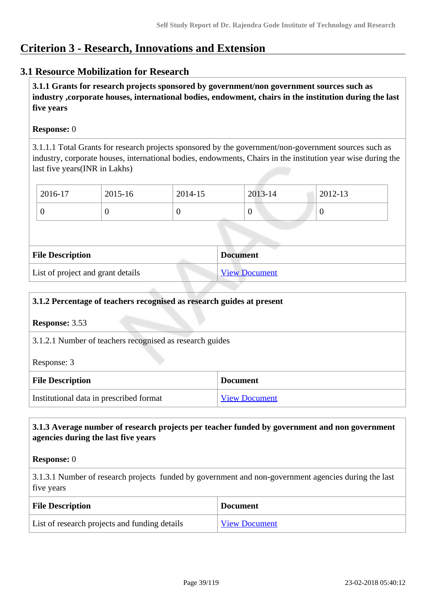# **Criterion 3 - Research, Innovations and Extension**

# **3.1 Resource Mobilization for Research**

 **3.1.1 Grants for research projects sponsored by government/non government sources such as industry ,corporate houses, international bodies, endowment, chairs in the institution during the last five years**

#### **Response:** 0

3.1.1.1 Total Grants for research projects sponsored by the government/non-government sources such as industry, corporate houses, international bodies, endowments, Chairs in the institution year wise during the last five years(INR in Lakhs)

| 2016-17 | 2015-16 | 2014-15 | $2013 - 14$ | 2012-13 |
|---------|---------|---------|-------------|---------|
|         |         |         |             | v       |

| <b>File Description</b>           | <b>Document</b>      |
|-----------------------------------|----------------------|
| List of project and grant details | <b>View Document</b> |

| 3.1.2 Percentage of teachers recognised as research guides at present             |                      |             |
|-----------------------------------------------------------------------------------|----------------------|-------------|
| <b>Response: 3.53</b><br>3.1.2.1 Number of teachers recognised as research guides |                      |             |
|                                                                                   |                      | Response: 3 |
| <b>File Description</b><br><b>Document</b>                                        |                      |             |
| Institutional data in prescribed format                                           | <b>View Document</b> |             |

#### **3.1.3 Average number of research projects per teacher funded by government and non government agencies during the last five years**

#### **Response:** 0

3.1.3.1 Number of research projects funded by government and non-government agencies during the last five years

| <b>File Description</b>                       | <b>Document</b>      |
|-----------------------------------------------|----------------------|
| List of research projects and funding details | <b>View Document</b> |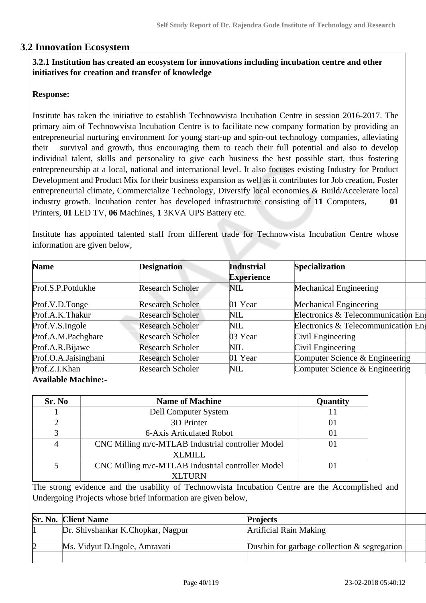# **3.2 Innovation Ecosystem**

## **3.2.1 Institution has created an ecosystem for innovations including incubation centre and other initiatives for creation and transfer of knowledge**

## **Response:**

Institute has taken the initiative to establish Technowvista Incubation Centre in session 2016-2017. The primary aim of Technowvista Incubation Centre is to facilitate new company formation by providing an entrepreneurial nurturing environment for young start-up and spin-out technology companies, alleviating their survival and growth, thus encouraging them to reach their full potential and also to develop individual talent, skills and personality to give each business the best possible start, thus fostering entrepreneurship at a local, national and international level. It also focuses existing Industry for Product Development and Product Mix for their business expansion as well as it contributes for Job creation, Foster entrepreneurial climate, Commercialize Technology, Diversify local economies & Build/Accelerate local industry growth. Incubation center has developed infrastructure consisting of **11** Computers, **01** Printers, **01** LED TV, **06** Machines, **1** 3KVA UPS Battery etc.

Institute has appointed talented staff from different trade for Technowvista Incubation Centre whose information are given below,

| <b>Name</b>                           | <b>Designation</b>      | <b>Industrial</b> | <b>Specialization</b>               |
|---------------------------------------|-------------------------|-------------------|-------------------------------------|
|                                       |                         | <b>Experience</b> |                                     |
| Prof.S.P.Potdukhe                     | <b>Research Scholer</b> | <b>NIL</b>        | Mechanical Engineering              |
| Prof.V.D.Tonge                        | <b>Research Scholer</b> | 01 Year           | Mechanical Engineering              |
| Prof.A.K.Thakur                       | <b>Research Scholer</b> | <b>NIL</b>        | Electronics & Telecommunication Eng |
| Prof.V.S.Ingole                       | <b>Research Scholer</b> | <b>NIL</b>        | Electronics & Telecommunication Eng |
| Prof.A.M.Pachghare                    | <b>Research Scholer</b> | 03 Year           | Civil Engineering                   |
| Prof.A.R.Bijawe                       | <b>Research Scholer</b> | NIL.              | Civil Engineering                   |
| Prof.O.A.Jaisinghani                  | <b>Research Scholer</b> | 01 Year           | Computer Science & Engineering      |
| Prof.Z.I.Khan                         | <b>Research Scholer</b> | NIL               | Computer Science & Engineering      |
| $\mathbf{A}$ . The state $\mathbf{A}$ |                         |                   |                                     |

**Available Machine:-**

| Sr. No | <b>Name of Machine</b>                            | Quantity |
|--------|---------------------------------------------------|----------|
|        | Dell Computer System                              |          |
|        | 3D Printer                                        | 01       |
|        | 6-Axis Articulated Robot                          | 01       |
|        | CNC Milling m/c-MTLAB Industrial controller Model | 01       |
|        | XLMILL                                            |          |
|        | CNC Milling m/c-MTLAB Industrial controller Model | 01       |
|        | <b>XLTURN</b>                                     |          |

The strong evidence and the usability of Technowvista Incubation Centre are the Accomplished and Undergoing Projects whose brief information are given below,

|  | <b>Sr. No. Client Name</b>        | <b>Projects</b>                                 |
|--|-----------------------------------|-------------------------------------------------|
|  | Dr. Shivshankar K.Chopkar, Nagpur | Artificial Rain Making                          |
|  | Ms. Vidyut D.Ingole, Amravati     | Dustbin for garbage collection $\&$ segregation |
|  |                                   |                                                 |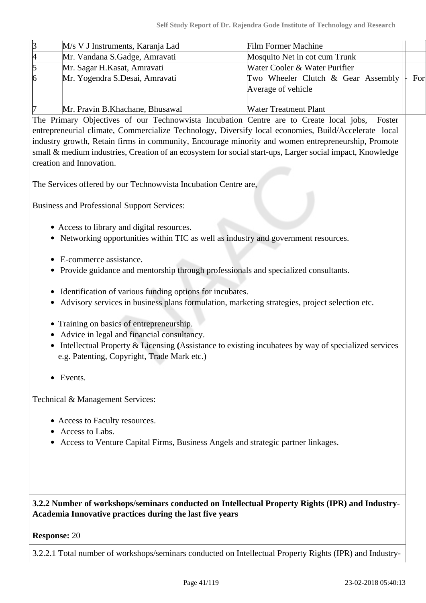| $\beta$         | M/s V J Instruments, Karanja Lad | <b>Film Former Machine</b>                                                  |
|-----------------|----------------------------------|-----------------------------------------------------------------------------|
| $\mu$           | Mr. Vandana S.Gadge, Amravati    | Mosquito Net in cot cum Trunk                                               |
| $\sqrt{5}$      | Mr. Sagar H. Kasat, Amravati     | Water Cooler & Water Purifier                                               |
| $\vert 6 \vert$ | Mr. Yogendra S.Desai, Amravati   | - For<br>Two Wheeler Clutch & Gear Assembly $ \cdot $<br>Average of vehicle |
| 17              | Mr. Pravin B. Khachane, Bhusawal | <b>Water Treatment Plant</b>                                                |

The Primary Objectives of our Technowvista Incubation Centre are to Create local jobs, Foster entrepreneurial climate, Commercialize Technology, Diversify local economies, Build/Accelerate local industry growth, Retain firms in community, Encourage minority and women entrepreneurship, Promote small & medium industries, Creation of an ecosystem for social start-ups, Larger social impact, Knowledge creation and Innovation.

The Services offered by our Technowvista Incubation Centre are,

Business and Professional Support Services:

- Access to library and digital resources.
- Networking opportunities within TIC as well as industry and government resources.
- E-commerce assistance.
- Provide guidance and mentorship through professionals and specialized consultants.
- Identification of various funding options for incubates.
- Advisory services in business plans formulation, marketing strategies, project selection etc.
- Training on basics of entrepreneurship.
- Advice in legal and financial consultancy.
- Intellectual Property & Licensing **(**Assistance to existing incubatees by way of specialized services e.g. Patenting, Copyright, Trade Mark etc.)
- Events.

Technical & Management Services:

- Access to Faculty resources.
- Access to Labs.
- Access to Venture Capital Firms, Business Angels and strategic partner linkages.

# **3.2.2 Number of workshops/seminars conducted on Intellectual Property Rights (IPR) and Industry-Academia Innovative practices during the last five years**

#### **Response:** 20

3.2.2.1 Total number of workshops/seminars conducted on Intellectual Property Rights (IPR) and Industry-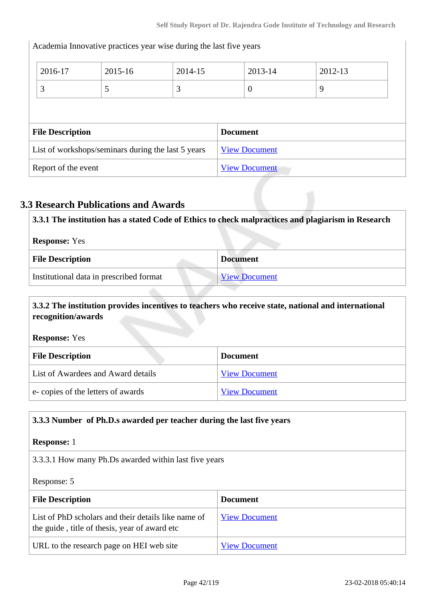Academia Innovative practices year wise during the last five years 2016-17 2015-16 2014-15 2013-14 2012-13  $3 \hspace{1.5cm} | \hspace{.06cm} 5 \hspace{1.5cm} | \hspace{.06cm} 3 \hspace{1.5cm} | \hspace{.06cm} 0 \hspace{1.5cm} | \hspace{.06cm} 9 \hspace{1.5cm}$ **File Description Document** List of workshops/seminars during the last  $5$  years  $\sqrt{\frac{View Document}{View}}$  $\sqrt{\frac{View Document}{View}}$  $\sqrt{\frac{View Document}{View}}$ Report of the event [View Document](https://assessmentonline.naac.gov.in/storage/app/hei/SSR/101087/3.2.2_1519368427_1103.pdf)

# **3.3 Research Publications and Awards**

| 3.3.1 The institution has a stated Code of Ethics to check malpractices and plagiarism in Research |                      |
|----------------------------------------------------------------------------------------------------|----------------------|
| <b>Response:</b> Yes                                                                               |                      |
| <b>File Description</b>                                                                            | <b>Document</b>      |
| Institutional data in prescribed format                                                            | <b>View Document</b> |

# **3.3.2 The institution provides incentives to teachers who receive state, national and international recognition/awards**

**Response:** Yes

| <b>File Description</b>            | <b>Document</b>      |
|------------------------------------|----------------------|
| List of Awardees and Award details | <b>View Document</b> |
| e-copies of the letters of awards  | <b>View Document</b> |

#### **3.3.3 Number of Ph.D.s awarded per teacher during the last five years**

#### **Response:** 1

3.3.3.1 How many Ph.Ds awarded within last five years

Response: 5

| <b>File Description</b>                                                                              | <b>Document</b>      |
|------------------------------------------------------------------------------------------------------|----------------------|
| List of PhD scholars and their details like name of<br>the guide, title of thesis, year of award etc | <b>View Document</b> |
| URL to the research page on HEI web site                                                             | <b>View Document</b> |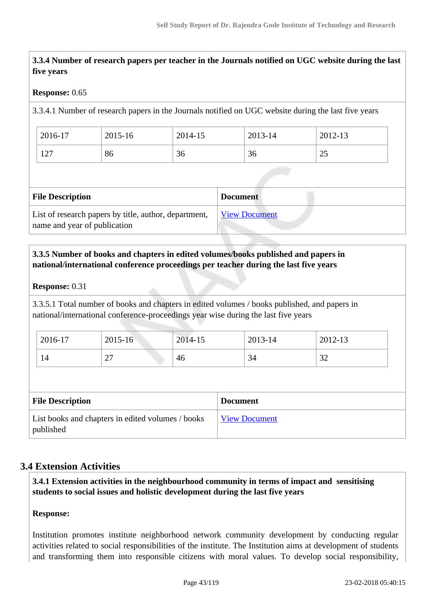**3.3.4 Number of research papers per teacher in the Journals notified on UGC website during the last five years**

#### **Response:** 0.65

3.3.4.1 Number of research papers in the Journals notified on UGC website during the last five years

| 2016-17                  | 2015-16 | 2014-15 | 2013-14 | 2012-13    |
|--------------------------|---------|---------|---------|------------|
| 1 $\cap$ $\sqcap$<br>141 | 86      | 36      | 36      | າເ<br>ل کے |

| <b>File Description</b>                                                               | <b>Document</b>      |
|---------------------------------------------------------------------------------------|----------------------|
| List of research papers by title, author, department,<br>name and year of publication | <b>View Document</b> |

# **3.3.5 Number of books and chapters in edited volumes/books published and papers in national/international conference proceedings per teacher during the last five years**

#### **Response:** 0.31

3.3.5.1 Total number of books and chapters in edited volumes / books published, and papers in national/international conference-proceedings year wise during the last five years

| 2016-17 | 2015-16                               | 2014-15 | 2013-14 | 2012-13       |
|---------|---------------------------------------|---------|---------|---------------|
| 14      | <b>^^</b><br>$\overline{\phantom{0}}$ | 46      | 34      | $\sim$<br>ے ر |

| <b>File Description</b>                                        | <b>Document</b>      |
|----------------------------------------------------------------|----------------------|
| List books and chapters in edited volumes / books<br>published | <b>View Document</b> |

# **3.4 Extension Activities**

 **3.4.1 Extension activities in the neighbourhood community in terms of impact and sensitising students to social issues and holistic development during the last five years**

#### **Response:**

Institution promotes institute neighborhood network community development by conducting regular activities related to social responsibilities of the institute. The Institution aims at development of students and transforming them into responsible citizens with moral values. To develop social responsibility,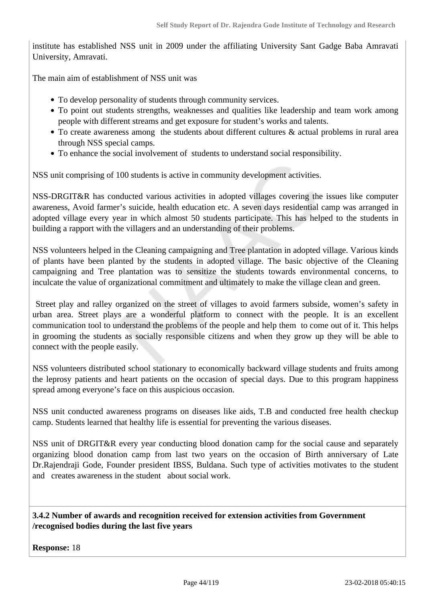institute has established NSS unit in 2009 under the affiliating University Sant Gadge Baba Amravati University, Amravati.

The main aim of establishment of NSS unit was

- To develop personality of students through community services.
- To point out students strengths, weaknesses and qualities like leadership and team work among people with different streams and get exposure for student's works and talents.
- To create awareness among the students about different cultures & actual problems in rural area through NSS special camps.
- To enhance the social involvement of students to understand social responsibility.

NSS unit comprising of 100 students is active in community development activities.

NSS-DRGIT&R has conducted various activities in adopted villages covering the issues like computer awareness, Avoid farmer's suicide, health education etc. A seven days residential camp was arranged in adopted village every year in which almost 50 students participate. This has helped to the students in building a rapport with the villagers and an understanding of their problems.

NSS volunteers helped in the Cleaning campaigning and Tree plantation in adopted village. Various kinds of plants have been planted by the students in adopted village. The basic objective of the Cleaning campaigning and Tree plantation was to sensitize the students towards environmental concerns, to inculcate the value of organizational commitment and ultimately to make the village clean and green.

 Street play and ralley organized on the street of villages to avoid farmers subside, women's safety in urban area. Street plays are a wonderful platform to connect with the people. It is an excellent communication tool to understand the problems of the people and help them to come out of it. This helps in grooming the students as socially responsible citizens and when they grow up they will be able to connect with the people easily.

NSS volunteers distributed school stationary to economically backward village students and fruits among the leprosy patients and heart patients on the occasion of special days. Due to this program happiness spread among everyone's face on this auspicious occasion.

NSS unit conducted awareness programs on diseases like aids, T.B and conducted free health checkup camp. Students learned that healthy life is essential for preventing the various diseases.

NSS unit of DRGIT&R every year conducting blood donation camp for the social cause and separately organizing blood donation camp from last two years on the occasion of Birth anniversary of Late Dr.Rajendraji Gode, Founder president IBSS, Buldana. Such type of activities motivates to the student and creates awareness in the student about social work.

#### **3.4.2 Number of awards and recognition received for extension activities from Government /recognised bodies during the last five years**

**Response:** 18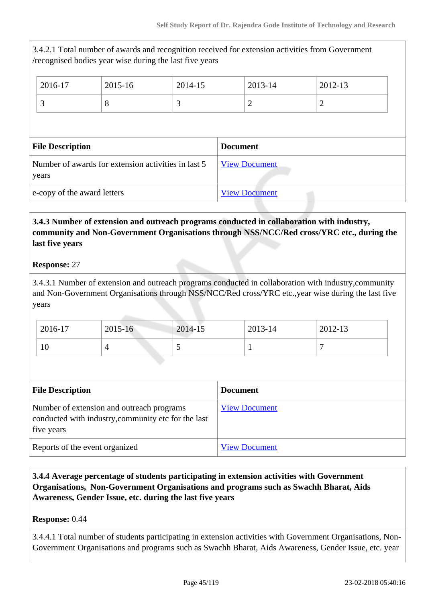3.4.2.1 Total number of awards and recognition received for extension activities from Government /recognised bodies year wise during the last five years 2016-17 2015-16 2014-15 2013-14 2012-13 3  $\begin{array}{|c|c|c|c|c|}\n3 & 3 & 2 & 2\n\end{array}$ **File Description Document** Number of awards for extension activities in last 5 years [View Document](https://assessmentonline.naac.gov.in/storage/app/hei/SSR/101087/3.4.2_1516190297_1103.xlsx) e-copy of the award letters  $\boxed{\text{View Document}}$  $\boxed{\text{View Document}}$  $\boxed{\text{View Document}}$ 

 **3.4.3 Number of extension and outreach programs conducted in collaboration with industry, community and Non-Government Organisations through NSS/NCC/Red cross/YRC etc., during the last five years**

## **Response:** 27

3.4.3.1 Number of extension and outreach programs conducted in collaboration with industry,community and Non-Government Organisations through NSS/NCC/Red cross/YRC etc.,year wise during the last five years

| 2016-17 | 2015-16 | 2014-15 | 2013-14 | 2012-13 |
|---------|---------|---------|---------|---------|
| 10      |         | ັ       |         | -       |

| <b>File Description</b>                                                                                        | <b>Document</b>      |
|----------------------------------------------------------------------------------------------------------------|----------------------|
| Number of extension and outreach programs<br>conducted with industry, community etc for the last<br>five years | <b>View Document</b> |
| Reports of the event organized                                                                                 | <b>View Document</b> |

 **3.4.4 Average percentage of students participating in extension activities with Government Organisations, Non-Government Organisations and programs such as Swachh Bharat, Aids Awareness, Gender Issue, etc. during the last five years**

#### **Response:** 0.44

3.4.4.1 Total number of students participating in extension activities with Government Organisations, Non-Government Organisations and programs such as Swachh Bharat, Aids Awareness, Gender Issue, etc. year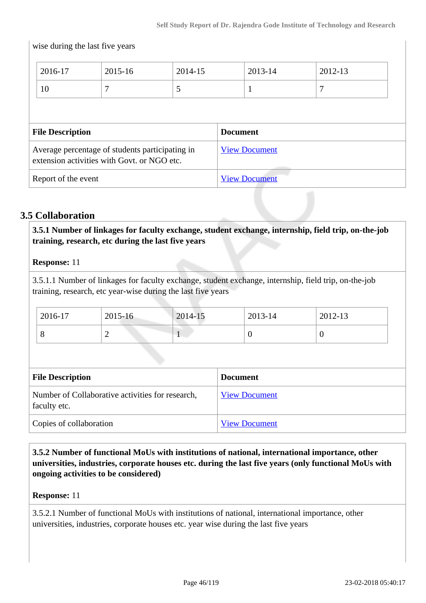$\overline{\phantom{a}}$ 

|                                                                                                | wise during the last five years |                      |                      |                 |         |         |
|------------------------------------------------------------------------------------------------|---------------------------------|----------------------|----------------------|-----------------|---------|---------|
|                                                                                                | 2016-17                         | 2015-16              | 2014-15              |                 | 2013-14 | 2012-13 |
|                                                                                                | 10                              |                      | 5                    |                 |         | 7       |
|                                                                                                |                                 |                      |                      |                 |         |         |
|                                                                                                | <b>File Description</b>         |                      |                      | <b>Document</b> |         |         |
| Average percentage of students participating in<br>extension activities with Govt. or NGO etc. |                                 | <b>View Document</b> |                      |                 |         |         |
| Report of the event                                                                            |                                 |                      | <b>View Document</b> |                 |         |         |

# **3.5 Collaboration**

wise during the last five years

 **3.5.1 Number of linkages for faculty exchange, student exchange, internship, field trip, on-the-job training, research, etc during the last five years**

**Response:** 11

3.5.1.1 Number of linkages for faculty exchange, student exchange, internship, field trip, on-the-job training, research, etc year-wise during the last five years

| 2016-17 | 2015-16 | 2014-15                  | 2013-14 | 2012-13 |
|---------|---------|--------------------------|---------|---------|
|         | ∼       | $\overline{\phantom{a}}$ |         |         |

| <b>File Description</b>                                          | <b>Document</b>      |
|------------------------------------------------------------------|----------------------|
| Number of Collaborative activities for research,<br>faculty etc. | <b>View Document</b> |
| Copies of collaboration                                          | <b>View Document</b> |

 **3.5.2 Number of functional MoUs with institutions of national, international importance, other universities, industries, corporate houses etc. during the last five years (only functional MoUs with ongoing activities to be considered)**

#### **Response:** 11

3.5.2.1 Number of functional MoUs with institutions of national, international importance, other universities, industries, corporate houses etc. year wise during the last five years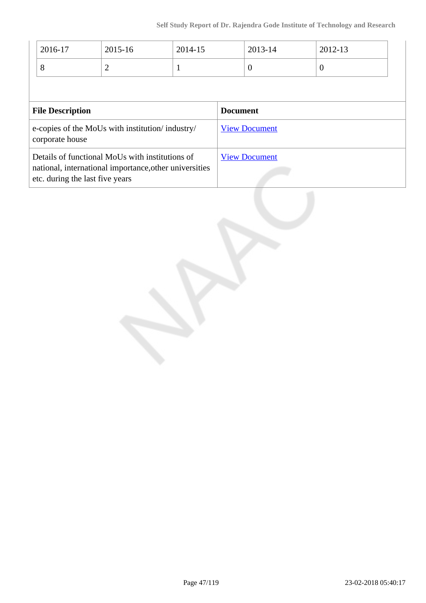| 2016-17                                                                                                                                      | $2015 - 16$ | 2014-15 |                      | 2013-14  | 2012-13  |
|----------------------------------------------------------------------------------------------------------------------------------------------|-------------|---------|----------------------|----------|----------|
| 8                                                                                                                                            | 2           |         |                      | $\theta$ | $\theta$ |
|                                                                                                                                              |             |         |                      |          |          |
| <b>File Description</b>                                                                                                                      |             |         | <b>Document</b>      |          |          |
| e-copies of the MoUs with institution/industry/<br>corporate house                                                                           |             |         | <b>View Document</b> |          |          |
| Details of functional MoUs with institutions of<br>national, international importance, other universities<br>etc. during the last five years |             |         | <b>View Document</b> |          |          |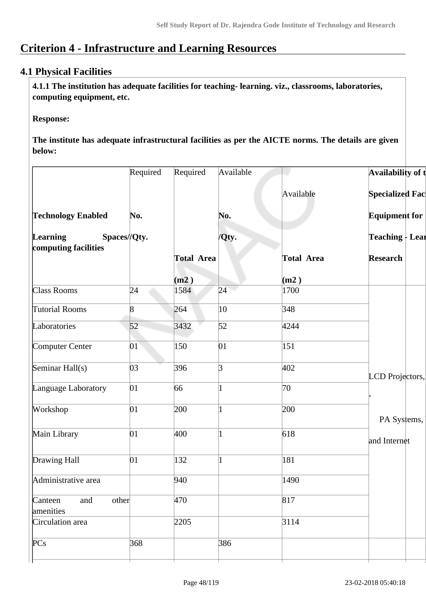# **Criterion 4 - Infrastructure and Learning Resources**

# **4.1 Physical Facilities**

 **4.1.1 The institution has adequate facilities for teaching- learning. viz., classrooms, laboratories, computing equipment, etc.**

#### **Response:**

**The institute has adequate infrastructural facilities as per the AICTE norms. The details are given below:**

|                                                         | Required | Required          | Available |                   | Availability of t                         |
|---------------------------------------------------------|----------|-------------------|-----------|-------------------|-------------------------------------------|
|                                                         |          |                   |           | Available         | <b>Specialized Fac</b>                    |
| <b>Technology Enabled</b>                               | No.      |                   | No.       |                   | <b>Equipment for</b>                      |
| <b>Learning</b><br>Spaces//Qty.<br>computing facilities |          |                   | /Qty.     |                   | <b>Teaching - Lear</b><br><b>Research</b> |
|                                                         |          | <b>Total Area</b> |           | <b>Total Area</b> |                                           |
|                                                         |          | (m2)              |           | (m2)              |                                           |
| Class Rooms                                             | 24       | 1584              | 24        | 1700              |                                           |
| Tutorial Rooms                                          | 8        | 264               | 10        | 348               |                                           |
| Laboratories                                            | 52       | 3432              | 52        | 4244              |                                           |
| Computer Center                                         | 01       | 150               | 01        | 151               |                                           |
| Seminar Hall(s)                                         | 03       | 396               | 3         | 402               | LCD Projectors,                           |
| Language Laboratory                                     | 01       | 66                |           | 70                |                                           |
| Workshop                                                | 01       | 200               |           | 200               |                                           |
|                                                         |          |                   |           |                   | PA Systems,                               |
| Main Library                                            | 01       | 400               | 1         | 618               | and Internet                              |
| Drawing Hall                                            | 01       | 132               | 1         | 181               |                                           |
| Administrative area                                     |          | 940               |           | 1490              |                                           |
| other<br>Canteen<br>and<br>amenities                    |          | 470               |           | 817               |                                           |
| Circulation area                                        |          | 2205              |           | 3114              |                                           |
| PCs                                                     | 368      |                   | 386       |                   |                                           |
|                                                         |          |                   |           |                   |                                           |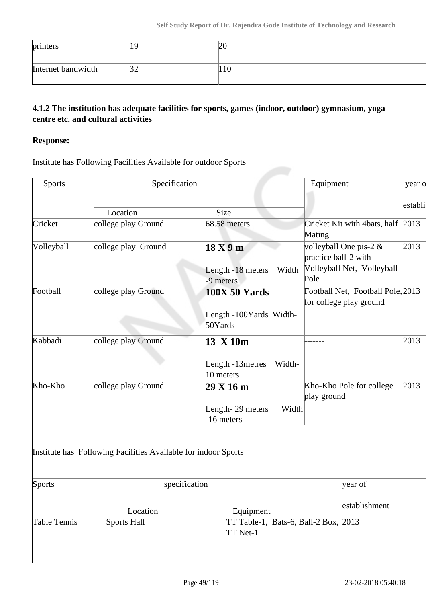| printers           | 19                                                                                                     | 20                                                                                                |                                                                                         |         |
|--------------------|--------------------------------------------------------------------------------------------------------|---------------------------------------------------------------------------------------------------|-----------------------------------------------------------------------------------------|---------|
| Internet bandwidth | 32                                                                                                     | 110                                                                                               |                                                                                         |         |
| <b>Response:</b>   | centre etc. and cultural activities<br>Institute has Following Facilities Available for outdoor Sports | 4.1.2 The institution has adequate facilities for sports, games (indoor, outdoor) gymnasium, yoga |                                                                                         |         |
| <b>Sports</b>      | Specification                                                                                          |                                                                                                   | Equipment                                                                               | year o  |
|                    |                                                                                                        |                                                                                                   |                                                                                         | establi |
|                    | Location                                                                                               | Size                                                                                              |                                                                                         |         |
| Cricket            | college play Ground                                                                                    | 68.58 meters                                                                                      | Cricket Kit with 4bats, half $ 2013\rangle$<br>Mating                                   |         |
| Volleyball         | college play Ground                                                                                    | 18 X 9 m<br>Length -18 meters Width<br>-9 meters                                                  | volleyball One pis-2 $\&$<br>practice ball-2 with<br>Volleyball Net, Volleyball<br>Pole | 2013    |
| Football           | college play Ground                                                                                    | <b>100X 50 Yards</b><br>Length -100Yards Width-<br>50Yards                                        | Football Net, Football Pole, 2013<br>for college play ground                            |         |
| Kabbadi            | college play Ground                                                                                    | 13 X 10m<br>Length -13 metres<br>Width-<br>10 meters                                              |                                                                                         | 2013    |
| Kho-Kho            | college play Ground                                                                                    | 29 X 16 m<br>Length-29 meters<br>Width<br>-16 meters                                              | Kho-Kho Pole for college<br>play ground                                                 | 2013    |
|                    | Institute has Following Facilities Available for indoor Sports                                         |                                                                                                   |                                                                                         |         |
| Sports             |                                                                                                        | specification                                                                                     | year of                                                                                 |         |
|                    | Location                                                                                               | Equipment                                                                                         | establishment                                                                           |         |
| Table Tennis       | Sports Hall                                                                                            | TT Table-1, Bats-6, Ball-2 Box, 2013<br>TT Net-1                                                  |                                                                                         |         |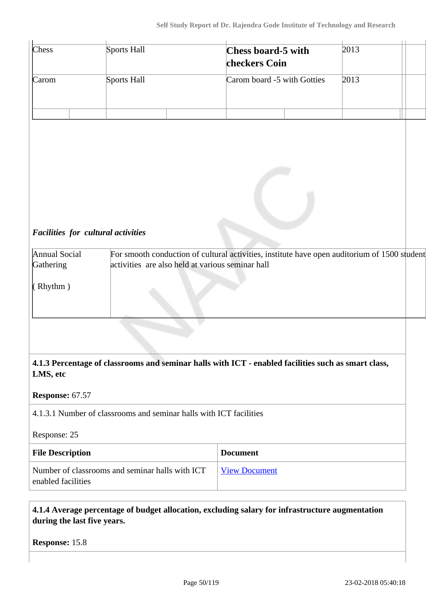|                                                                        | Sports Hall                                                        | <b>Chess board-5 with</b><br>checkers Coin                                                          | 2013 |  |
|------------------------------------------------------------------------|--------------------------------------------------------------------|-----------------------------------------------------------------------------------------------------|------|--|
| Carom                                                                  | Sports Hall                                                        | Carom board -5 with Gotties                                                                         | 2013 |  |
|                                                                        |                                                                    |                                                                                                     |      |  |
| Facilities for cultural activities<br>Annual Social<br>Gathering       | activities are also held at various seminar hall                   | For smooth conduction of cultural activities, institute have open auditorium of 1500 student        |      |  |
| (Rhythm)                                                               |                                                                    |                                                                                                     |      |  |
|                                                                        |                                                                    | 4.1.3 Percentage of classrooms and seminar halls with ICT - enabled facilities such as smart class, |      |  |
|                                                                        |                                                                    |                                                                                                     |      |  |
|                                                                        |                                                                    |                                                                                                     |      |  |
|                                                                        | 4.1.3.1 Number of classrooms and seminar halls with ICT facilities |                                                                                                     |      |  |
|                                                                        |                                                                    |                                                                                                     |      |  |
| LMS, etc<br>Response: 67.57<br>Response: 25<br><b>File Description</b> |                                                                    | <b>Document</b>                                                                                     |      |  |

 **4.1.4 Average percentage of budget allocation, excluding salary for infrastructure augmentation during the last five years.**

**Response:** 15.8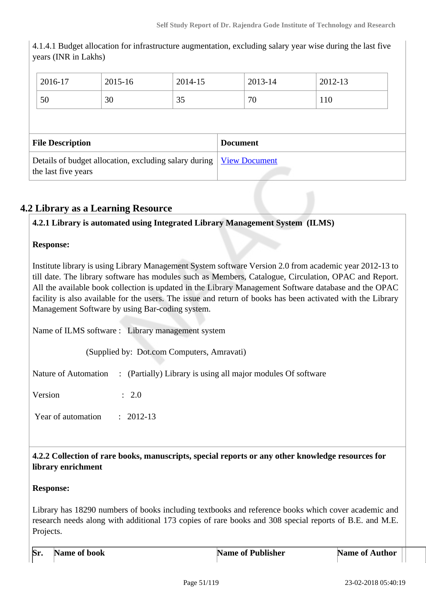| years (INR in Lakhs)                                                         |         |         |                 |                      |         |  |
|------------------------------------------------------------------------------|---------|---------|-----------------|----------------------|---------|--|
| 2016-17                                                                      | 2015-16 | 2014-15 |                 | 2013-14              | 2012-13 |  |
| 50                                                                           | 30      | 35      |                 | 70                   | 110     |  |
|                                                                              |         |         |                 |                      |         |  |
| <b>File Description</b>                                                      |         |         | <b>Document</b> |                      |         |  |
| Details of budget allocation, excluding salary during<br>the last five years |         |         |                 | <b>View Document</b> |         |  |

4.1.4.1 Budget allocation for infrastructure augmentation, excluding salary year wise during the last five

# **4.2 Library as a Learning Resource**

## **4.2.1 Library is automated using Integrated Library Management System (ILMS)**

#### **Response:**

Institute library is using Library Management System software Version 2.0 from academic year 2012-13 to till date. The library software has modules such as Members, Catalogue, Circulation, OPAC and Report. All the available book collection is updated in the Library Management Software database and the OPAC facility is also available for the users. The issue and return of books has been activated with the Library Management Software by using Bar-coding system.

Name of ILMS software : Library management system

(Supplied by: Dot.com Computers, Amravati)

Nature of Automation : (Partially) Library is using all major modules Of software

Version : 2.0

Year of automation : 2012-13

 **4.2.2 Collection of rare books, manuscripts, special reports or any other knowledge resources for library enrichment**

#### **Response:**

Library has 18290 numbers of books including textbooks and reference books which cover academic and research needs along with additional 173 copies of rare books and 308 special reports of B.E. and M.E. Projects.

| $\mathbf{S}$ r. | Name of book | <b>Name of Publisher</b> | Name of <b>A</b><br>Author |  |
|-----------------|--------------|--------------------------|----------------------------|--|
|                 |              |                          |                            |  |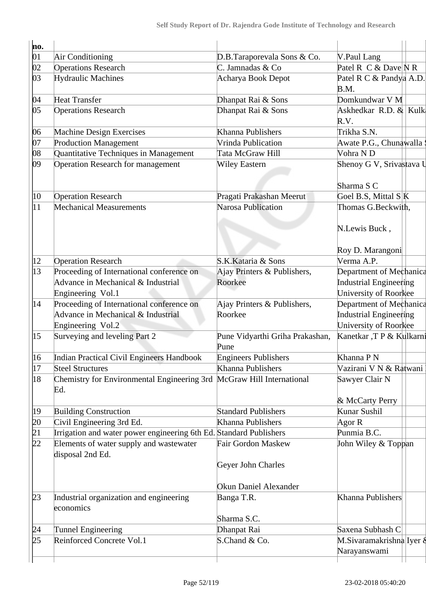| ho.             |                                                                              |                                                 |                                          |
|-----------------|------------------------------------------------------------------------------|-------------------------------------------------|------------------------------------------|
| $ 01\rangle$    | Air Conditioning                                                             | D.B.Taraporevala Sons & Co.                     | V.Paul Lang                              |
| $ 02\rangle$    | <b>Operations Research</b>                                                   | C. Jamnadas & Co                                | Patel R $\,C \& Dave \N$ R               |
| 03              | <b>Hydraulic Machines</b>                                                    | Acharya Book Depot                              | Patel R C & Pandya A.D.<br>B.M.          |
| 04              | <b>Heat Transfer</b>                                                         | Dhanpat Rai & Sons                              | Domkundwar V M                           |
| 05              | <b>Operations Research</b>                                                   | Dhanpat Rai & Sons                              | Askhedkar R.D. $\&$ Kulk<br>R.V.         |
| 06              | Machine Design Exercises                                                     | Khanna Publishers                               | Trikha S.N.                              |
| 07              | <b>Production Management</b>                                                 | Vrinda Publication                              | Awate P.G., Chunawalla :                 |
| 08              | Quantitative Techniques in Management                                        | Tata McGraw Hill                                | Vohra ND                                 |
| 09              | <b>Operation Research for management</b>                                     | <b>Wiley Eastern</b>                            | Shenoy G V, Srivastava U                 |
|                 |                                                                              |                                                 | Sharma S C                               |
| $ 10\rangle$    | <b>Operation Research</b>                                                    | Pragati Prakashan Meerut                        | Goel B.S, Mittal S K                     |
| 11              | <b>Mechanical Measurements</b>                                               | Narosa Publication                              | Thomas G.Beckwith,                       |
|                 |                                                                              |                                                 | N.Lewis Buck,                            |
|                 |                                                                              |                                                 | Roy D. Marangoni                         |
| $ 12\rangle$    | <b>Operation Research</b>                                                    | S.K.Kataria & Sons                              | Verma A.P.                               |
| 13              | Proceeding of International conference on                                    | Ajay Printers & Publishers,                     | Department of Mechanica                  |
|                 | Advance in Mechanical & Industrial                                           | Roorkee                                         | Industrial Engineering                   |
|                 | Engineering Vol.1                                                            |                                                 | University of Roorkee                    |
| 14              | Proceeding of International conference on                                    | Ajay Printers & Publishers,                     | Department of Mechanica                  |
|                 | Advance in Mechanical & Industrial                                           | Roorkee                                         | Industrial Engineering                   |
|                 | Engineering Vol.2                                                            |                                                 | University of Roorkee                    |
| 15              | Surveying and leveling Part 2                                                | Pune Vidyarthi Griha Prakashan,<br>Pune         | Kanetkar ,T P & Kulkarni                 |
| 16              | Indian Practical Civil Engineers Handbook                                    | <b>Engineers Publishers</b>                     | Khanna P N                               |
| 17              | <b>Steel Structures</b>                                                      | Khanna Publishers                               | Vazirani V N & Ratwani                   |
| 18              | Chemistry for Environmental Engineering 3rd McGraw Hill International<br>Ed. |                                                 | Sawyer Clair N                           |
|                 |                                                                              |                                                 | & McCarty Perry                          |
| $ 19\rangle$    | <b>Building Construction</b>                                                 | <b>Standard Publishers</b>                      | Kunar Sushil                             |
| 20              | Civil Engineering 3rd Ed.                                                    | Khanna Publishers                               | Agor R                                   |
| $\sqrt{21}$     | Irrigation and water power engineering 6th Ed. Standard Publishers           |                                                 | Punmia B.C.                              |
| $\overline{22}$ | Elements of water supply and wastewater<br>disposal 2nd Ed.                  | <b>Fair Gordon Maskew</b><br>Geyer John Charles | John Wiley & Toppan                      |
|                 |                                                                              | Okun Daniel Alexander                           |                                          |
| 23              | Industrial organization and engineering<br>economics                         | Banga T.R.                                      | Khanna Publishers                        |
|                 |                                                                              | Sharma S.C.                                     |                                          |
| 24              | <b>Tunnel Engineering</b>                                                    | Dhanpat Rai                                     | Saxena Subhash C                         |
| þ5              | Reinforced Concrete Vol.1                                                    | S.Chand & Co.                                   | M.Sivaramakrishna Iyer &<br>Narayanswami |
|                 |                                                                              |                                                 |                                          |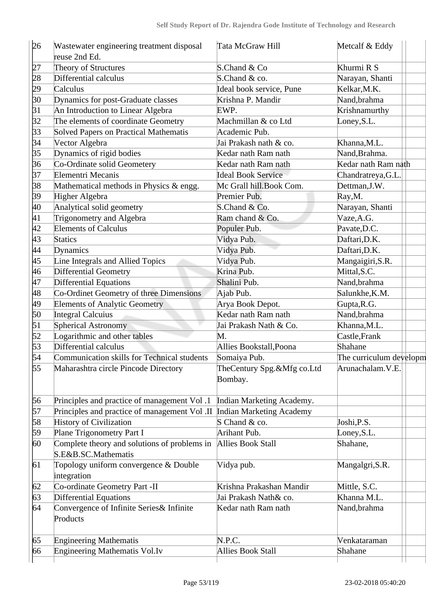| 26        | Wastewater engineering treatment disposal     | Tata McGraw Hill                | Metcalf & Eddy          |
|-----------|-----------------------------------------------|---------------------------------|-------------------------|
|           | reuse 2nd Ed.                                 |                                 |                         |
| þ7        | Theory of Structures                          | S.Chand & Co                    | Khurmi R S              |
| 28        | Differential calculus                         | S.Chand & co.                   | Narayan, Shanti         |
| 29        | Calculus                                      | Ideal book service, Pune        | Kelkar, M.K.            |
| 30        | Dynamics for post-Graduate classes            | Krishna P. Mandir               | Nand, brahma            |
| $\beta$ 1 | An Introduction to Linear Algebra             | EWP.                            | Krishnamurthy           |
| 32        | The elements of coordinate Geometry           | Machmillan & co Ltd             | Loney, S.L.             |
| 33        | Solved Papers on Practical Mathematis         | Academic Pub.                   |                         |
| 34        | Vector Algebra                                | Jai Prakash nath & co.          | Khanna, M.L.            |
| 35        | Dynamics of rigid bodies                      | Kedar nath Ram nath             | Nand, Brahma.           |
| 36        | Co-Ordinate solid Geometery                   | Kedar nath Ram nath             | Kedar nath Ram nath     |
| 37        | Elementri Mecanis                             | <b>Ideal Book Service</b>       | Chandratreya, G.L.      |
| 38        | Mathematical methods in Physics & engg.       | Mc Grall hill.Book Com.         | Dettman, J.W.           |
| 39        | Higher Algebra                                | Premier Pub.                    | Ray, M.                 |
| 40        | Analytical solid geometry                     | S.Chand & Co.                   | Narayan, Shanti         |
| 41        | Trigonometry and Algebra                      | Ram chand & Co.                 | Vaze, A.G.              |
| 42        | <b>Elements of Calculus</b>                   | Populer Pub.                    | Pavate, D.C.            |
| 43        | <b>Statics</b>                                | Vidya Pub.                      | Daftari, D.K.           |
| 44        | Dynamics                                      | Vidya Pub.                      | Daftari, D.K.           |
| 45        | Line Integrals and Allied Topics              | Vidya Pub.                      | Mangaigiri, S.R.        |
| 46        | Differential Geometry                         | Krina Pub.                      | Mittal, S.C.            |
| 47        | <b>Differential Equations</b>                 | Shalini Pub.                    | Nand, brahma            |
| 48        | Co-Ordinet Geometry of three Dimensions       | Ajab Pub.                       | Salunkhe, K.M.          |
| 49        | <b>Elements of Analytic Geometry</b>          | Arya Book Depot.                | Gupta, R.G.             |
| 50        | <b>Integral Calcuius</b>                      | Kedar nath Ram nath             | Nand, brahma            |
| 51        | <b>Spherical Astronomy</b>                    | Jai Prakash Nath & Co.          | Khanna, M.L.            |
| 52        | Logarithmic and other tables                  | M.                              | Castle, Frank           |
| 53        | Differential calculus                         | Allies Bookstall, Poona         | Shahane                 |
| 54        | Communication skills for Technical students   | Somaiya Pub.                    | The curriculum developm |
| 55        | Maharashtra circle Pincode Directory          | TheCentury Spg.&Mfg co.Ltd      | Arunachalam.V.E.        |
|           |                                               | Bombay.                         |                         |
|           |                                               |                                 |                         |
| 56        | Principles and practice of management Vol.1   | Indian Marketing Academy.       |                         |
| 57        | Principles and practice of management Vol .II | <b>Indian Marketing Academy</b> |                         |
| 58        | <b>History of Civilization</b>                | S Chand & co.                   | Joshi, P.S.             |
| 59        | Plane Trigonometry Part I                     | Arihant Pub.                    | Loney, S.L.             |
| 60        | Complete theory and solutions of problems in  | Allies Book Stall               | Shahane,                |
|           | S.E&B.SC.Mathematis                           |                                 |                         |
| 61        | Topology uniform convergence & Double         | Vidya pub.                      | Mangalgri, S.R.         |
|           | integration                                   |                                 |                         |
| 62        | Co-ordinate Geometry Part -II                 | Krishna Prakashan Mandir        | Mittle, S.C.            |
| 63        | <b>Differential Equations</b>                 | Jai Prakash Nath& co.           | Khanna M.L.             |
| 64        | Convergence of Infinite Series& Infinite      | Kedar nath Ram nath             | Nand, brahma            |
|           | Products                                      |                                 |                         |
|           |                                               |                                 |                         |
| 65        | <b>Engineering Mathematis</b>                 | N.P.C.                          | Venkataraman            |
| 66        | <b>Engineering Mathematis Vol.Iv</b>          | <b>Allies Book Stall</b>        | Shahane                 |
|           |                                               |                                 |                         |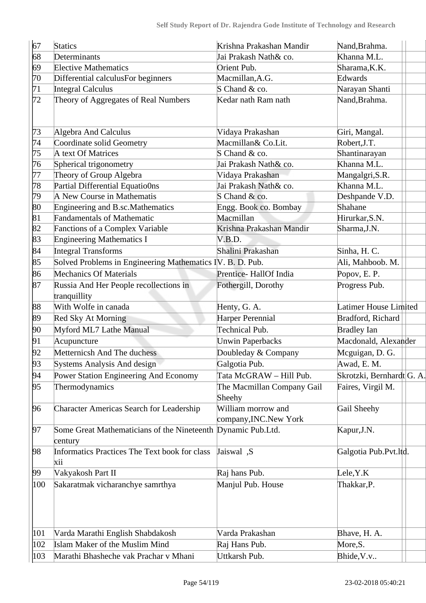| 67            | <b>Statics</b>                                                          | Krishna Prakashan Mandir                     | Nand, Brahma.             |
|---------------|-------------------------------------------------------------------------|----------------------------------------------|---------------------------|
| 68            | Determinants                                                            | Jai Prakash Nath& co.                        | Khanna M.L.               |
| 69            | <b>Elective Mathematics</b>                                             | Orient Pub.                                  | Sharama, K.K.             |
| $ 70\rangle$  | Differential calculusFor beginners                                      | Macmillan, A.G.                              | Edwards                   |
| 71            | <b>Integral Calculus</b>                                                | S Chand & co.                                | Narayan Shanti            |
| 72            | Theory of Aggregates of Real Numbers                                    | Kedar nath Ram nath                          | Nand, Brahma.             |
| 73            | Algebra And Calculus                                                    | Vidaya Prakashan                             | Giri, Mangal.             |
| 74            | Coordinate solid Geometry                                               | Macmillan& Co.Lit.                           | Robert, J.T.              |
| 75            | A text Of Matrices                                                      | S Chand & co.                                | Shantinarayan             |
| 76            | Spherical trigonometry                                                  | Jai Prakash Nath& co.                        | Khanna M.L.               |
| 77            | Theory of Group Algebra                                                 | Vidaya Prakashan                             | Mangalgri, S.R.           |
| 78            | Partial Differential Equatio0ns                                         | Jai Prakash Nath& co.                        | Khanna M.L.               |
| 79            | A New Course in Mathematis                                              | S Chand & co.                                | Deshpande V.D.            |
| 80            | Engineering and B.sc.Mathematics                                        | Engg. Book co. Bombay                        | Shahane                   |
| 81            | <b>Fandamentals of Mathematic</b>                                       | Macmillan                                    | Hirurkar, S.N.            |
| 82            | Fanctions of a Complex Variable                                         | Krishna Prakashan Mandir                     | Sharma, J.N.              |
| 83            | <b>Engineering Mathematics I</b>                                        | V.B.D.                                       |                           |
| 84            | <b>Integral Transforms</b>                                              | Shalini Prakashan                            | Sinha, H. C.              |
| 85            | Solved Problems in Engineering Mathematics IV. B. D. Pub.               |                                              | Ali, Mahboob. M.          |
| 86            | <b>Mechanics Of Materials</b>                                           | Prentice-HallOf India                        | Popov, E.P.               |
| 87            | Russia And Her People recollections in<br>tranquillity                  | Fothergill, Dorothy                          | Progress Pub.             |
| 88            | With Wolfe in canada                                                    | Henty, G. A.                                 | Latimer House Limited     |
| 89            | Red Sky At Morning                                                      | Harper Perennial                             | Bradford, Richard         |
| 90            | Myford ML7 Lathe Manual                                                 | <b>Technical Pub.</b>                        | <b>Bradley Ian</b>        |
| 91            | Acupuncture                                                             | <b>Unwin Paperbacks</b>                      | Macdonald, Alexander      |
| 92            | Metternicsh And The duchess                                             | Doubleday & Company                          | Mcguigan, D. G.           |
| 93            | Systems Analysis And design                                             | Galgotia Pub.                                | Awad, E. M.               |
| 94            | Power Station Engineering And Economy                                   | Tata McGRAW - Hill Pub.                      | Skrotzki, Bernhardt G. A. |
| 95            | Thermodynamics                                                          | The Macmillan Company Gail<br>Sheehy         | Faires, Virgil M.         |
| 96            | <b>Character Americas Search for Leadership</b>                         | William morrow and<br>company, INC. New York | Gail Sheehy               |
| 97            | Some Great Mathematicians of the Nineteenth Dynamic Pub.Ltd.<br>century |                                              | Kapur, J.N.               |
| 98            | Informatics Practices The Text book for class<br>xii                    | Jaiswal ,S                                   | Galgotia Pub.Pvt.ltd.     |
| 99            | Vakyakosh Part II                                                       | Raj hans Pub.                                | Lele, Y.K                 |
| 100           | Sakaratmak vicharanchye samrthya                                        | Manjul Pub. House                            | Thakkar, P.               |
| 101           | Varda Marathi English Shabdakosh                                        | Varda Prakashan                              | Bhave, H. A.              |
| $ 102\rangle$ | Islam Maker of the Muslim Mind                                          | Raj Hans Pub.                                | More, S.                  |
| $ 103\rangle$ | Marathi Bhasheche vak Prachar v Mhani                                   | Uttkarsh Pub.                                | Bhide, V.v                |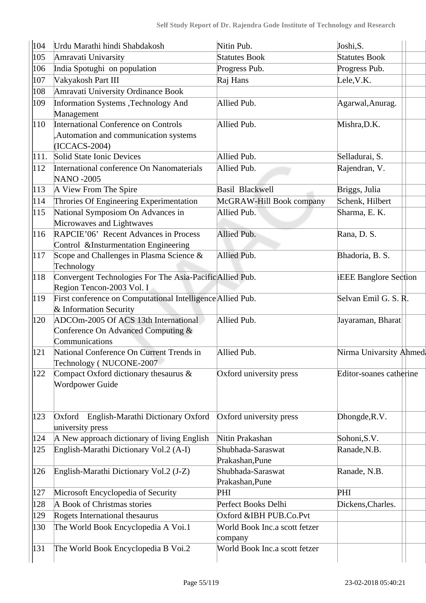| 104           | Urdu Marathi hindi Shabdakosh                                       | Nitin Pub.                    | Joshi, S.                    |
|---------------|---------------------------------------------------------------------|-------------------------------|------------------------------|
| 105           | Amravati Univarsity                                                 | <b>Statutes Book</b>          | <b>Statutes Book</b>         |
| 106           | India Spotughi on population                                        | Progress Pub.                 | Progress Pub.                |
| 107           | Vakyakosh Part III                                                  | Raj Hans                      | Lele, V.K.                   |
| 108           | Amravati University Ordinance Book                                  |                               |                              |
| 109           | Information Systems ,Technology And                                 | Allied Pub.                   | Agarwal, Anurag.             |
|               | Management                                                          |                               |                              |
| $ 110\rangle$ | International Conference on Controls                                | Allied Pub.                   | Mishra, D.K.                 |
|               | Automation and communication systems                                |                               |                              |
|               | (ICCACS-2004)                                                       |                               |                              |
| 111.          | Solid State Ionic Devices                                           | Allied Pub.                   | Selladurai, S.               |
| $ 112\rangle$ | International conference On Nanomaterials                           | Allied Pub.                   | Rajendran, V.                |
|               | <b>NANO -2005</b>                                                   |                               |                              |
| $ 113\rangle$ | A View From The Spire                                               | <b>Basil Blackwell</b>        | Briggs, Julia                |
| 114           | Throries Of Engineering Experimentation                             | McGRAW-Hill Book company      | Schenk, Hilbert              |
| 115           | National Symposiom On Advances in                                   | Allied Pub.                   | Sharma, E. K.                |
|               | Microwaves and Lightwaves                                           |                               |                              |
| 116           | RAPCIE'06' Recent Advances in Process                               | Allied Pub.                   | Rana, D. S.                  |
|               | Control &Insturmentation Engineering                                |                               |                              |
| 117           | Scope and Challenges in Plasma Science &                            | Allied Pub.                   | Bhadoria, B. S.              |
|               | Technology                                                          |                               |                              |
| 118           | Convergent Technologies For The Asia-Pacific Allied Pub.            |                               | <b>iEEE Banglore Section</b> |
|               | Region Tencon-2003 Vol. I                                           |                               |                              |
| $ 119\rangle$ | First conference on Computational Intelligence Allied Pub.          |                               | Selvan Emil G. S. R.         |
|               | & Information Security                                              |                               |                              |
| 120           | ADCOm-2005 Of ACS 13th International                                | Allied Pub.                   | Jayaraman, Bharat            |
|               | Conference On Advanced Computing &                                  |                               |                              |
|               | Communications                                                      |                               |                              |
| 121           | National Conference On Current Trends in<br>Technology (NUCONE-2007 | Allied Pub.                   | Nirma Univarsity Ahmed       |
| 122           | Compact Oxford dictionary thesaurus &                               | Oxford university press       | Editor-soanes catherine      |
|               | Wordpower Guide                                                     |                               |                              |
|               |                                                                     |                               |                              |
|               |                                                                     |                               |                              |
| 123           | English-Marathi Dictionary Oxford<br>Oxford                         | Oxford university press       | Dhongde, R.V.                |
|               | university press                                                    |                               |                              |
| 124           | A New approach dictionary of living English                         | Nitin Prakashan               | Sohoni, S.V.                 |
| $ 125\rangle$ | English-Marathi Dictionary Vol.2 (A-I)                              | Shubhada-Saraswat             | Ranade, N.B.                 |
|               |                                                                     | Prakashan, Pune               |                              |
| 126           | English-Marathi Dictionary Vol.2 (J-Z)                              | Shubhada-Saraswat             | Ranade, N.B.                 |
|               |                                                                     | Prakashan, Pune               |                              |
| 127           | Microsoft Encyclopedia of Security                                  | PHI                           | PHI                          |
| 128           | A Book of Christmas stories                                         | Perfect Books Delhi           | Dickens, Charles.            |
| 129           | Rogets International thesaurus                                      | Oxford &IBH PUB.Co.Pvt        |                              |
| 130           | The World Book Encyclopedia A Voi.1                                 | World Book Inc.a scott fetzer |                              |
|               |                                                                     | company                       |                              |
| 131           | The World Book Encyclopedia B Voi.2                                 | World Book Inc.a scott fetzer |                              |
|               |                                                                     |                               |                              |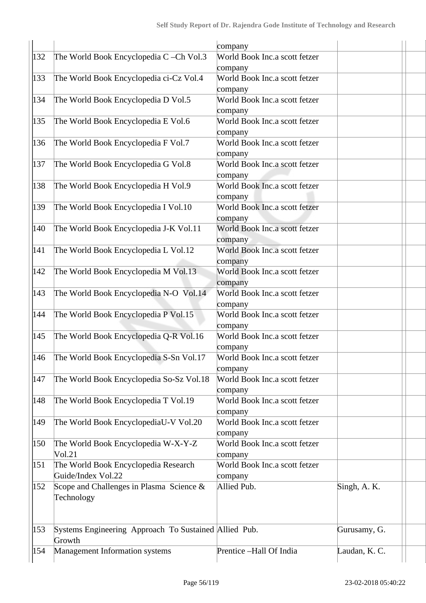|               |                                                       | company                       |               |  |
|---------------|-------------------------------------------------------|-------------------------------|---------------|--|
| 132           | The World Book Encyclopedia C-Ch Vol.3                | World Book Inc.a scott fetzer |               |  |
|               |                                                       | company                       |               |  |
| $ 133\rangle$ | The World Book Encyclopedia ci-Cz Vol.4               | World Book Inc.a scott fetzer |               |  |
|               |                                                       | company                       |               |  |
| 134           | The World Book Encyclopedia D Vol.5                   | World Book Inc.a scott fetzer |               |  |
|               |                                                       | company                       |               |  |
| 135           | The World Book Encyclopedia E Vol.6                   | World Book Inc.a scott fetzer |               |  |
|               |                                                       | company                       |               |  |
| 136           | The World Book Encyclopedia F Vol.7                   | World Book Inc.a scott fetzer |               |  |
|               |                                                       | company                       |               |  |
| 137           | The World Book Encyclopedia G Vol.8                   | World Book Inc.a scott fetzer |               |  |
|               |                                                       | company                       |               |  |
| 138           | The World Book Encyclopedia H Vol.9                   | World Book Inc.a scott fetzer |               |  |
|               |                                                       | company                       |               |  |
| 139           | The World Book Encyclopedia I Vol.10                  | World Book Inc.a scott fetzer |               |  |
|               |                                                       | company                       |               |  |
| $ 140\rangle$ | The World Book Encyclopedia J-K Vol.11                | World Book Inc.a scott fetzer |               |  |
|               |                                                       | company                       |               |  |
| 141           | The World Book Encyclopedia L Vol.12                  | World Book Inc.a scott fetzer |               |  |
|               |                                                       | company                       |               |  |
| $ 142\rangle$ | The World Book Encyclopedia M Vol.13                  | World Book Inc.a scott fetzer |               |  |
|               |                                                       | company                       |               |  |
| $ 143\rangle$ | The World Book Encyclopedia N-O Vol.14                | World Book Inc.a scott fetzer |               |  |
|               |                                                       | company                       |               |  |
| 144           | The World Book Encyclopedia P Vol.15                  | World Book Inc.a scott fetzer |               |  |
|               |                                                       | company                       |               |  |
| 145           | The World Book Encyclopedia Q-R Vol.16                | World Book Inc.a scott fetzer |               |  |
|               |                                                       | company                       |               |  |
| 146           | The World Book Encyclopedia S-Sn Vol.17               | World Book Inc.a scott fetzer |               |  |
|               |                                                       | company                       |               |  |
| 147           | The World Book Encyclopedia So-Sz Vol.18              | World Book Inc.a scott fetzer |               |  |
|               |                                                       | company                       |               |  |
| 148           | The World Book Encyclopedia T Vol.19                  | World Book Inc.a scott fetzer |               |  |
|               |                                                       | company                       |               |  |
| 149           | The World Book EncyclopediaU-V Vol.20                 | World Book Inc.a scott fetzer |               |  |
|               |                                                       | company                       |               |  |
| 150           | The World Book Encyclopedia W-X-Y-Z                   | World Book Inc.a scott fetzer |               |  |
|               | Vol.21                                                | company                       |               |  |
| 151           | The World Book Encyclopedia Research                  | World Book Inc.a scott fetzer |               |  |
|               | Guide/Index Vol.22                                    | company                       |               |  |
| 152           | Scope and Challenges in Plasma Science &              | Allied Pub.                   | Singh, A. K.  |  |
|               | Technology                                            |                               |               |  |
|               |                                                       |                               |               |  |
|               |                                                       |                               |               |  |
| 153           | Systems Engineering Approach To Sustained Allied Pub. |                               | Gurusamy, G.  |  |
|               | Growth                                                |                               |               |  |
| 154           | Management Information systems                        | Prentice -Hall Of India       | Laudan, K. C. |  |
|               |                                                       |                               |               |  |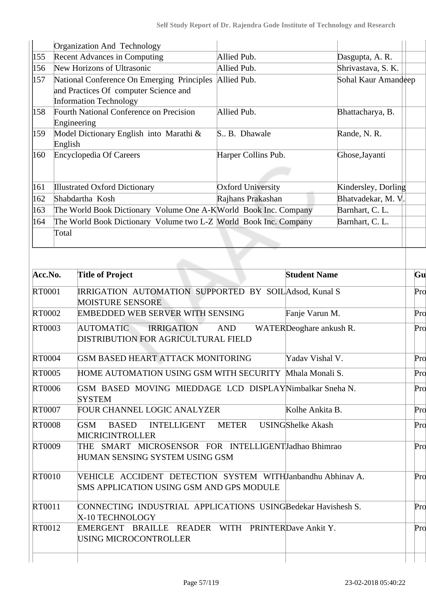|                   | Organization And Technology                                                                                          |                          |                          |                     |     |
|-------------------|----------------------------------------------------------------------------------------------------------------------|--------------------------|--------------------------|---------------------|-----|
| 155               | <b>Recent Advances in Computing</b>                                                                                  | Allied Pub.              |                          | Dasgupta, A. R.     |     |
| 156               | New Horizons of Ultrasonic                                                                                           | Allied Pub.              |                          | Shrivastava, S. K.  |     |
| $\vert 157 \vert$ | National Conference On Emerging Principles<br>and Practices Of computer Science and<br><b>Information Technology</b> | Allied Pub.              |                          | Sohal Kaur Amandeep |     |
| 158               | Fourth National Conference on Precision<br>Engineering                                                               | Allied Pub.              |                          | Bhattacharya, B.    |     |
| 159               | Model Dictionary English into Marathi &<br>English                                                                   | S., B. Dhawale           |                          | Rande, N. R.        |     |
| 160               | Encyclopedia Of Careers                                                                                              | Harper Collins Pub.      |                          | Ghose, Jayanti      |     |
| 161               | <b>Illustrated Oxford Dictionary</b>                                                                                 | <b>Oxford University</b> |                          | Kindersley, Dorling |     |
| $ 162\rangle$     | Shabdartha Kosh                                                                                                      | Rajhans Prakashan        |                          | Bhatvadekar, M. V.  |     |
| 163               | The World Book Dictionary Volume One A-K World Book Inc. Company                                                     |                          |                          | Barnhart, C. L.     |     |
| $ 164\rangle$     | The World Book Dictionary Volume two L-Z World Book Inc. Company<br>Total                                            |                          |                          | Barnhart, C. L.     |     |
| Acc.No.           | <b>Title of Project</b>                                                                                              |                          | <b>Student Name</b>      |                     | Gu  |
| RT0001            | IRRIGATION AUTOMATION SUPPORTED BY SOILAdsod, Kunal S<br><b>MOISTURE SENSORE</b>                                     |                          |                          |                     | Pro |
| RT0002            | EMBEDDED WEB SERVER WITH SENSING                                                                                     |                          | Fanje Varun M.           |                     | Pro |
| RT0003            | <b>IRRIGATION</b><br><b>AUTOMATIC</b><br>DISTRIBUTION FOR AGRICULTURAL FIELD                                         | <b>AND</b>               | WATERDeoghare ankush R.  |                     | Pro |
| RT0004            | GSM BASED HEART ATTACK MONITORING                                                                                    |                          | Yadav Vishal V.          |                     | Pro |
| <b>RT0005</b>     | HOME AUTOMATION USING GSM WITH SECURITY Mhala Monali S.                                                              |                          |                          |                     | Pro |
| <b>RT0006</b>     | GSM BASED MOVING MIEDDAGE LCD DISPLAYNimbalkar Sneha N.<br><b>SYSTEM</b>                                             |                          |                          |                     | Pro |
| <b>RT0007</b>     | FOUR CHANNEL LOGIC ANALYZER                                                                                          |                          | Kolhe Ankita B.          |                     | Pro |
| <b>RT0008</b>     | <b>GSM</b><br><b>BASED</b><br>INTELLIGENT<br><b>MICRICINTROLLER</b>                                                  | <b>METER</b>             | <b>USINGShelke Akash</b> |                     | Pro |
| RT0009            | THE SMART MICROSENSOR FOR INTELLIGENTJadhao Bhimrao<br>HUMAN SENSING SYSTEM USING GSM                                |                          |                          |                     | Pro |
| <b>RT0010</b>     | VEHICLE ACCIDENT DETECTION SYSTEM WITHJanbandhu Abhinav A.<br>SMS APPLICATION USING GSM AND GPS MODULE               |                          |                          |                     | Pro |
| RT0011            | CONNECTING INDUSTRIAL APPLICATIONS USINGBedekar Havishesh S.<br>X-10 TECHNOLOGY                                      |                          |                          |                     | Pro |
| RT0012            | EMERGENT BRAILLE READER WITH PRINTERDave Ankit Y.<br>USING MICROCONTROLLER                                           |                          |                          |                     | Pro |
|                   |                                                                                                                      |                          |                          |                     |     |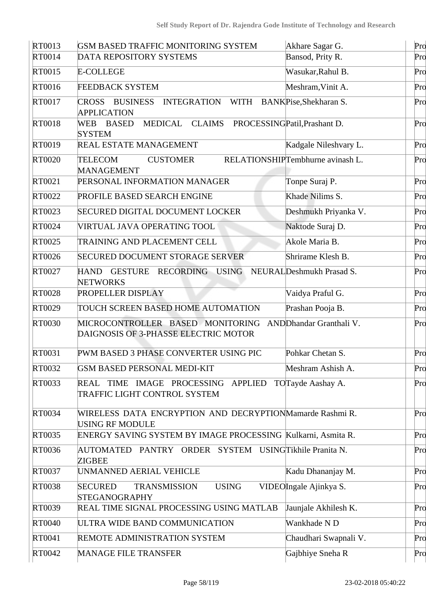| RT0013        | GSM BASED TRAFFIC MONITORING SYSTEM                                                        | Akhare Sagar G.                  | Pro |
|---------------|--------------------------------------------------------------------------------------------|----------------------------------|-----|
| RT0014        | DATA REPOSITORY SYSTEMS                                                                    | Bansod, Prity R.                 | Pro |
| RT0015        | <b>E-COLLEGE</b>                                                                           | Wasukar, Rahul B.                | Pro |
| RT0016        | <b>FEEDBACK SYSTEM</b>                                                                     | Meshram, Vinit A.                | Pro |
| RT0017        | <b>BUSINESS</b><br><b>INTEGRATION</b><br><b>WITH</b><br><b>CROSS</b><br><b>APPLICATION</b> | BANKPise, Shekharan S.           | Pro |
| <b>RT0018</b> | MEDICAL<br><b>CLAIMS</b><br><b>BASED</b><br>WEB<br><b>SYSTEM</b>                           | PROCESSINGPatil, Prashant D.     | Pro |
| RT0019        | REAL ESTATE MANAGEMENT                                                                     | Kadgale Nileshvary L.            | Pro |
| <b>RT0020</b> | <b>TELECOM</b><br><b>CUSTOMER</b><br><b>MANAGEMENT</b>                                     | RELATIONSHIPTembhurne avinash L. | Pro |
| RT0021        | PERSONAL INFORMATION MANAGER                                                               | Tonpe Suraj P.                   | Pro |
| RT0022        | PROFILE BASED SEARCH ENGINE                                                                | Khade Nilims S.                  | Pro |
| RT0023        | <b>SECURED DIGITAL DOCUMENT LOCKER</b>                                                     | Deshmukh Priyanka V.             | Pro |
| RT0024        | VIRTUAL JAVA OPERATING TOOL                                                                | Naktode Suraj D.                 | Pro |
| RT0025        | TRAINING AND PLACEMENT CELL                                                                | Akole Maria B.                   | Pro |
| RT0026        | <b>SECURED DOCUMENT STORAGE SERVER</b>                                                     | Shrirame Klesh B.                | Pro |
| RT0027        | GESTURE RECORDING USING<br><b>HAND</b><br><b>NETWORKS</b>                                  | NEURALDeshmukh Prasad S.         | Pro |
| <b>RT0028</b> | PROPELLER DISPLAY                                                                          | Vaidya Praful G.                 | Pro |
| RT0029        | TOUCH SCREEN BASED HOME AUTOMATION                                                         | Prashan Pooja B.                 | Pro |
| RT0030        | MICROCONTROLLER BASED MONITORING<br>DAIGNOSIS OF 3-PHASSE ELECTRIC MOTOR                   | ANDD handar Granthali V.         | Pro |
| RT0031        | PWM BASED 3 PHASE CONVERTER USING PIC                                                      | Pohkar Chetan S.                 | Pro |
| RT0032        | <b>GSM BASED PERSONAL MEDI-KIT</b>                                                         | Meshram Ashish A.                | Pro |
| RT0033        | TIME IMAGE PROCESSING APPLIED<br><b>REAL</b><br>TRAFFIC LIGHT CONTROL SYSTEM               | TOTayde Aashay A.                | Pro |
| RT0034        | WIRELESS DATA ENCRYPTION AND DECRYPTIONMamarde Rashmi R.<br>USING RF MODULE                |                                  | Pro |
| RT0035        | ENERGY SAVING SYSTEM BY IMAGE PROCESSING Kulkarni, Asmita R.                               |                                  | Pro |
| RT0036        | AUTOMATED PANTRY ORDER SYSTEM USINGTikhile Pranita N.<br><b>ZIGBEE</b>                     |                                  | Pro |
| RT0037        | UNMANNED AERIAL VEHICLE                                                                    | Kadu Dhananjay M.                | Pro |
| <b>RT0038</b> | <b>SECURED</b><br><b>USING</b><br><b>TRANSMISSION</b><br><b>STEGANOGRAPHY</b>              | VIDEOIngale Ajinkya S.           | Pro |
| RT0039        | REAL TIME SIGNAL PROCESSING USING MATLAB                                                   | Jaunjale Akhilesh K.             | Pro |
| <b>RT0040</b> | ULTRA WIDE BAND COMMUNICATION                                                              | Wankhade N D                     | Pro |
| RT0041        | REMOTE ADMINISTRATION SYSTEM                                                               | Chaudhari Swapnali V.            | Pro |
| RT0042        | <b>MANAGE FILE TRANSFER</b>                                                                | Gajbhiye Sneha R                 | Pro |
|               |                                                                                            |                                  |     |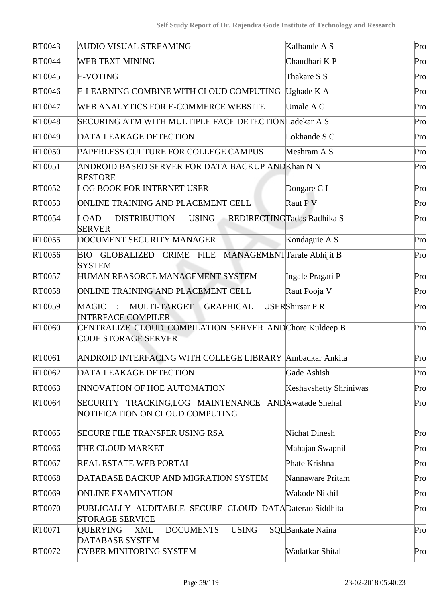| RT0043        | <b>AUDIO VISUAL STREAMING</b>                                                           | Kalbande A S                  | Pro |
|---------------|-----------------------------------------------------------------------------------------|-------------------------------|-----|
| <b>RT0044</b> | <b>WEB TEXT MINING</b>                                                                  | Chaudhari KP                  | Pro |
| RT0045        | E-VOTING                                                                                | Thakare S S                   | Pro |
| RT0046        | E-LEARNING COMBINE WITH CLOUD COMPUTING                                                 | Ughade K A                    | Pro |
| RT0047        | WEB ANALYTICS FOR E-COMMERCE WEBSITE                                                    | Umale A G                     | Pro |
| <b>RT0048</b> | SECURING ATM WITH MULTIPLE FACE DETECTIONLadekar A S                                    |                               | Pro |
| RT0049        | <b>DATA LEAKAGE DETECTION</b>                                                           | Lokhande S C                  | Pro |
| <b>RT0050</b> | PAPERLESS CULTURE FOR COLLEGE CAMPUS                                                    | Meshram A S                   | Pro |
| RT0051        | ANDROID BASED SERVER FOR DATA BACKUP ANDKhan N N<br><b>RESTORE</b>                      |                               | Pro |
| RT0052        | <b>LOG BOOK FOR INTERNET USER</b>                                                       | Dongare C I                   | Pro |
| RT0053        | ONLINE TRAINING AND PLACEMENT CELL                                                      | Raut P V                      | Pro |
| <b>RT0054</b> | <b>LOAD</b><br><b>USING</b><br>DISTRIBUTION<br><b>SERVER</b>                            | REDIRECTINGTadas Radhika S    | Pro |
| RT0055        | DOCUMENT SECURITY MANAGER                                                               | Kondaguie A S                 | Pro |
| RT0056        | BIO GLOBALIZED CRIME FILE MANAGEMENT Tarale Abhijit B<br><b>SYSTEM</b>                  |                               | Pro |
| RT0057        | HUMAN REASORCE MANAGEMENT SYSTEM                                                        | Ingale Pragati P              | Pro |
| RT0058        | ONLINE TRAINING AND PLACEMENT CELL                                                      | Raut Pooja V                  | Pro |
| RT0059        | MULTI-TARGET<br><b>GRAPHICAL</b><br>MAGIC<br>$\sim$ 10<br><b>INTERFACE COMPILER</b>     | <b>USERShirsar P R</b>        | Pro |
| RT0060        | CENTRALIZE CLOUD COMPILATION SERVER AND Chore Kuldeep B<br><b>CODE STORAGE SERVER</b>   |                               | Pro |
| RT0061        | ANDROID INTERFACING WITH COLLEGE LIBRARY Ambadkar Ankita                                |                               | Pro |
| RT0062        | <b>DATA LEAKAGE DETECTION</b>                                                           | Gade Ashish                   | Pro |
| RT0063        | <b>INNOVATION OF HOE AUTOMATION</b>                                                     | <b>Keshavshetty Shriniwas</b> | Pro |
| <b>RT0064</b> | SECURITY TRACKING,LOG MAINTENANCE AND Awatade Snehal<br>NOTIFICATION ON CLOUD COMPUTING |                               | Pro |
| RT0065        | <b>SECURE FILE TRANSFER USING RSA</b>                                                   | <b>Nichat Dinesh</b>          | Pro |
| RT0066        | THE CLOUD MARKET                                                                        | Mahajan Swapnil               | Pro |
| RT0067        | REAL ESTATE WEB PORTAL                                                                  | Phate Krishna                 | Pro |
| <b>RT0068</b> | DATABASE BACKUP AND MIGRATION SYSTEM                                                    | Nannaware Pritam              | Pro |
| RT0069        | <b>ONLINE EXAMINATION</b>                                                               | Wakode Nikhil                 | Pro |
| <b>RT0070</b> | PUBLICALLY AUDITABLE SECURE CLOUD DATADaterao Siddhita<br><b>STORAGE SERVICE</b>        |                               | Pro |
| RT0071        | <b>USING</b><br>QUERYING<br><b>XML</b><br><b>DOCUMENTS</b><br>DATABASE SYSTEM           | SQLBankate Naina              | Pro |
| RT0072        | <b>CYBER MINITORING SYSTEM</b>                                                          | Wadatkar Shital               | Pro |
|               |                                                                                         |                               |     |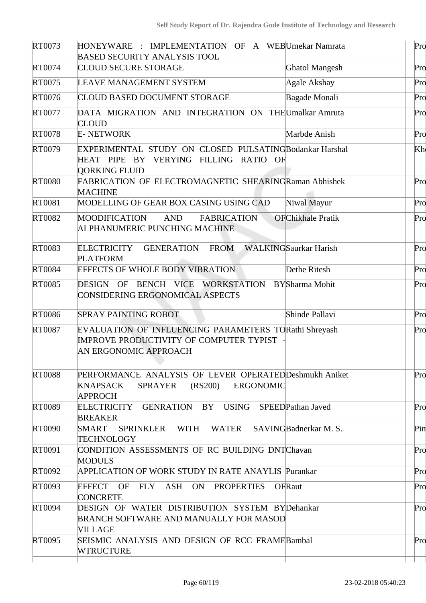| RT0073        | HONEYWARE : IMPLEMENTATION OF A WEBUmekar Namrata<br><b>BASED SECURITY ANALYSIS TOOL</b>                                                    |                              | Pro |
|---------------|---------------------------------------------------------------------------------------------------------------------------------------------|------------------------------|-----|
| RT0074        | <b>CLOUD SECURE STORAGE</b>                                                                                                                 | <b>Ghatol Mangesh</b>        | Pro |
| RT0075        | LEAVE MANAGEMENT SYSTEM                                                                                                                     | Agale Akshay                 | Pro |
| RT0076        | <b>CLOUD BASED DOCUMENT STORAGE</b>                                                                                                         | Bagade Monali                | Pro |
| RT0077        | DATA MIGRATION AND INTEGRATION ON THEUmalkar Amruta<br><b>CLOUD</b>                                                                         |                              | Pro |
| RT0078        | <b>E-NETWORK</b>                                                                                                                            | Marbde Anish                 | Pro |
| RT0079        | EXPERIMENTAL STUDY ON CLOSED PULSATINGBodankar Harshal<br>HEAT PIPE BY VERYING FILLING RATIO OF<br><b>QORKING FLUID</b>                     |                              | Kh  |
| <b>RT0080</b> | FABRICATION OF ELECTROMAGNETIC SHEARINGRaman Abhishek<br><b>MACHINE</b>                                                                     |                              | Pro |
| RT0081        | MODELLING OF GEAR BOX CASING USING CAD                                                                                                      | Niwal Mayur                  | Pro |
| RT0082        | <b>MOODIFICATION</b><br><b>AND</b><br><b>FABRICATION</b><br>ALPHANUMERIC PUNCHING MACHINE                                                   | <b>OFChikhale Pratik</b>     | Pro |
| RT0083        | <b>ELECTRICITY</b><br><b>GENERATION</b><br><b>FROM</b><br><b>PLATFORM</b>                                                                   | <b>WALKINGSaurkar Harish</b> | Pro |
| <b>RT0084</b> | <b>EFFECTS OF WHOLE BODY VIBRATION</b>                                                                                                      | Dethe Ritesh                 | Pro |
| RT0085        | DESIGN OF BENCH VICE WORKSTATION<br>CONSIDERING ERGONOMICAL ASPECTS                                                                         | <b>BYSharma Mohit</b>        | Pro |
| RT0086        | <b>SPRAY PAINTING ROBOT</b>                                                                                                                 | Shinde Pallavi               | Pro |
| <b>RT0087</b> | EVALUATION OF INFLUENCING PARAMETERS TORathi Shreyash<br>IMPROVE PRODUCTIVITY OF COMPUTER TYPIST<br>AN ERGONOMIC APPROACH                   |                              | Pro |
| <b>RT0088</b> | PERFORMANCE ANALYSIS OF LEVER OPERATEDDeshmukh Aniket<br>(RS200)<br><b>ERGONOMIC</b><br><b>KNAPSACK</b><br><b>SPRAYER</b><br><b>APPROCH</b> |                              | Pro |
| RT0089        | ELECTRICITY<br>GENRATION BY USING SPEEDPathan Javed<br><b>BREAKER</b>                                                                       |                              | Pro |
| RT0090        | SMART<br>SPRINKLER WITH WATER<br><b>TECHNOLOGY</b>                                                                                          | SAVINGBadnerkar M. S.        | Pin |
| RT0091        | CONDITION ASSESSMENTS OF RC BUILDING DNTChavan<br><b>MODULS</b>                                                                             |                              | Pro |
| RT0092        | <b>APPLICATION OF WORK STUDY IN RATE ANAYLIS Purankar</b>                                                                                   |                              | Pro |
| RT0093        | EFFECT OF FLY ASH ON PROPERTIES OFRaut<br><b>CONCRETE</b>                                                                                   |                              | Pro |
| RT0094        | DESIGN OF WATER DISTRIBUTION SYSTEM BYDehankar<br>BRANCH SOFTWARE AND MANUALLY FOR MASOD<br>VILLAGE                                         |                              | Pro |
| RT0095        | SEISMIC ANALYSIS AND DESIGN OF RCC FRAMEBambal<br>WTRUCTURE                                                                                 |                              | Pro |
|               |                                                                                                                                             |                              |     |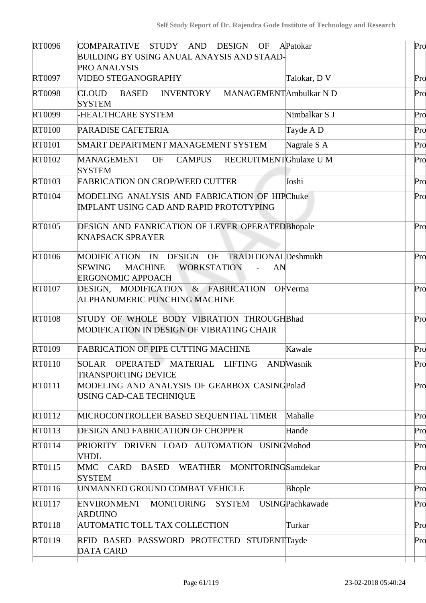| RT0096        | COMPARATIVE STUDY AND DESIGN OF APatokar<br><b>BUILDING BY USING ANUAL ANAYSIS AND STAAD-</b><br>PRO ANALYSIS                      |                        | Pro |
|---------------|------------------------------------------------------------------------------------------------------------------------------------|------------------------|-----|
| RT0097        | VIDEO STEGANOGRAPHY                                                                                                                | Talokar, DV            | Pro |
| <b>RT0098</b> | <b>CLOUD</b><br><b>BASED</b><br><b>INVENTORY</b><br><b>SYSTEM</b>                                                                  | MANAGEMENTAmbulkar N D | Pro |
| RT0099        | <b>-HEALTHCARE SYSTEM</b>                                                                                                          | Nimbalkar S J          | Pro |
| <b>RT0100</b> | PARADISE CAFETERIA                                                                                                                 | Tayde A D              | Pro |
| <b>RT0101</b> | SMART DEPARTMENT MANAGEMENT SYSTEM                                                                                                 | Nagrale S A            | Pro |
| RT0102        | RECRUITMENTGhulaxe U M<br><b>MANAGEMENT</b><br>OF<br><b>CAMPUS</b><br><b>SYSTEM</b>                                                |                        | Pro |
| RT0103        | <b>FABRICATION ON CROP/WEED CUTTER</b>                                                                                             | Joshi                  | Pro |
| RT0104        | MODELING ANALYSIS AND FABRICATION OF HIPChuke<br>IMPLANT USING CAD AND RAPID PROTOTYPING                                           |                        | Pro |
| RT0105        | DESIGN AND FANRICATION OF LEVER OPERATED Bhopale<br><b>KNAPSACK SPRAYER</b>                                                        |                        | Pro |
| RT0106        | MODIFICATION IN DESIGN OF TRADITIONALDeshmukh<br><b>SEWING</b><br><b>WORKSTATION</b><br><b>MACHINE</b><br><b>ERGONOMIC APPOACH</b> | AN                     | Pro |
| RT0107        | DESIGN, MODIFICATION & FABRICATION<br>ALPHANUMERIC PUNCHING MACHINE                                                                | OFVerma                | Pro |
| <b>RT0108</b> | STUDY OF WHOLE BODY VIBRATION THROUGHBhad<br>MODIFICATION IN DESIGN OF VIBRATING CHAIR                                             |                        | Pro |
| RT0109        | <b>FABRICATION OF PIPE CUTTING MACHINE</b>                                                                                         | Kawale                 | Pro |
| RT0110        | SOLAR OPERATED MATERIAL LIFTING ANDWasnik<br><b>TRANSPORTING DEVICE</b>                                                            |                        | Pro |
| RT0111        | MODELING AND ANALYSIS OF GEARBOX CASINGPolad<br>USING CAD-CAE TECHNIQUE                                                            |                        | Pro |
| RT0112        | MICROCONTROLLER BASED SEQUENTIAL TIMER                                                                                             | Mahalle                | Pro |
| RT0113        | <b>DESIGN AND FABRICATION OF CHOPPER</b>                                                                                           | Hande                  | Pro |
| RT0114        | PRIORITY DRIVEN LOAD AUTOMATION USINGMohod<br><b>VHDL</b>                                                                          |                        | Pro |
| RT0115        | WEATHER MONITORINGSamdekar<br>MMC CARD<br><b>BASED</b><br><b>SYSTEM</b>                                                            |                        | Pro |
| RT0116        | UNMANNED GROUND COMBAT VEHICLE                                                                                                     | <b>Bhople</b>          | Pro |
| RT0117        | ENVIRONMENT MONITORING SYSTEM<br><b>ARDUINO</b>                                                                                    | <b>USINGPachkawade</b> | Pro |
| RT0118        | AUTOMATIC TOLL TAX COLLECTION                                                                                                      | Turkar                 | Pro |
| RT0119        | RFID BASED PASSWORD PROTECTED STUDENTTayde<br><b>DATA CARD</b>                                                                     |                        | Pro |
|               |                                                                                                                                    |                        |     |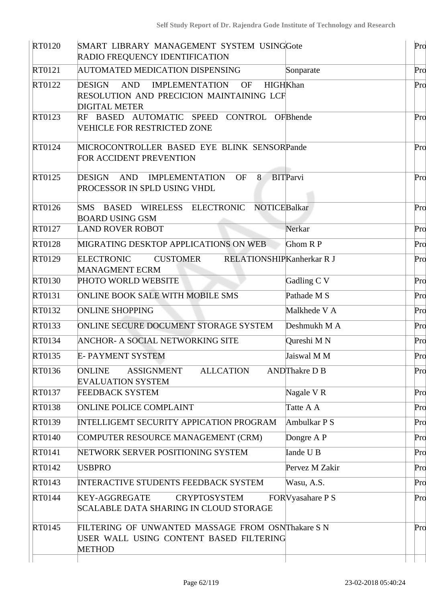| RT0120        | SMART LIBRARY MANAGEMENT SYSTEM USINGGote<br>RADIO FREQUENCY IDENTIFICATION                                                                       |                      | Pro |
|---------------|---------------------------------------------------------------------------------------------------------------------------------------------------|----------------------|-----|
| RT0121        | AUTOMATED MEDICATION DISPENSING                                                                                                                   | Sonparate            | Pro |
| RT0122        | <b>HIGHKhan</b><br><b>DESIGN</b><br><b>AND</b><br><b>IMPLEMENTATION</b><br>OF<br>RESOLUTION AND PRECICION MAINTAINING LCF<br><b>DIGITAL METER</b> |                      | Pro |
| RT0123        | RF BASED AUTOMATIC SPEED CONTROL OFBhende<br>VEHICLE FOR RESTRICTED ZONE                                                                          |                      | Pro |
| RT0124        | MICROCONTROLLER BASED EYE BLINK SENSORPande<br>FOR ACCIDENT PREVENTION                                                                            |                      | Pro |
| RT0125        | AND<br>OF<br><b>DESIGN</b><br>IMPLEMENTATION<br>8<br>PROCESSOR IN SPLD USING VHDL                                                                 | <b>BITParvi</b>      | Pro |
| RT0126        | SMS BASED WIRELESS ELECTRONIC NOTICEBalkar<br><b>BOARD USING GSM</b>                                                                              |                      | Pro |
| RT0127        | <b>LAND ROVER ROBOT</b>                                                                                                                           | Nerkar               | Pro |
| <b>RT0128</b> | MIGRATING DESKTOP APPLICATIONS ON WEB                                                                                                             | Ghom R P             | Pro |
| RT0129        | <b>CUSTOMER</b><br>RELATIONSHIPKanherkar R J<br><b>ELECTRONIC</b><br><b>MANAGMENT ECRM</b>                                                        |                      | Pro |
| RT0130        | PHOTO WORLD WEBSITE                                                                                                                               | Gadling C V          | Pro |
| RT0131        | <b>ONLINE BOOK SALE WITH MOBILE SMS</b>                                                                                                           | Pathade M S          | Pro |
| RT0132        | <b>ONLINE SHOPPING</b>                                                                                                                            | Malkhede V A         | Pro |
| RT0133        | ONLINE SECURE DOCUMENT STORAGE SYSTEM                                                                                                             | Deshmukh M A         | Pro |
| RT0134        | <b>ANCHOR- A SOCIAL NETWORKING SITE</b>                                                                                                           | Qureshi M N          | Pro |
| RT0135        | <b>E-PAYMENT SYSTEM</b>                                                                                                                           | Jaiswal M M          | Pro |
| RT0136        | <b>ASSIGNMENT</b><br><b>ALLCATION</b><br><b>ONLINE</b><br><b>EVALUATION SYSTEM</b>                                                                | <b>ANDThakre D B</b> | Pro |
| RT0137        | <b>FEEDBACK SYSTEM</b>                                                                                                                            | Nagale VR            | Pro |
| RT0138        | <b>ONLINE POLICE COMPLAINT</b>                                                                                                                    | Tatte A A            | Pro |
| RT0139        | <b>INTELLIGEMT SECURITY APPICATION PROGRAM</b>                                                                                                    | Ambulkar P S         | Pro |
| RT0140        | COMPUTER RESOURCE MANAGEMENT (CRM)                                                                                                                | Dongre A P           | Pro |
| RT0141        | NETWORK SERVER POSITIONING SYSTEM                                                                                                                 | Iande U B            | Pro |
| RT0142        | <b>USBPRO</b>                                                                                                                                     | Pervez M Zakir       | Pro |
| RT0143        | <b>INTERACTIVE STUDENTS FEEDBACK SYSTEM</b>                                                                                                       | Wasu, A.S.           | Pro |
| RT0144        | <b>KEY-AGGREGATE</b><br><b>CRYPTOSYSTEM</b><br><b>SCALABLE DATA SHARING IN CLOUD STORAGE</b>                                                      | FOR Vyasahare P S    | Pro |
| RT0145        | FILTERING OF UNWANTED MASSAGE FROM OSNThakare S N<br>USER WALL USING CONTENT BASED FILTERING<br><b>METHOD</b>                                     |                      | Pro |
|               |                                                                                                                                                   |                      |     |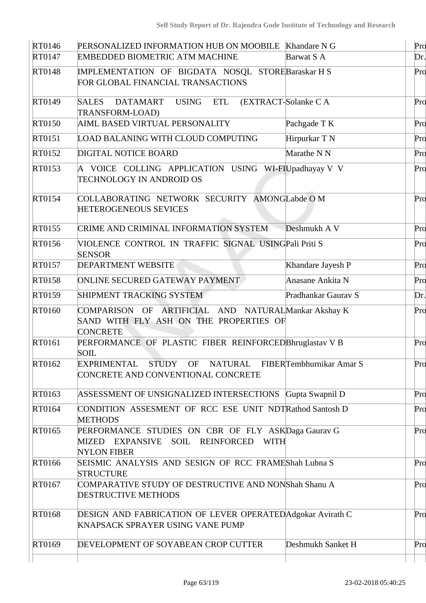| RT0146 | PERSONALIZED INFORMATION HUB ON MOOBILE Khandare N G                                                             |                        | Pro |
|--------|------------------------------------------------------------------------------------------------------------------|------------------------|-----|
| RT0147 | <b>EMBEDDED BIOMETRIC ATM MACHINE</b>                                                                            | Barwat S A             | Dr. |
| RT0148 | IMPLEMENTATION OF BIGDATA NOSQL STOREBaraskar H S<br>FOR GLOBAL FINANCIAL TRANSACTIONS                           |                        | Pro |
| RT0149 | <b>SALES</b><br>DATAMART<br><b>USING</b><br><b>ETL</b><br>TRANSFORM-LOAD)                                        | (EXTRACT-Solanke C A   | Pro |
| RT0150 | AIML BASED VIRTUAL PERSONALITY                                                                                   | Pachgade T K           | Pro |
| RT0151 | LOAD BALANING WITH CLOUD COMPUTING                                                                               | Hirpurkar T N          | Pro |
| RT0152 | <b>DIGITAL NOTICE BOARD</b>                                                                                      | Marathe N <sub>N</sub> | Pro |
| RT0153 | A VOICE COLLING APPLICATION USING WI-FIUpadhayay V V<br><b>TECHNOLOGY IN ANDROID OS</b>                          |                        | Pro |
| RT0154 | COLLABORATING NETWORK SECURITY AMONGLabde OM<br>HETEROGENEOUS SEVICES                                            |                        | Pro |
| RT0155 | CRIME AND CRIMINAL INFORMATION SYSTEM                                                                            | Deshmukh A V           | Pro |
| RT0156 | VIOLENCE CONTROL IN TRAFFIC SIGNAL USINGPali Priti S<br><b>SENSOR</b>                                            |                        | Pro |
| RT0157 | <b>DEPARTMENT WEBSITE</b>                                                                                        | Khandare Jayesh P      | Pro |
| RT0158 | ONLINE SECURED GATEWAY PAYMENT                                                                                   | Anasane Ankita N       | Pro |
| RT0159 | SHIPMENT TRACKING SYSTEM                                                                                         | Pradhankar Gauray S    | Dr. |
| RT0160 | COMPARISON OF ARTIFICIAL AND NATURALMankar Akshay K<br>SAND WITH FLY ASH ON THE PROPERTIES OF<br><b>CONCRETE</b> |                        | Pro |
| RT0161 | PERFORMANCE OF PLASTIC FIBER REINFORCED Bhruglastav V B<br><b>SOIL</b>                                           |                        | Pro |
| RT0162 | EXPRIMENTAL STUDY OF NATURAL FIBERTembhurnikar Amar S<br>CONCRETE AND CONVENTIONAL CONCRETE                      |                        | Pro |
| RT0163 | ASSESSMENT OF UNSIGNALIZED INTERSECTIONS Gupta Swapnil D                                                         |                        | Pro |
| RT0164 | CONDITION ASSESMENT OF RCC ESE UNIT NDTRathod Santosh D<br><b>METHODS</b>                                        |                        | Pro |
| RT0165 | PERFORMANCE STUDIES ON CBR OF FLY ASKDaga Gaurav G<br>MIZED EXPANSIVE SOIL REINFORCED WITH<br><b>NYLON FIBER</b> |                        | Pro |
| RT0166 | SEISMIC ANALYSIS AND SESIGN OF RCC FRAMEShah Lubna S<br><b>STRUCTURE</b>                                         |                        | Pro |
| RT0167 | COMPARATIVE STUDY OF DESTRUCTIVE AND NONShah Shanu A<br><b>DESTRUCTIVE METHODS</b>                               |                        | Pro |
| RT0168 | <b>DESIGN AND FABRICATION OF LEVER OPERATED Adgokar Avirath C</b><br><b>KNAPSACK SPRAYER USING VANE PUMP</b>     |                        | Pro |
| RT0169 | DEVELOPMENT OF SOYABEAN CROP CUTTER                                                                              | Deshmukh Sanket H      | Pro |
|        |                                                                                                                  |                        |     |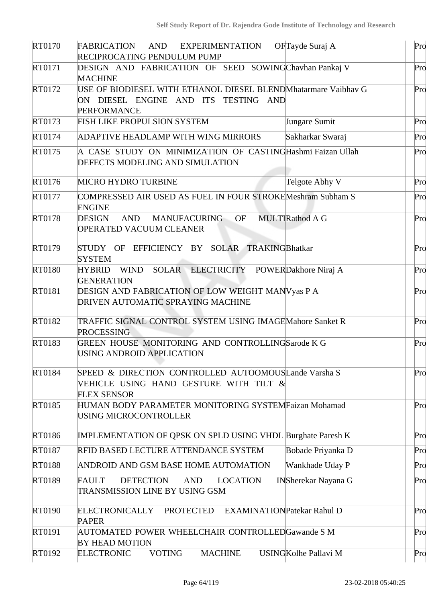| <b>RT0170</b> | FABRICATION<br>AND<br><b>EXPERIMENTATION</b><br>RECIPROCATING PENDULUM PUMP                                                  | OFTayde Suraj A                   | Pro |
|---------------|------------------------------------------------------------------------------------------------------------------------------|-----------------------------------|-----|
| RT0171        | DESIGN AND FABRICATION OF SEED SOWINGChavhan Pankaj V<br><b>MACHINE</b>                                                      |                                   | Pro |
| RT0172        | USE OF BIODIESEL WITH ETHANOL DIESEL BLENDMhatarmare Vaibhav G<br>ON DIESEL ENGINE AND ITS TESTING AND<br><b>PERFORMANCE</b> |                                   | Pro |
| RT0173        | FISH LIKE PROPULSION SYSTEM                                                                                                  | Jungare Sumit                     | Pro |
| RT0174        | ADAPTIVE HEADLAMP WITH WING MIRRORS                                                                                          | Sakharkar Swaraj                  | Pro |
| RT0175        | A CASE STUDY ON MINIMIZATION OF CASTINGHashmi Faizan Ullah<br>DEFECTS MODELING AND SIMULATION                                |                                   | Pro |
| RT0176        | <b>MICRO HYDRO TURBINE</b>                                                                                                   | Telgote Abhy V                    | Pro |
| RT0177        | COMPRESSED AIR USED AS FUEL IN FOUR STROKEMeshram Subham S<br><b>ENGINE</b>                                                  |                                   | Pro |
| <b>RT0178</b> | <b>DESIGN</b><br>AND<br>MANUFACURING OF<br>OPERATED VACUUM CLEANER                                                           | MULTIRathod A G                   | Pro |
| RT0179        | STUDY OF EFFICIENCY BY SOLAR TRAKINGBhatkar<br><b>SYSTEM</b>                                                                 |                                   | Pro |
| <b>RT0180</b> | WIND SOLAR ELECTRICITY POWERDakhore Niraj A<br><b>HYBRID</b><br><b>GENERATION</b>                                            |                                   | Pro |
| RT0181        | DESIGN AND FABRICATION OF LOW WEIGHT MANVyas P A<br><b>DRIVEN AUTOMATIC SPRAYING MACHINE</b>                                 |                                   | Pro |
| RT0182        | TRAFFIC SIGNAL CONTROL SYSTEM USING IMAGEMahore Sanket R<br><b>PROCESSING</b>                                                |                                   | Pro |
| RT0183        | GREEN HOUSE MONITORING AND CONTROLLINGSarode K G<br>USING ANDROID APPLICATION                                                |                                   | Pro |
| <b>RT0184</b> | SPEED & DIRECTION CONTROLLED AUTOOMOUSLande Varsha S<br>VEHICLE USING HAND GESTURE WITH TILT &<br><b>FLEX SENSOR</b>         |                                   | Pro |
| RT0185        | HUMAN BODY PARAMETER MONITORING SYSTEMFaizan Mohamad<br>USING MICROCONTROLLER                                                |                                   | Pro |
| RT0186        | <b>IMPLEMENTATION OF QPSK ON SPLD USING VHDL Burghate Paresh K</b>                                                           |                                   | Pro |
| RT0187        | RFID BASED LECTURE ATTENDANCE SYSTEM                                                                                         | Bobade Priyanka D                 | Pro |
| <b>RT0188</b> | ANDROID AND GSM BASE HOME AUTOMATION                                                                                         | Wankhade Uday P                   | Pro |
| RT0189        | <b>FAULT</b><br><b>DETECTION</b><br><b>AND</b><br><b>LOCATION</b><br>TRANSMISSION LINE BY USING GSM                          | <b>INSherekar Nayana G</b>        | Pro |
| <b>RT0190</b> | <b>ELECTRONICALLY</b><br><b>PROTECTED</b><br><b>PAPER</b>                                                                    | <b>EXAMINATIONPatekar Rahul D</b> | Pro |
| RT0191        | AUTOMATED POWER WHEELCHAIR CONTROLLEDGawande S M<br><b>BY HEAD MOTION</b>                                                    |                                   | Pro |
| RT0192        | <b>VOTING</b><br><b>MACHINE</b><br><b>ELECTRONIC</b>                                                                         | <b>USINGKolhe Pallavi M</b>       | Pro |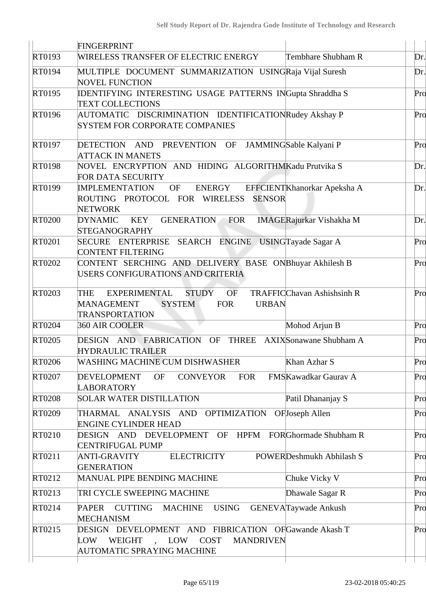|        | FINGERPRINT                                                                                                                                                                               |     |
|--------|-------------------------------------------------------------------------------------------------------------------------------------------------------------------------------------------|-----|
| RT0193 | WIRELESS TRANSFER OF ELECTRIC ENERGY<br>Tembhare Shubham R                                                                                                                                | Dr. |
| RT0194 | MULTIPLE DOCUMENT SUMMARIZATION USINGRaja Vijal Suresh<br><b>NOVEL FUNCTION</b>                                                                                                           | Dr. |
| RT0195 | <b>IDENTIFYING INTERESTING USAGE PATTERNS INGupta Shraddha S</b><br><b>TEXT COLLECTIONS</b>                                                                                               | Pro |
| RT0196 | AUTOMATIC DISCRIMINATION IDENTIFICATIONRudey Akshay P<br><b>SYSTEM FOR CORPORATE COMPANIES</b>                                                                                            | Pro |
| RT0197 | DETECTION AND PREVENTION OF<br>JAMMINGSable Kalyani P<br><b>ATTACK IN MANETS</b>                                                                                                          | Pro |
| RT0198 | NOVEL ENCRYPTION AND HIDING ALGORITHMKadu Prutvika S<br>FOR DATA SECURITY                                                                                                                 | Dr. |
| RT0199 | <b>IMPLEMENTATION</b><br>ENERGY<br>OF<br>EFFCIENTKhanorkar Apeksha A<br>ROUTING PROTOCOL FOR WIRELESS SENSOR<br><b>NETWORK</b>                                                            | Dr. |
| RT0200 | GENERATION FOR<br><b>DYNAMIC</b><br>KEY<br><b>IMAGERajurkar Vishakha M</b><br><b>STEGANOGRAPHY</b>                                                                                        | Dr. |
| RT0201 | SECURE ENTERPRISE SEARCH ENGINE USINGTayade Sagar A<br><b>CONTENT FILTERING</b>                                                                                                           | Pro |
| RT0202 | CONTENT SERCHING AND DELIVERY BASE ONBhuyar Akhilesh B<br>USERS CONFIGURATIONS AND CRITERIA                                                                                               | Pro |
| RT0203 | <b>STUDY</b><br><b>OF</b><br><b>TRAFFICChavan Ashishsinh R</b><br>THE<br><b>EXPERIMENTAL</b><br><b>MANAGEMENT</b><br><b>SYSTEM</b><br><b>FOR</b><br><b>URBAN</b><br><b>TRANSPORTATION</b> | Pro |
| RT0204 | 360 AIR COOLER<br>Mohod Arjun B                                                                                                                                                           | Pro |
| RT0205 | DESIGN AND FABRICATION OF THREE AXIX Sonawane Shubham A<br><b>HYDRAULIC TRAILER</b>                                                                                                       | Pro |
| RT0206 | <b>WASHING MACHINE CUM DISHWASHER</b><br>Khan Azhar S                                                                                                                                     | Pro |
| RT0207 | <b>CONVEYOR</b><br><b>DEVELOPMENT</b><br><b>FOR</b><br>FMSKawadkar Gaurav A<br>OF<br><b>LABORATORY</b>                                                                                    | Pro |
| RT0208 | <b>SOLAR WATER DISTILLATION</b><br>Patil Dhananjay S                                                                                                                                      | Pro |
| RT0209 | THARMAL ANALYSIS AND OPTIMIZATION OFJoseph Allen<br><b>ENGINE CYLINDER HEAD</b>                                                                                                           | Pro |
| RT0210 | DESIGN AND DEVELOPMENT OF HPFM FORGhormade Shubham R<br><b>CENTRIFUGAL PUMP</b>                                                                                                           | Pro |
| RT0211 | <b>ELECTRICITY</b><br>POWERDeshmukh Abhilash S<br>ANTI-GRAVITY<br><b>GENERATION</b>                                                                                                       | Pro |
| RT0212 | <b>MANUAL PIPE BENDING MACHINE</b><br>Chuke Vicky V                                                                                                                                       | Pro |
| RT0213 | TRI CYCLE SWEEPING MACHINE<br>Dhawale Sagar R                                                                                                                                             | Pro |
| RT0214 | PAPER CUTTING MACHINE<br><b>USING</b><br><b>GENEVATaywade Ankush</b><br><b>MECHANISM</b>                                                                                                  | Pro |
| RT0215 | DESIGN DEVELOPMENT AND FIBRICATION OFGawande Akash T<br>WEIGHT, LOW COST<br><b>MANDRIVEN</b><br>LOW<br>AUTOMATIC SPRAYING MACHINE                                                         | Pro |
|        |                                                                                                                                                                                           |     |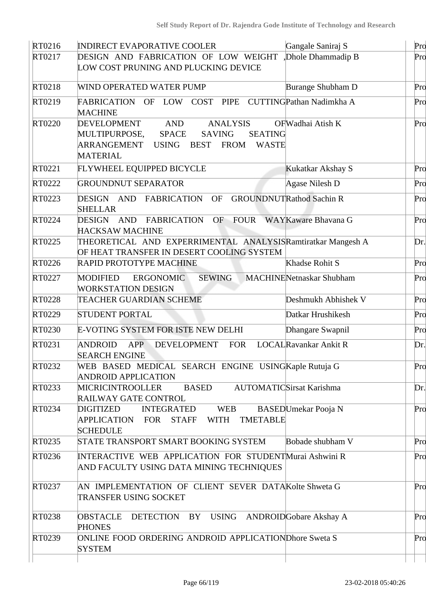| RT0216 | <b>INDIRECT EVAPORATIVE COOLER</b>                                                                                                                                                                               | Gangale Saniraj S               | Pro |
|--------|------------------------------------------------------------------------------------------------------------------------------------------------------------------------------------------------------------------|---------------------------------|-----|
| RT0217 | DESIGN AND FABRICATION OF LOW WEIGHT<br>LOW COST PRUNING AND PLUCKING DEVICE                                                                                                                                     | Dhole Dhammadip B               | Pro |
| RT0218 | WIND OPERATED WATER PUMP                                                                                                                                                                                         | <b>Burange Shubham D</b>        | Pro |
| RT0219 | COST PIPE<br>FABRICATION OF LOW<br><b>MACHINE</b>                                                                                                                                                                | CUTTINGPathan Nadimkha A        | Pro |
| RT0220 | DEVELOPMENT<br><b>AND</b><br><b>ANALYSIS</b><br>MULTIPURPOSE,<br><b>SPACE</b><br><b>SAVING</b><br><b>SEATING</b><br>ARRANGEMENT<br><b>FROM</b><br><b>USING</b><br><b>BEST</b><br><b>WASTE</b><br><b>MATERIAL</b> | OFWadhai Atish K                | Pro |
| RT0221 | FLYWHEEL EQUIPPED BICYCLE                                                                                                                                                                                        | Kukatkar Akshay S               | Pro |
| RT0222 | <b>GROUNDNUT SEPARATOR</b>                                                                                                                                                                                       | Agase Nilesh D                  | Pro |
| RT0223 | DESIGN AND FABRICATION<br>OF<br><b>SHELLAR</b>                                                                                                                                                                   | <b>GROUNDNUTRathod Sachin R</b> | Pro |
| RT0224 | DESIGN AND FABRICATION<br>OF FOUR WAYKaware Bhavana G<br><b>HACKSAW MACHINE</b>                                                                                                                                  |                                 | Pro |
| RT0225 | THEORETICAL AND EXPERRIMENTAL ANALYSISRamtiratkar Mangesh A<br>OF HEAT TRANSFER IN DESERT COOLING SYSTEM                                                                                                         |                                 | Dr. |
| RT0226 | RAPID PROTOTYPE MACHINE                                                                                                                                                                                          | Khadse Rohit S                  | Pro |
| RT0227 | <b>SEWING</b><br>MODIFIED<br><b>ERGONOMIC</b><br><b>WORKSTATION DESIGN</b>                                                                                                                                       | <b>MACHINENetnaskar Shubham</b> | Pro |
| RT0228 | TEACHER GUARDIAN SCHEME                                                                                                                                                                                          | Deshmukh Abhishek V             | Pro |
| RT0229 | <b>STUDENT PORTAL</b>                                                                                                                                                                                            | Datkar Hrushikesh               | Pro |
| RT0230 | E-VOTING SYSTEM FOR ISTE NEW DELHI                                                                                                                                                                               | Dhangare Swapnil                | Pro |
| RT0231 | ANDROID<br><b>APP</b><br><b>DEVELOPMENT</b><br><b>FOR</b><br><b>SEARCH ENGINE</b>                                                                                                                                | <b>LOCALRavankar Ankit R</b>    | Dr. |
| RT0232 | WEB BASED MEDICAL SEARCH ENGINE USING Kaple Rutuja G<br><b>ANDROID APPLICATION</b>                                                                                                                               |                                 | Pro |
| RT0233 | <b>BASED</b><br><b>MICRICINTROOLLER</b><br><b>RAILWAY GATE CONTROL</b>                                                                                                                                           | <b>AUTOMATICSirsat Karishma</b> | Dr. |
| RT0234 | <b>INTEGRATED</b><br><b>WEB</b><br><b>DIGITIZED</b><br>APPLICATION FOR STAFF<br>WITH TMETABLE<br><b>SCHEDULE</b>                                                                                                 | BASEDUmekar Pooja N             | Pro |
| RT0235 | STATE TRANSPORT SMART BOOKING SYSTEM                                                                                                                                                                             | Bobade shubham V                | Pro |
| RT0236 | <b>INTERACTIVE WEB APPLICATION FOR STUDENTMurai Ashwini R</b><br>AND FACULTY USING DATA MINING TECHNIQUES                                                                                                        |                                 | Pro |
| RT0237 | AN IMPLEMENTATION OF CLIENT SEVER DATAKolte Shweta G<br>TRANSFER USING SOCKET                                                                                                                                    |                                 | Pro |
| RT0238 | DETECTION BY USING ANDROIDGobare Akshay A<br><b>OBSTACLE</b><br><b>PHONES</b>                                                                                                                                    |                                 | Pro |
| RT0239 | ONLINE FOOD ORDERING ANDROID APPLICATIONDhore Sweta S<br><b>SYSTEM</b>                                                                                                                                           |                                 | Pro |
|        |                                                                                                                                                                                                                  |                                 |     |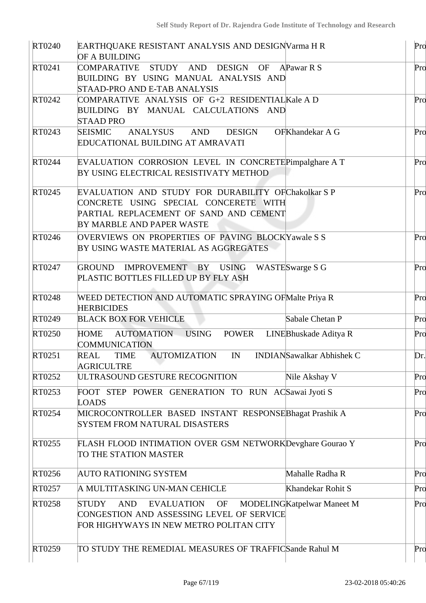| RT0240        | EARTHQUAKE RESISTANT ANALYSIS AND DESIGNVarma H R                                               |                                  | Pro |
|---------------|-------------------------------------------------------------------------------------------------|----------------------------------|-----|
|               | OF A BUILDING                                                                                   |                                  |     |
| RT0241        | COMPARATIVE STUDY AND DESIGN                                                                    | OF APawar R S                    | Pro |
|               | BUILDING BY USING MANUAL ANALYSIS AND<br>STAAD-PRO AND E-TAB ANALYSIS                           |                                  |     |
| RT0242        | COMPARATIVE ANALYSIS OF G+2 RESIDENTIAL Kale A D                                                |                                  | Pro |
|               | BUILDING BY MANUAL CALCULATIONS AND                                                             |                                  |     |
|               | <b>STAAD PRO</b>                                                                                |                                  |     |
| RT0243        | ANALYSUS<br>AND DESIGN<br><b>SEISMIC</b><br><b>EDUCATIONAL BUILDING AT AMRAVATI</b>             | OFKhandekar A G                  | Pro |
| RT0244        | EVALUATION CORROSION LEVEL IN CONCRETEPimpalghare A T<br>BY USING ELECTRICAL RESISTIVATY METHOD |                                  | Pro |
| RT0245        | EVALUATION AND STUDY FOR DURABILITY OFChakolkar SP                                              |                                  | Pro |
|               | CONCRETE USING SPECIAL CONCERETE WITH                                                           |                                  |     |
|               | PARTIAL REPLACEMENT OF SAND AND CEMENT                                                          |                                  |     |
|               | BY MARBLE AND PAPER WASTE                                                                       |                                  |     |
| RT0246        | OVERVIEWS ON PROPERTIES OF PAVING BLOCKYawale S S                                               |                                  | Pro |
|               | BY USING WASTE MATERIAL AS AGGREGATES                                                           |                                  |     |
| RT0247        | GROUND IMPROVEMENT BY USING WASTESwarge S G                                                     |                                  | Pro |
|               | PLASTIC BOTTLES FILLED UP BY FLY ASH                                                            |                                  |     |
| RT0248        | WEED DETECTION AND AUTOMATIC SPRAYING OF Malte Priya R                                          |                                  | Pro |
|               | <b>HERBICIDES</b>                                                                               |                                  |     |
| RT0249        | <b>BLACK BOX FOR VEHICLE</b>                                                                    | Sabale Chetan P                  | Pro |
| <b>RT0250</b> | <b>POWER</b><br><b>HOME</b><br>AUTOMATION USING<br><b>COMMUNICATION</b>                         | LINEBhuskade Aditya R            | Pro |
| RT0251        | <b>TIME</b><br><b>AUTOMIZATION</b><br>IN<br>REAL<br>AGRICULTRE                                  | <b>INDIANSawalkar Abhishek C</b> | Dr. |
| RT0252        | ULTRASOUND GESTURE RECOGNITION                                                                  | Nile Akshay V                    | Pro |
| RT0253        | FOOT STEP POWER GENERATION TO RUN ACSawai Jyoti S<br><b>LOADS</b>                               |                                  | Pro |
| RT0254        | MICROCONTROLLER BASED INSTANT RESPONSEBhagat Prashik A                                          |                                  | Pro |
|               | <b>SYSTEM FROM NATURAL DISASTERS</b>                                                            |                                  |     |
| RT0255        | FLASH FLOOD INTIMATION OVER GSM NETWORKDevghare Gourao Y                                        |                                  | Pro |
|               | TO THE STATION MASTER                                                                           |                                  |     |
| RT0256        | <b>AUTO RATIONING SYSTEM</b>                                                                    | Mahalle Radha R                  | Pro |
| RT0257        | A MULTITASKING UN-MAN CEHICLE                                                                   | Khandekar Rohit S                | Pro |
| RT0258        | <b>STUDY</b><br><b>AND</b><br><b>EVALUATION</b><br>OF                                           | MODELINGKatpelwar Maneet M       | Pro |
|               | CONGESTION AND ASSESSING LEVEL OF SERVICE                                                       |                                  |     |
|               | FOR HIGHYWAYS IN NEW METRO POLITAN CITY                                                         |                                  |     |
|               |                                                                                                 |                                  |     |
| RT0259        | TO STUDY THE REMEDIAL MEASURES OF TRAFFICSande Rahul M                                          |                                  | Pro |
|               |                                                                                                 |                                  |     |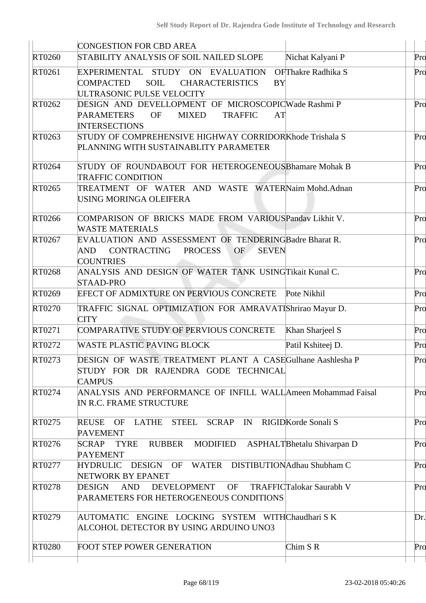|        | <b>CONGESTION FOR CBD AREA</b>                                                                                                   |                                 |     |
|--------|----------------------------------------------------------------------------------------------------------------------------------|---------------------------------|-----|
| RT0260 | STABILITY ANALYSIS OF SOIL NAILED SLOPE                                                                                          | Nichat Kalyani P                | Pro |
| RT0261 | EXPERIMENTAL STUDY ON EVALUATION<br>COMPACTED<br>SOIL<br><b>CHARACTERISTICS</b><br><b>BY</b><br>ULTRASONIC PULSE VELOCITY        | OFThakre Radhika S              | Pro |
| RT0262 | DESIGN AND DEVELLOPMENT OF MICROSCOPICWade Rashmi P<br>PARAMETERS<br>OF<br>MIXED<br><b>TRAFFIC</b><br>AT<br><b>INTERSECTIONS</b> |                                 | Pro |
| RT0263 | STUDY OF COMPREHENSIVE HIGHWAY CORRIDORKhode Trishala S<br>PLANNING WITH SUSTAINABLITY PARAMETER                                 |                                 | Pro |
| RT0264 | STUDY OF ROUNDABOUT FOR HETEROGENEOUS Bhamare Mohak B<br><b>TRAFFIC CONDITION</b>                                                |                                 | Pro |
| RT0265 | TREATMENT OF WATER AND WASTE WATERNaim Mohd.Adnan<br>USING MORINGA OLEIFERA                                                      |                                 | Pro |
| RT0266 | COMPARISON OF BRICKS MADE FROM VARIOUSPandav Likhit V.<br><b>WASTE MATERIALS</b>                                                 |                                 | Pro |
| RT0267 | EVALUATION AND ASSESSMENT OF TENDERINGBadre Bharat R.<br>AND CONTRACTING PROCESS OF<br><b>SEVEN</b><br><b>COUNTRIES</b>          |                                 | Pro |
| RT0268 | ANALYSIS AND DESIGN OF WATER TANK USINGTikait Kunal C.<br><b>STAAD-PRO</b>                                                       |                                 | Pro |
| RT0269 | EFECT OF ADMIXTURE ON PERVIOUS CONCRETE Pote Nikhil                                                                              |                                 | Pro |
| RT0270 | TRAFFIC SIGNAL OPTIMIZATION FOR AMRAVATIShrirao Mayur D.<br><b>CITY</b>                                                          |                                 | Pro |
| RT0271 | COMPARATIVE STUDY OF PERVIOUS CONCRETE                                                                                           | Khan Sharjeel S                 | Pro |
| RT0272 | <b>WASTE PLASTIC PAVING BLOCK</b>                                                                                                | Patil Kshiteej D.               | Pro |
| RT0273 | DESIGN OF WASTE TREATMENT PLANT A CASEGulhane Aashlesha P<br>STUDY FOR DR RAJENDRA GODE TECHNICAL<br><b>CAMPUS</b>               |                                 | Pro |
| RT0274 | ANALYSIS AND PERFORMANCE OF INFILL WALLAmeen Mohammad Faisal<br>IN R.C. FRAME STRUCTURE                                          |                                 | Pro |
| RT0275 | REUSE OF LATHE STEEL SCRAP IN RIGIDKorde Sonali S<br><b>PAVEMENT</b>                                                             |                                 | Pro |
| RT0276 | SCRAP TYRE<br>RUBBER<br>MODIFIED<br><b>PAYEMENT</b>                                                                              | ASPHALTBhetalu Shivarpan D      | Pro |
| RT0277 | HYDRULIC DESIGN OF WATER DISTIBUTIONAdhau Shubham C<br>NETWORK BY EPANET                                                         |                                 | Pro |
| RT0278 | DEVELOPMENT OF<br>DESIGN<br>AND<br>PARAMETERS FOR HETEROGENEOUS CONDITIONS                                                       | <b>TRAFFICTalokar Saurabh V</b> | Pro |
| RT0279 | AUTOMATIC ENGINE LOCKING SYSTEM WITHChaudhari SK<br>ALCOHOL DETECTOR BY USING ARDUINO UNO3                                       |                                 | Dr. |
| RT0280 | <b>FOOT STEP POWER GENERATION</b>                                                                                                | Chim S R                        | Pro |
|        |                                                                                                                                  |                                 |     |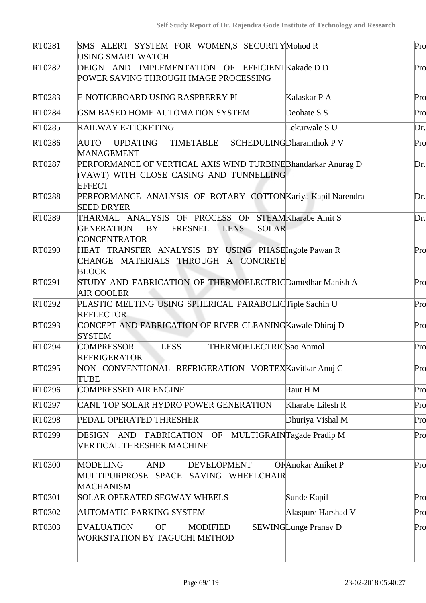| RT0281        | SMS ALERT SYSTEM FOR WOMEN,S SECURITYMohod R<br><b>USING SMART WATCH</b>                                                                       |                                 | Pro |
|---------------|------------------------------------------------------------------------------------------------------------------------------------------------|---------------------------------|-----|
| RT0282        | DEIGN AND IMPLEMENTATION OF EFFICIENTKakade DD<br>POWER SAVING THROUGH IMAGE PROCESSING                                                        |                                 | Pro |
| RT0283        | E-NOTICEBOARD USING RASPBERRY PI                                                                                                               | Kalaskar P A                    | Pro |
| <b>RT0284</b> | GSM BASED HOME AUTOMATION SYSTEM                                                                                                               | Deohate S S                     | Pro |
| RT0285        | <b>RAILWAY E-TICKETING</b>                                                                                                                     | Lekurwale S U                   | Dr. |
| RT0286        | TIMETABLE<br>AUTO<br><b>UPDATING</b><br><b>MANAGEMENT</b>                                                                                      | <b>SCHEDULINGDharamthok P V</b> | Pro |
| RT0287        | PERFORMANCE OF VERTICAL AXIS WIND TURBINE Bhandarkar Anurag D<br>(VAWT) WITH CLOSE CASING AND TUNNELLING<br><b>EFFECT</b>                      |                                 | Dr. |
| <b>RT0288</b> | PERFORMANCE ANALYSIS OF ROTARY COTTONKariya Kapil Narendra<br><b>SEED DRYER</b>                                                                |                                 | Dr. |
| RT0289        | THARMAL ANALYSIS OF PROCESS OF STEAMKharabe Amit S<br><b>SOLAR</b><br><b>GENERATION</b><br>BY<br>FRESNEL<br><b>LENS</b><br><b>CONCENTRATOR</b> |                                 | Dr. |
| RT0290        | HEAT TRANSFER ANALYSIS BY USING PHASEIngole Pawan R<br>CHANGE MATERIALS THROUGH A CONCRETE<br><b>BLOCK</b>                                     |                                 | Pro |
| RT0291        | STUDY AND FABRICATION OF THERMOELECTRICDamedhar Manish A<br><b>AIR COOLER</b>                                                                  |                                 | Pro |
| RT0292        | PLASTIC MELTING USING SPHERICAL PARABOLICTiple Sachin U<br><b>REFLECTOR</b>                                                                    |                                 | Pro |
| RT0293        | CONCEPT AND FABRICATION OF RIVER CLEANING Kawale Dhiraj D<br><b>SYSTEM</b>                                                                     |                                 | Pro |
| RT0294        | <b>LESS</b><br>THERMOELECTRICSao Anmol<br><b>COMPRESSOR</b><br><b>REFRIGERATOR</b>                                                             |                                 | Pro |
| RT0295        | NON CONVENTIONAL REFRIGERATION VORTEX Kavitkar Anuj C<br><b>TUBE</b>                                                                           |                                 | Pro |
| RT0296        | <b>COMPRESSED AIR ENGINE</b>                                                                                                                   | Raut H M                        | Pro |
| RT0297        | CANL TOP SOLAR HYDRO POWER GENERATION                                                                                                          | Kharabe Lilesh R                | Pro |
| RT0298        | PEDAL OPERATED THRESHER                                                                                                                        | Dhuriya Vishal M                | Pro |
| RT0299        | DESIGN AND<br>FABRICATION<br>OF<br><b>VERTICAL THRESHER MACHINE</b>                                                                            | MULTIGRAINTagade Pradip M       | Pro |
| <b>RT0300</b> | <b>DEVELOPMENT</b><br><b>MODELING</b><br><b>AND</b><br>MULTIPURPROSE SPACE SAVING WHEELCHAIR<br><b>MACHANISM</b>                               | <b>OFAnokar Aniket P</b>        | Pro |
| RT0301        | <b>SOLAR OPERATED SEGWAY WHEELS</b>                                                                                                            | Sunde Kapil                     | Pro |
| RT0302        | <b>AUTOMATIC PARKING SYSTEM</b>                                                                                                                | Alaspure Harshad V              | Pro |
| RT0303        | <b>EVALUATION</b><br><b>OF</b><br><b>MODIFIED</b><br><b>WORKSTATION BY TAGUCHI METHOD</b>                                                      | <b>SEWINGLunge Pranav D</b>     | Pro |
|               |                                                                                                                                                |                                 |     |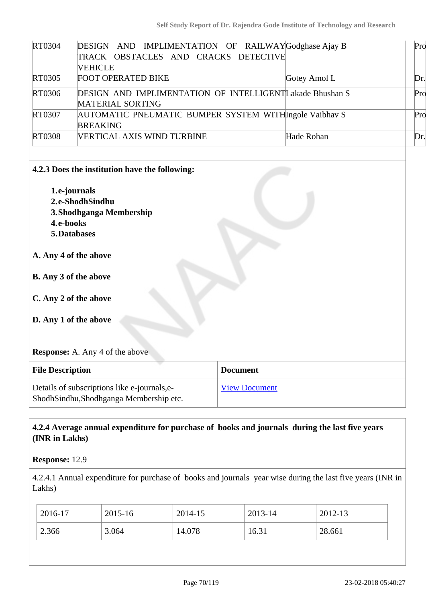| RT0304        | DESIGN AND IMPLIMENTATION OF RAILWAYGodghase Ajay B      |              | Pro  |
|---------------|----------------------------------------------------------|--------------|------|
|               | TRACK OBSTACLES AND CRACKS DETECTIVE                     |              |      |
|               | VEHICLE                                                  |              |      |
| RT0305        | <b>FOOT OPERATED BIKE</b>                                | Gotey Amol L | Dr.l |
| RT0306        | DESIGN AND IMPLIMENTATION OF INTELLIGENTLakade Bhushan S |              | Pro  |
|               | <b>MATERIAL SORTING</b>                                  |              |      |
| RT0307        | AUTOMATIC PNEUMATIC BUMPER SYSTEM WITHIngole Vaibhav S   |              | Pro  |
|               | <b>BREAKING</b>                                          |              |      |
| <b>RT0308</b> | VERTICAL AXIS WIND TURBINE                               | Hade Rohan   | Dr.  |
|               |                                                          |              |      |
|               |                                                          |              |      |

#### **4.2.3 Does the institution have the following:**

- **1.e-journals 2.e-ShodhSindhu 3.Shodhganga Membership 4.e-books**
- **5.Databases**

#### **A. Any 4 of the above**

- **B. Any 3 of the above**
- **C. Any 2 of the above**
- **D. Any 1 of the above**

#### **Response:** A. Any 4 of the above

| <b>File Description</b>                                                                  | <b>Document</b>      |
|------------------------------------------------------------------------------------------|----------------------|
| Details of subscriptions like e-journals, e-<br>Shodh Sindhu, Shodhganga Membership etc. | <b>View Document</b> |

## **4.2.4 Average annual expenditure for purchase of books and journals during the last five years (INR in Lakhs)**

#### **Response:** 12.9

4.2.4.1 Annual expenditure for purchase of books and journals year wise during the last five years (INR in Lakhs)

| 2016-17 | 2015-16 | 2014-15 | 2013-14 | 2012-13 |
|---------|---------|---------|---------|---------|
| 2.366   | 3.064   | 14.078  | 16.31   | 28.661  |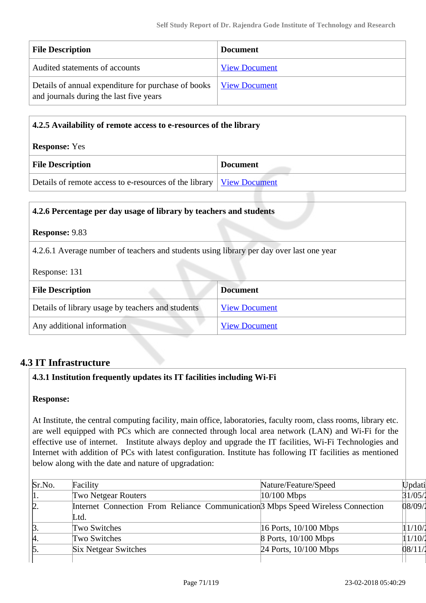| <b>File Description</b>                                                                                               | <b>Document</b>      |
|-----------------------------------------------------------------------------------------------------------------------|----------------------|
| Audited statements of accounts                                                                                        | <b>View Document</b> |
| Details of annual expenditure for purchase of books   <u>View Document</u><br>and journals during the last five years |                      |

| 4.2.5 Availability of remote access to e-resources of the library             |                 |  |
|-------------------------------------------------------------------------------|-----------------|--|
| <b>Response:</b> Yes                                                          |                 |  |
| <b>File Description</b>                                                       | <b>Document</b> |  |
| Details of remote access to e-resources of the library   <u>View Document</u> |                 |  |

| 4.2.6 Percentage per day usage of library by teachers and students                                        |                      |  |
|-----------------------------------------------------------------------------------------------------------|----------------------|--|
| <b>Response: 9.83</b>                                                                                     |                      |  |
| 4.2.6.1 Average number of teachers and students using library per day over last one year<br>Response: 131 |                      |  |
| <b>File Description</b>                                                                                   | <b>Document</b>      |  |
| Details of library usage by teachers and students                                                         | <b>View Document</b> |  |
| Any additional information                                                                                | <b>View Document</b> |  |

# **4.3 IT Infrastructure**

#### **4.3.1 Institution frequently updates its IT facilities including Wi-Fi**

#### **Response:**

At Institute, the central computing facility, main office, laboratories, faculty room, class rooms, library etc. are well equipped with PCs which are connected through local area network (LAN) and Wi-Fi for the effective use of internet. Institute always deploy and upgrade the IT facilities, Wi-Fi Technologies and Internet with addition of PCs with latest configuration. Institute has following IT facilities as mentioned below along with the date and nature of upgradation:

| Sr.No.          | Facility                                                                                    | Nature/Feature/Speed      | Updati  |
|-----------------|---------------------------------------------------------------------------------------------|---------------------------|---------|
| 1.              | <b>Two Netgear Routers</b>                                                                  | $10/100$ Mbps             | 31/05/1 |
| $\alpha$ .      | Internet Connection From Reliance Communication <sup>3</sup> Mbps Speed Wireless Connection |                           | 08/09/2 |
|                 | Ltd.                                                                                        |                           |         |
| ß.              | Two Switches                                                                                | $16$ Ports, $10/100$ Mbps | 11/10/2 |
| A.              | Two Switches                                                                                | 8 Ports, 10/100 Mbps      | 1/10/1  |
| $\mathfrak{b}.$ | <b>Six Netgear Switches</b>                                                                 | 24 Ports, 10/100 Mbps     | 08/11/  |
|                 |                                                                                             |                           |         |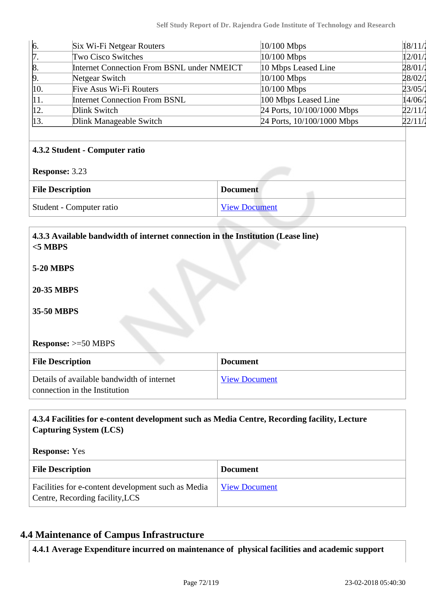| 6.                    | Six Wi-Fi Netgear Routers                  | 10/100 Mbps                | 18/11/ |
|-----------------------|--------------------------------------------|----------------------------|--------|
| 17.                   | <b>Two Cisco Switches</b>                  | 10/100 Mbps                | 12/01  |
| $\vert 8.$            | Internet Connection From BSNL under NMEICT | 10 Mbps Leased Line        | 28/01/ |
| þ.                    | Netgear Switch                             | 10/100 Mbps                | 28/02/ |
| 10.                   | Five Asus Wi-Fi Routers                    | 10/100 Mbps                | 23/05/ |
| 11.                   | <b>Internet Connection From BSNL</b>       | 100 Mbps Leased Line       | 14/06/ |
| 12.                   | Dlink Switch                               | 24 Ports, 10/100/1000 Mbps | 22/11/ |
| 13.                   | Dlink Manageable Switch                    | 24 Ports, 10/100/1000 Mbps | 22/11/ |
| <b>Response: 3.23</b> | 4.3.2 Student - Computer ratio             |                            |        |
|                       | <b>File Description</b><br><b>Document</b> |                            |        |

| Student - Computer ratio | <b>View Document</b> |
|--------------------------|----------------------|
|                          |                      |

| 4.3.3 Available bandwidth of internet connection in the Institution (Lease line)<br>$<$ 5 MBPS |                      |
|------------------------------------------------------------------------------------------------|----------------------|
| <b>5-20 MBPS</b>                                                                               |                      |
| <b>20-35 MBPS</b>                                                                              |                      |
| 35-50 MBPS                                                                                     |                      |
|                                                                                                |                      |
| <b>Response:</b> $>=50$ MBPS                                                                   |                      |
| <b>File Description</b>                                                                        | <b>Document</b>      |
| Details of available bandwidth of internet<br>connection in the Institution                    | <b>View Document</b> |

# **4.3.4 Facilities for e-content development such as Media Centre, Recording facility, Lecture Capturing System (LCS)**

#### **Response:** Yes

| <b>File Description</b>                                                               | <b>Document</b>      |
|---------------------------------------------------------------------------------------|----------------------|
| Facilities for e-content development such as Media<br>Centre, Recording facility, LCS | <b>View Document</b> |

# **4.4 Maintenance of Campus Infrastructure**

**4.4.1 Average Expenditure incurred on maintenance of physical facilities and academic support**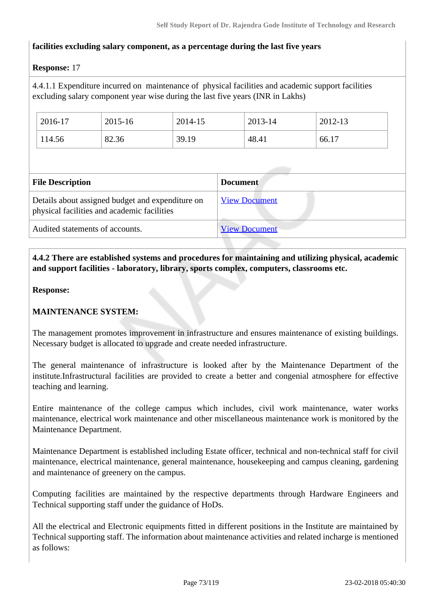## **facilities excluding salary component, as a percentage during the last five years**

#### **Response:** 17

4.4.1.1 Expenditure incurred on maintenance of physical facilities and academic support facilities excluding salary component year wise during the last five years (INR in Lakhs)

| 2016-17 | 2015-16 | 2014-15 | 2013-14 | 2012-13 |
|---------|---------|---------|---------|---------|
| 114.56  | 82.36   | 39.19   | 48.41   | 66.17   |

| <b>File Description</b>                                                                         | <b>Document</b>      |
|-------------------------------------------------------------------------------------------------|----------------------|
| Details about assigned budget and expenditure on<br>physical facilities and academic facilities | <b>View Document</b> |
| Audited statements of accounts.                                                                 | <b>View Document</b> |

 **4.4.2 There are established systems and procedures for maintaining and utilizing physical, academic and support facilities - laboratory, library, sports complex, computers, classrooms etc.**

#### **Response:**

## **MAINTENANCE SYSTEM:**

The management promotes improvement in infrastructure and ensures maintenance of existing buildings. Necessary budget is allocated to upgrade and create needed infrastructure.

The general maintenance of infrastructure is looked after by the Maintenance Department of the institute.Infrastructural facilities are provided to create a better and congenial atmosphere for effective teaching and learning.

Entire maintenance of the college campus which includes, civil work maintenance, water works maintenance, electrical work maintenance and other miscellaneous maintenance work is monitored by the Maintenance Department.

Maintenance Department is established including Estate officer, technical and non-technical staff for civil maintenance, electrical maintenance, general maintenance, housekeeping and campus cleaning, gardening and maintenance of greenery on the campus.

Computing facilities are maintained by the respective departments through Hardware Engineers and Technical supporting staff under the guidance of HoDs.

All the electrical and Electronic equipments fitted in different positions in the Institute are maintained by Technical supporting staff. The information about maintenance activities and related incharge is mentioned as follows: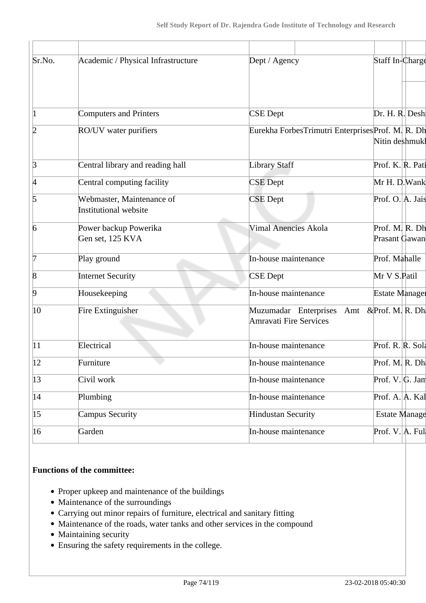| Sr.No.          | Academic / Physical Infrastructure                        | Dept / Agency                                          | Staff In-Charge                 |  |
|-----------------|-----------------------------------------------------------|--------------------------------------------------------|---------------------------------|--|
| 1               | <b>Computers and Printers</b>                             | <b>CSE</b> Dept                                        | Dr. H. R. Desh                  |  |
| 2               | RO/UV water purifiers                                     | Eurekha ForbesTrimutri EnterprisesProf. M. R. Dh       | Nitin deshmukl                  |  |
| $\beta$         | Central library and reading hall                          | <b>Library Staff</b>                                   | Prof. K. R. Pati                |  |
| $\vert 4 \vert$ | Central computing facility                                | <b>CSE</b> Dept                                        | Mr H. D. Wank                   |  |
| 5               | Webmaster, Maintenance of<br><b>Institutional website</b> | <b>CSE</b> Dept                                        | Prof. O. A. Jais                |  |
| $\overline{6}$  | Power backup Powerika<br>Gen set, 125 KVA                 | <b>Vimal Anencies Akola</b>                            | Prof. M. R. Dh<br>Prasant Gawan |  |
| 7               | Play ground                                               | In-house maintenance                                   | Prof. Mahalle                   |  |
| $\vert 8$       | <b>Internet Security</b>                                  | <b>CSE</b> Dept                                        | Mr V S.Patil                    |  |
| $\overline{9}$  | Housekeeping                                              | In-house maintenance                                   | <b>Estate Manager</b>           |  |
| $ 10\rangle$    | Fire Extinguisher                                         | Muzumadar Enterprises<br>Amt<br>Amravati Fire Services | &Prof. M. R. Dh.                |  |
| 11              | Electrical                                                | In-house maintenance                                   | Prof. R. R. Sola                |  |
| $ 12\rangle$    | Furniture                                                 | In-house maintenance                                   | Prof. M. R. Dh                  |  |
| $ 13\rangle$    | Civil work                                                | In-house maintenance                                   | Prof. $V$ . G. Jam              |  |
| 14              | Plumbing                                                  | In-house maintenance                                   | Prof. A. A. Kal                 |  |
| $ 15\rangle$    | Campus Security                                           | <b>Hindustan Security</b>                              | <b>Estate Manage</b>            |  |
| $ 16\rangle$    | Garden                                                    | In-house maintenance                                   | Prof. V. A. Ful                 |  |
|                 |                                                           |                                                        |                                 |  |

## **Functions of the committee:**

- Proper upkeep and maintenance of the buildings
- Maintenance of the surroundings
- Carrying out minor repairs of furniture, electrical and sanitary fitting
- Maintenance of the roads, water tanks and other services in the compound
- Maintaining security
- Ensuring the safety requirements in the college.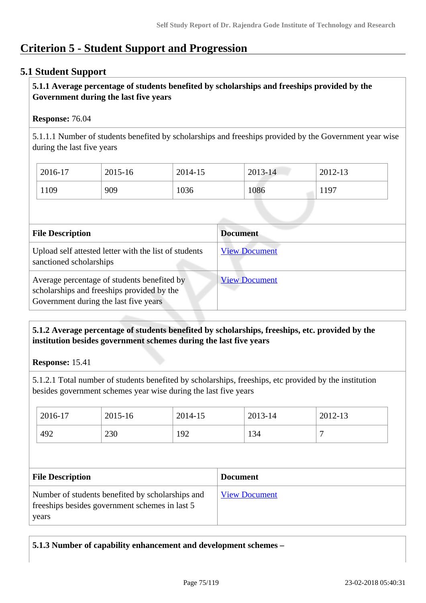# **Criterion 5 - Student Support and Progression**

# **5.1 Student Support**

# **5.1.1 Average percentage of students benefited by scholarships and freeships provided by the Government during the last five years**

## **Response:** 76.04

5.1.1.1 Number of students benefited by scholarships and freeships provided by the Government year wise during the last five years

| 2016-17 | 2015-16 | 2014-15 | $2013 - 14$ | 2012-13 |
|---------|---------|---------|-------------|---------|
| 1109    | 909     | 1036    | 1086        | 1197    |

| <b>File Description</b>                                                                                                            | <b>Document</b>      |
|------------------------------------------------------------------------------------------------------------------------------------|----------------------|
| Upload self attested letter with the list of students<br>sanctioned scholarships                                                   | <b>View Document</b> |
| Average percentage of students benefited by<br>scholarships and freeships provided by the<br>Government during the last five years | <b>View Document</b> |

# **5.1.2 Average percentage of students benefited by scholarships, freeships, etc. provided by the institution besides government schemes during the last five years**

**Response:** 15.41

years

5.1.2.1 Total number of students benefited by scholarships, freeships, etc provided by the institution besides government schemes year wise during the last five years

| 2016-17                                                                                                                       | 2015-16 | 2014-15 | 2013-14              | 2012-13 |
|-------------------------------------------------------------------------------------------------------------------------------|---------|---------|----------------------|---------|
| 492                                                                                                                           | 230     | 192     | 134                  |         |
|                                                                                                                               |         |         |                      |         |
|                                                                                                                               |         |         | <b>Document</b>      |         |
| <b>File Description</b><br>Number of students benefited by scholarships and<br>freeships besides government schemes in last 5 |         |         | <b>View Document</b> |         |

**5.1.3 Number of capability enhancement and development schemes –**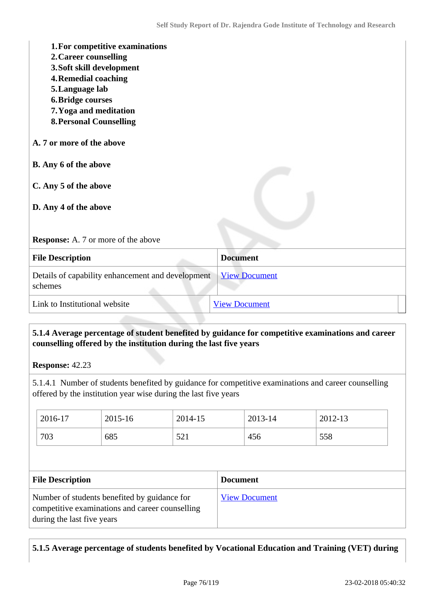| 1. For competitive examinations<br>2. Career counselling<br>3. Soft skill development<br><b>4. Remedial coaching</b><br>5. Language lab<br><b>6. Bridge courses</b><br>7. Yoga and meditation<br><b>8. Personal Counselling</b> |                      |
|---------------------------------------------------------------------------------------------------------------------------------------------------------------------------------------------------------------------------------|----------------------|
| A. 7 or more of the above                                                                                                                                                                                                       |                      |
| <b>B.</b> Any 6 of the above                                                                                                                                                                                                    |                      |
| C. Any 5 of the above<br>D. Any 4 of the above                                                                                                                                                                                  |                      |
| <b>Response:</b> A. 7 or more of the above                                                                                                                                                                                      |                      |
| <b>File Description</b>                                                                                                                                                                                                         | <b>Document</b>      |
| Details of capability enhancement and development<br>schemes                                                                                                                                                                    | <b>View Document</b> |
| Link to Institutional website                                                                                                                                                                                                   | <b>View Document</b> |

# **5.1.4 Average percentage of student benefited by guidance for competitive examinations and career counselling offered by the institution during the last five years**

**Response:** 42.23

5.1.4.1 Number of students benefited by guidance for competitive examinations and career counselling offered by the institution year wise during the last five years

| 2016-17                                                                                                                                                  | 2015-16 | 2014-15 |                      | 2013-14 | 2012-13 |  |
|----------------------------------------------------------------------------------------------------------------------------------------------------------|---------|---------|----------------------|---------|---------|--|
| 703                                                                                                                                                      | 685     | 521     |                      | 456     | 558     |  |
|                                                                                                                                                          |         |         |                      |         |         |  |
|                                                                                                                                                          |         |         | <b>Document</b>      |         |         |  |
|                                                                                                                                                          |         |         |                      |         |         |  |
| <b>File Description</b><br>Number of students benefited by guidance for<br>competitive examinations and career counselling<br>during the last five years |         |         | <b>View Document</b> |         |         |  |

# **5.1.5 Average percentage of students benefited by Vocational Education and Training (VET) during**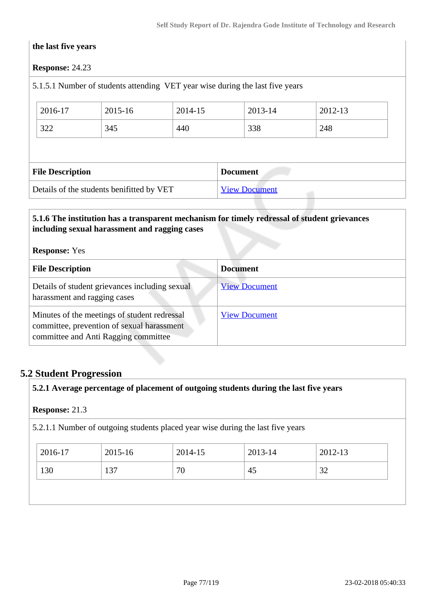#### **the last five years**

## **Response:** 24.23

# 5.1.5.1 Number of students attending VET year wise during the last five years

| 2016-17                 | 2015-16 | 2014-15 | 2013-14         | 2012-13 |  |  |
|-------------------------|---------|---------|-----------------|---------|--|--|
| 322                     | 345     | 440     | 338             | 248     |  |  |
|                         |         |         |                 |         |  |  |
|                         |         |         |                 |         |  |  |
| <b>File Description</b> |         |         | <b>Document</b> |         |  |  |

## **5.1.6 The institution has a transparent mechanism for timely redressal of student grievances including sexual harassment and ragging cases**

#### **Response:** Yes

| <b>File Description</b>                                                                                                            | <b>Document</b>      |
|------------------------------------------------------------------------------------------------------------------------------------|----------------------|
| Details of student grievances including sexual<br>harassment and ragging cases                                                     | <b>View Document</b> |
| Minutes of the meetings of student redressal<br>committee, prevention of sexual harassment<br>committee and Anti Ragging committee | <b>View Document</b> |

# **5.2 Student Progression**

**5.2.1 Average percentage of placement of outgoing students during the last five years**

#### **Response:** 21.3

5.2.1.1 Number of outgoing students placed year wise during the last five years

| 2016-17 | 2015-16 | 2014-15 | 2013-14 | 2012-13 |
|---------|---------|---------|---------|---------|
| 130     | 137     | 70      | 45      | 32      |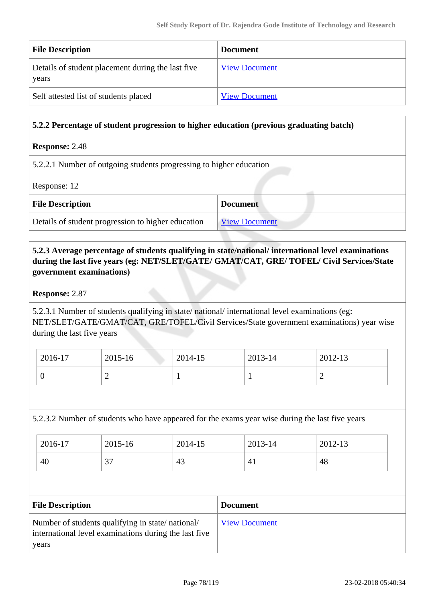| <b>File Description</b>                                    | <b>Document</b>      |
|------------------------------------------------------------|----------------------|
| Details of student placement during the last five<br>years | <b>View Document</b> |
| Self attested list of students placed                      | <b>View Document</b> |

## **5.2.2 Percentage of student progression to higher education (previous graduating batch)**

#### **Response:** 2.48

5.2.2.1 Number of outgoing students progressing to higher education

Response: 12

| <b>File Description</b>                            | <b>Document</b>      |
|----------------------------------------------------|----------------------|
| Details of student progression to higher education | <b>View Document</b> |

# **5.2.3 Average percentage of students qualifying in state/national/ international level examinations during the last five years (eg: NET/SLET/GATE/ GMAT/CAT, GRE/ TOFEL/ Civil Services/State government examinations)**

#### **Response:** 2.87

5.2.3.1 Number of students qualifying in state/ national/ international level examinations (eg: NET/SLET/GATE/GMAT/CAT, GRE/TOFEL/Civil Services/State government examinations) year wise during the last five years

| 2016-17 | 2015-16 | 2014-15 | 2013-14 | 2012-13 |
|---------|---------|---------|---------|---------|
| ິ       | -       |         |         | -       |

## 5.2.3.2 Number of students who have appeared for the exams year wise during the last five years

| 2016-17 | 2015-16       | 2014-15 | 2013-14        | 2012-13 |
|---------|---------------|---------|----------------|---------|
| 40      | $\gamma$<br>ر | 43      | 4 <sub>1</sub> | 48      |

| <b>File Description</b>                                                                                            | <b>Document</b>      |
|--------------------------------------------------------------------------------------------------------------------|----------------------|
| Number of students qualifying in state/national/<br>international level examinations during the last five<br>years | <b>View Document</b> |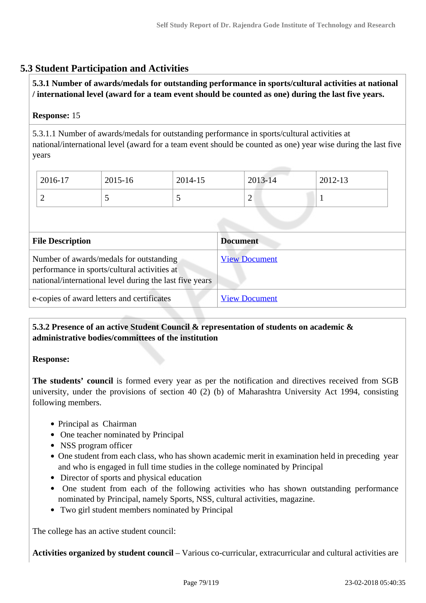# **5.3 Student Participation and Activities**

# **5.3.1 Number of awards/medals for outstanding performance in sports/cultural activities at national / international level (award for a team event should be counted as one) during the last five years.**

# **Response:** 15

5.3.1.1 Number of awards/medals for outstanding performance in sports/cultural activities at national/international level (award for a team event should be counted as one) year wise during the last five years

| $2016-17$ | 2015-16 | 2014-15 | 2013-14 | 2012-13  |
|-----------|---------|---------|---------|----------|
| ∽         | ັ       |         | ∼       | <b>.</b> |

| <b>File Description</b>                                                                                                                            | <b>Document</b>      |
|----------------------------------------------------------------------------------------------------------------------------------------------------|----------------------|
| Number of awards/medals for outstanding<br>performance in sports/cultural activities at<br>national/international level during the last five years | <b>View Document</b> |
| e-copies of award letters and certificates                                                                                                         | <b>View Document</b> |

# **5.3.2 Presence of an active Student Council & representation of students on academic & administrative bodies/committees of the institution**

## **Response:**

**The students' council** is formed every year as per the notification and directives received from SGB university, under the provisions of section 40 (2) (b) of Maharashtra University Act 1994, consisting following members.

- Principal as Chairman
- One teacher nominated by Principal
- NSS program officer
- One student from each class, who has shown academic merit in examination held in preceding year and who is engaged in full time studies in the college nominated by Principal
- Director of sports and physical education
- One student from each of the following activities who has shown outstanding performance nominated by Principal, namely Sports, NSS, cultural activities, magazine.
- Two girl student members nominated by Principal

The college has an active student council:

**Activities organized by student council** – Various co-curricular, extracurricular and cultural activities are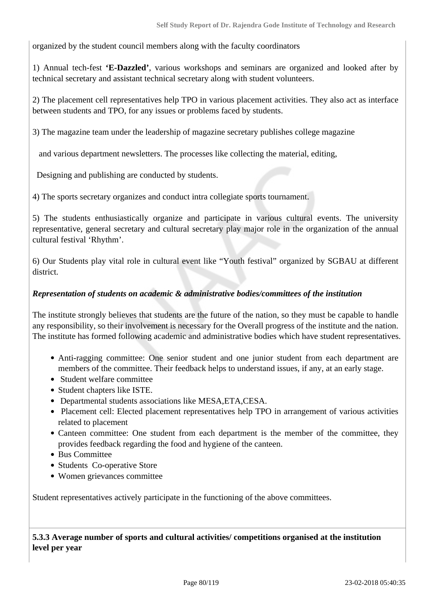organized by the student council members along with the faculty coordinators

1) Annual tech-fest **'E-Dazzled'**, various workshops and seminars are organized and looked after by technical secretary and assistant technical secretary along with student volunteers.

2) The placement cell representatives help TPO in various placement activities. They also act as interface between students and TPO, for any issues or problems faced by students.

3) The magazine team under the leadership of magazine secretary publishes college magazine

and various department newsletters. The processes like collecting the material, editing,

Designing and publishing are conducted by students.

4) The sports secretary organizes and conduct intra collegiate sports tournament.

5) The students enthusiastically organize and participate in various cultural events. The university representative, general secretary and cultural secretary play major role in the organization of the annual cultural festival 'Rhythm'.

6) Our Students play vital role in cultural event like "Youth festival" organized by SGBAU at different district.

#### *Representation of students on academic & administrative bodies/committees of the institution*

The institute strongly believes that students are the future of the nation, so they must be capable to handle any responsibility, so their involvement is necessary for the Overall progress of the institute and the nation. The institute has formed following academic and administrative bodies which have student representatives.

- Anti-ragging committee: One senior student and one junior student from each department are members of the committee. Their feedback helps to understand issues, if any, at an early stage.
- Student welfare committee
- Student chapters like ISTE.
- Departmental students associations like MESA,ETA,CESA.
- Placement cell: Elected placement representatives help TPO in arrangement of various activities related to placement
- Canteen committee: One student from each department is the member of the committee, they provides feedback regarding the food and hygiene of the canteen.
- Bus Committee
- Students Co-operative Store
- Women grievances committee

Student representatives actively participate in the functioning of the above committees.

 **5.3.3 Average number of sports and cultural activities/ competitions organised at the institution level per year**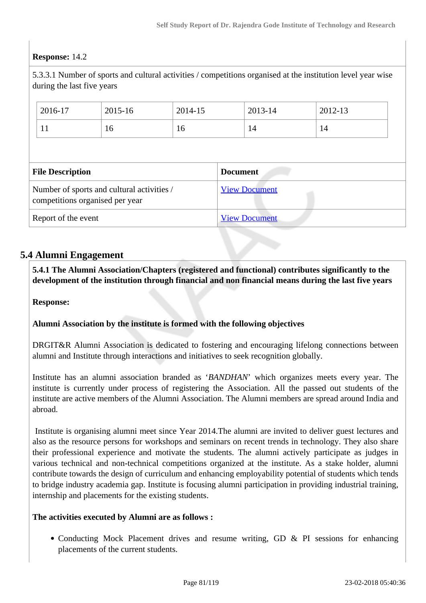# **Response:** 14.2

5.3.3.1 Number of sports and cultural activities / competitions organised at the institution level year wise during the last five years

|                         | 2016-17                         | 2015-16                                    | 2014-15 |                 | 2013-14              | 2012-13 |
|-------------------------|---------------------------------|--------------------------------------------|---------|-----------------|----------------------|---------|
|                         | 11                              | 16                                         | 16      |                 | 14                   | 14      |
|                         |                                 |                                            |         |                 |                      |         |
| <b>File Description</b> |                                 |                                            |         |                 |                      |         |
|                         |                                 |                                            |         | <b>Document</b> |                      |         |
|                         | competitions organised per year | Number of sports and cultural activities / |         |                 | <b>View Document</b> |         |

# **5.4 Alumni Engagement**

 **5.4.1 The Alumni Association/Chapters (registered and functional) contributes significantly to the development of the institution through financial and non financial means during the last five years**

**Response:** 

## **Alumni Association by the institute is formed with the following objectives**

DRGIT&R Alumni Association is dedicated to fostering and encouraging lifelong connections between alumni and Institute through interactions and initiatives to seek recognition globally.

Institute has an alumni association branded as '*BANDHAN*' which organizes meets every year. The institute is currently under process of registering the Association. All the passed out students of the institute are active members of the Alumni Association. The Alumni members are spread around India and abroad.

 Institute is organising alumni meet since Year 2014.The alumni are invited to deliver guest lectures and also as the resource persons for workshops and seminars on recent trends in technology. They also share their professional experience and motivate the students. The alumni actively participate as judges in various technical and non-technical competitions organized at the institute. As a stake holder, alumni contribute towards the design of curriculum and enhancing employability potential of students which tends to bridge industry academia gap. Institute is focusing alumni participation in providing industrial training, internship and placements for the existing students.

#### **The activities executed by Alumni are as follows :**

• Conducting Mock Placement drives and resume writing, GD & PI sessions for enhancing placements of the current students.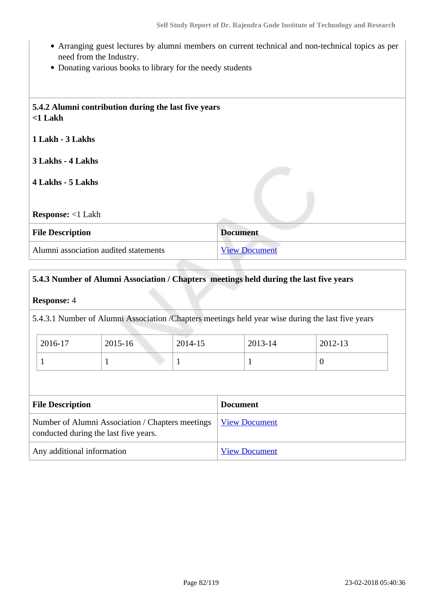- Arranging guest lectures by alumni members on current technical and non-technical topics as per need from the Industry.
- Donating various books to library for the needy students

| 5.4.2 Alumni contribution during the last five years<br>$<$ 1 Lakh |                      |
|--------------------------------------------------------------------|----------------------|
| 1 Lakh - 3 Lakhs                                                   |                      |
| 3 Lakhs - 4 Lakhs                                                  |                      |
| 4 Lakhs - 5 Lakhs                                                  |                      |
|                                                                    |                      |
| <b>Response:</b> <1 Lakh                                           |                      |
| <b>File Description</b>                                            | <b>Document</b>      |
| Alumni association audited statements                              | <b>View Document</b> |

# **5.4.3 Number of Alumni Association / Chapters meetings held during the last five years**

**Response:** 4

5.4.3.1 Number of Alumni Association /Chapters meetings held year wise during the last five years

| $2016-17$ | 2015-16 | 2014-15 | 2013-14 | 2012-13        |
|-----------|---------|---------|---------|----------------|
|           |         |         |         | $\overline{0}$ |

| <b>File Description</b>                                                                                   | <b>Document</b>      |
|-----------------------------------------------------------------------------------------------------------|----------------------|
| Number of Alumni Association / Chapters meetings   View Document<br>conducted during the last five years. |                      |
| Any additional information                                                                                | <b>View Document</b> |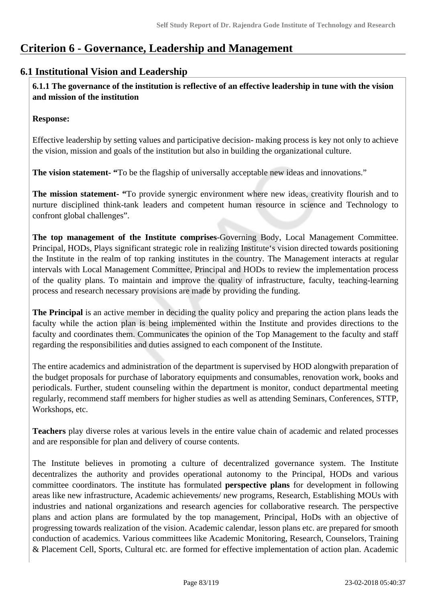# **Criterion 6 - Governance, Leadership and Management**

# **6.1 Institutional Vision and Leadership**

 **6.1.1 The governance of the institution is reflective of an effective leadership in tune with the vision and mission of the institution**

## **Response:**

Effective leadership by setting values and participative decision- making process is key not only to achieve the vision, mission and goals of the institution but also in building the organizational culture.

**The vision statement- "**To be the flagship of universally acceptable new ideas and innovations."

**The mission statement- "**To provide synergic environment where new ideas, creativity flourish and to nurture disciplined think-tank leaders and competent human resource in science and Technology to confront global challenges".

**The top management of the Institute comprises**-Governing Body, Local Management Committee. Principal, HODs, Plays significant strategic role in realizing Institute's vision directed towards positioning the Institute in the realm of top ranking institutes in the country. The Management interacts at regular intervals with Local Management Committee, Principal and HODs to review the implementation process of the quality plans. To maintain and improve the quality of infrastructure, faculty, teaching-learning process and research necessary provisions are made by providing the funding.

**The Principal** is an active member in deciding the quality policy and preparing the action plans leads the faculty while the action plan is being implemented within the Institute and provides directions to the faculty and coordinates them. Communicates the opinion of the Top Management to the faculty and staff regarding the responsibilities and duties assigned to each component of the Institute.

The entire academics and administration of the department is supervised by HOD alongwith preparation of the budget proposals for purchase of laboratory equipments and consumables, renovation work, books and periodicals. Further, student counseling within the department is monitor, conduct departmental meeting regularly, recommend staff members for higher studies as well as attending Seminars, Conferences, STTP, Workshops, etc.

**Teachers** play diverse roles at various levels in the entire value chain of academic and related processes and are responsible for plan and delivery of course contents.

The Institute believes in promoting a culture of decentralized governance system. The Institute decentralizes the authority and provides operational autonomy to the Principal, HODs and various committee coordinators. The institute has formulated **perspective plans** for development in following areas like new infrastructure, Academic achievements/ new programs, Research, Establishing MOUs with industries and national organizations and research agencies for collaborative research. The perspective plans and action plans are formulated by the top management, Principal, HoDs with an objective of progressing towards realization of the vision. Academic calendar, lesson plans etc. are prepared for smooth conduction of academics. Various committees like Academic Monitoring, Research, Counselors, Training & Placement Cell, Sports, Cultural etc. are formed for effective implementation of action plan. Academic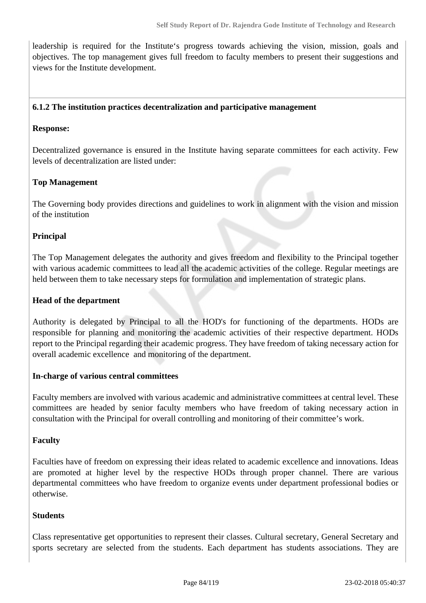leadership is required for the Institute's progress towards achieving the vision, mission, goals and objectives. The top management gives full freedom to faculty members to present their suggestions and views for the Institute development.

#### **6.1.2 The institution practices decentralization and participative management**

#### **Response:**

Decentralized governance is ensured in the Institute having separate committees for each activity. Few levels of decentralization are listed under:

## **Top Management**

The Governing body provides directions and guidelines to work in alignment with the vision and mission of the institution

#### **Principal**

The Top Management delegates the authority and gives freedom and flexibility to the Principal together with various academic committees to lead all the academic activities of the college. Regular meetings are held between them to take necessary steps for formulation and implementation of strategic plans.

#### **Head of the department**

Authority is delegated by Principal to all the HOD's for functioning of the departments. HODs are responsible for planning and monitoring the academic activities of their respective department. HODs report to the Principal regarding their academic progress. They have freedom of taking necessary action for overall academic excellence and monitoring of the department.

#### **In-charge of various central committees**

Faculty members are involved with various academic and administrative committees at central level. These committees are headed by senior faculty members who have freedom of taking necessary action in consultation with the Principal for overall controlling and monitoring of their committee's work.

#### **Faculty**

Faculties have of freedom on expressing their ideas related to academic excellence and innovations. Ideas are promoted at higher level by the respective HODs through proper channel. There are various departmental committees who have freedom to organize events under department professional bodies or otherwise.

#### **Students**

Class representative get opportunities to represent their classes. Cultural secretary, General Secretary and sports secretary are selected from the students. Each department has students associations. They are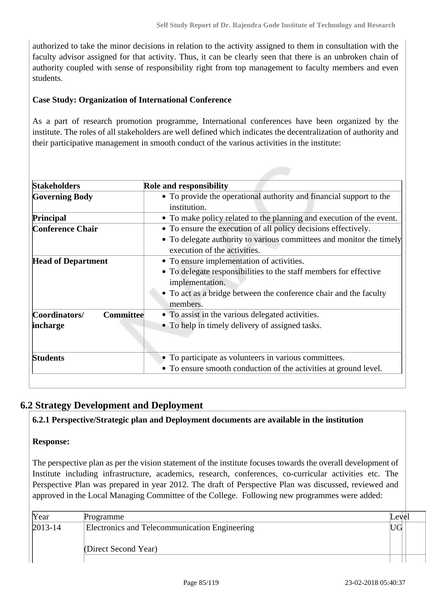authorized to take the minor decisions in relation to the activity assigned to them in consultation with the faculty advisor assigned for that activity. Thus, it can be clearly seen that there is an unbroken chain of authority coupled with sense of responsibility right from top management to faculty members and even students.

## **Case Study: Organization of International Conference**

As a part of research promotion programme, International conferences have been organized by the institute. The roles of all stakeholders are well defined which indicates the decentralization of authority and their participative management in smooth conduct of the various activities in the institute:

| <b>Stakeholders</b>               | <b>Role and responsibility</b>                                       |
|-----------------------------------|----------------------------------------------------------------------|
| <b>Governing Body</b>             | • To provide the operational authority and financial support to the  |
|                                   | institution.                                                         |
| Principal                         | • To make policy related to the planning and execution of the event. |
| <b>Conference Chair</b>           | • To ensure the execution of all policy decisions effectively.       |
|                                   | • To delegate authority to various committees and monitor the timely |
|                                   | execution of the activities.                                         |
| <b>Head of Department</b>         | • To ensure implementation of activities.                            |
|                                   | • To delegate responsibilities to the staff members for effective    |
|                                   | implementation.                                                      |
|                                   | • To act as a bridge between the conference chair and the faculty    |
|                                   | members.                                                             |
| <b>Committee</b><br>Coordinators/ | • To assist in the various delegated activities.                     |
| incharge                          | • To help in timely delivery of assigned tasks.                      |
|                                   |                                                                      |
| <b>Students</b>                   | • To participate as volunteers in various committees.                |
|                                   | • To ensure smooth conduction of the activities at ground level.     |

# **6.2 Strategy Development and Deployment**

## **6.2.1 Perspective/Strategic plan and Deployment documents are available in the institution**

## **Response:**

The perspective plan as per the vision statement of the institute focuses towards the overall development of Institute including infrastructure, academics, research, conferences, co-curricular activities etc. The Perspective Plan was prepared in year 2012. The draft of Perspective Plan was discussed, reviewed and approved in the Local Managing Committee of the College. Following new programmes were added:

| Year        | Programme                                     | Level |
|-------------|-----------------------------------------------|-------|
| $2013 - 14$ | Electronics and Telecommunication Engineering | UG    |
|             |                                               |       |
|             | (Direct Second Year)                          |       |
|             |                                               |       |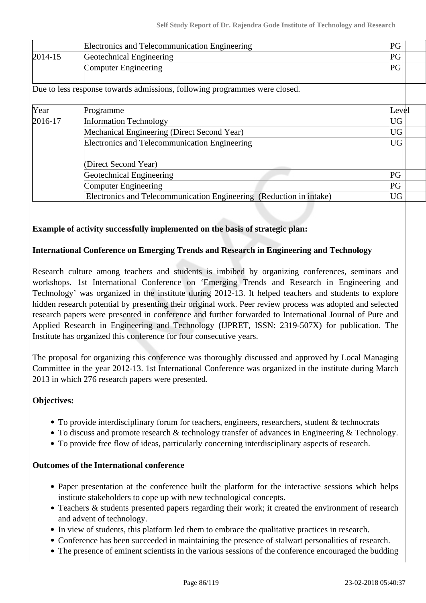| Electronics and Telecommunication Engineering |                          | $PG_{1}$ |
|-----------------------------------------------|--------------------------|----------|
| $2014 - 15$                                   | Geotechnical Engineering | PG       |
|                                               | Computer Engineering     | PG       |

Due to less response towards admissions, following programmes were closed.

| Year      | Programme                                                           | Level                      |
|-----------|---------------------------------------------------------------------|----------------------------|
| $2016-17$ | <b>Information Technology</b>                                       | $\mathop{\rm UG}\nolimits$ |
|           | Mechanical Engineering (Direct Second Year)                         |                            |
|           | Electronics and Telecommunication Engineering                       | UG                         |
|           | (Direct Second Year)                                                |                            |
|           | Geotechnical Engineering                                            | PG                         |
|           | Computer Engineering                                                | PG                         |
|           | Electronics and Telecommunication Engineering (Reduction in intake) | UG                         |

## **Example of activity successfully implemented on the basis of strategic plan:**

## **International Conference on Emerging Trends and Research in Engineering and Technology**

Research culture among teachers and students is imbibed by organizing conferences, seminars and workshops. 1st International Conference on 'Emerging Trends and Research in Engineering and Technology' was organized in the institute during 2012-13. It helped teachers and students to explore hidden research potential by presenting their original work. Peer review process was adopted and selected research papers were presented in conference and further forwarded to International Journal of Pure and Applied Research in Engineering and Technology (IJPRET, ISSN: 2319-507X) for publication. The Institute has organized this conference for four consecutive years.

The proposal for organizing this conference was thoroughly discussed and approved by Local Managing Committee in the year 2012-13. 1st International Conference was organized in the institute during March 2013 in which 276 research papers were presented.

## **Objectives:**

- To provide interdisciplinary forum for teachers, engineers, researchers, student & technocrats
- To discuss and promote research & technology transfer of advances in Engineering & Technology.
- To provide free flow of ideas, particularly concerning interdisciplinary aspects of research.

#### **Outcomes of the International conference**

- Paper presentation at the conference built the platform for the interactive sessions which helps institute stakeholders to cope up with new technological concepts.
- Teachers & students presented papers regarding their work; it created the environment of research and advent of technology.
- In view of students, this platform led them to embrace the qualitative practices in research.
- Conference has been succeeded in maintaining the presence of stalwart personalities of research.
- The presence of eminent scientists in the various sessions of the conference encouraged the budding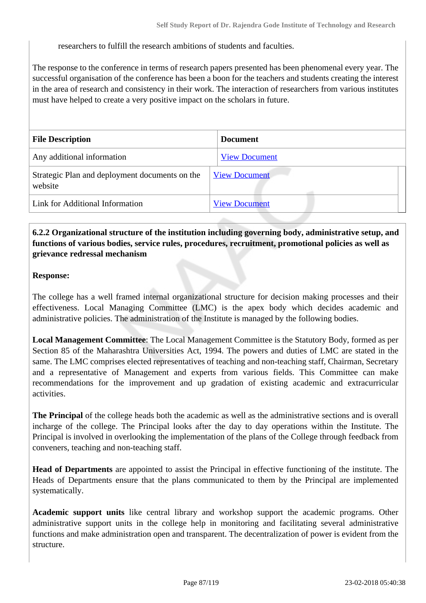researchers to fulfill the research ambitions of students and faculties.

The response to the conference in terms of research papers presented has been phenomenal every year. The successful organisation of the conference has been a boon for the teachers and students creating the interest in the area of research and consistency in their work. The interaction of researchers from various institutes must have helped to create a very positive impact on the scholars in future.

| <b>File Description</b>                                   | <b>Document</b>      |
|-----------------------------------------------------------|----------------------|
| Any additional information                                | <b>View Document</b> |
| Strategic Plan and deployment documents on the<br>website | <b>View Document</b> |
| Link for Additional Information                           | <b>View Document</b> |

# **6.2.2 Organizational structure of the institution including governing body, administrative setup, and functions of various bodies, service rules, procedures, recruitment, promotional policies as well as grievance redressal mechanism**

#### **Response:**

The college has a well framed internal organizational structure for decision making processes and their effectiveness. Local Managing Committee (LMC) is the apex body which decides academic and administrative policies. The administration of the Institute is managed by the following bodies.

**Local Management Committee**: The Local Management Committee is the Statutory Body, formed as per Section 85 of the Maharashtra Universities Act, 1994. The powers and duties of LMC are stated in the same. The LMC comprises elected representatives of teaching and non-teaching staff, Chairman, Secretary and a representative of Management and experts from various fields. This Committee can make recommendations for the improvement and up gradation of existing academic and extracurricular activities.

**The Principal** of the college heads both the academic as well as the administrative sections and is overall incharge of the college. The Principal looks after the day to day operations within the Institute. The Principal is involved in overlooking the implementation of the plans of the College through feedback from conveners, teaching and non-teaching staff.

**Head of Departments** are appointed to assist the Principal in effective functioning of the institute. The Heads of Departments ensure that the plans communicated to them by the Principal are implemented systematically.

**Academic support units** like central library and workshop support the academic programs. Other administrative support units in the college help in monitoring and facilitating several administrative functions and make administration open and transparent. The decentralization of power is evident from the structure.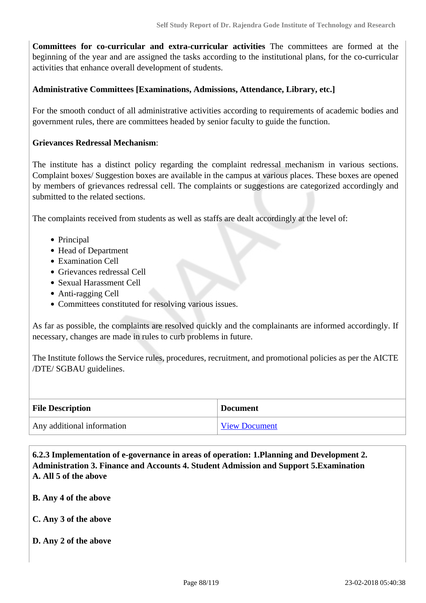**Committees for co-curricular and extra-curricular activities** The committees are formed at the beginning of the year and are assigned the tasks according to the institutional plans, for the co-curricular activities that enhance overall development of students.

## **Administrative Committees [Examinations, Admissions, Attendance, Library, etc.]**

For the smooth conduct of all administrative activities according to requirements of academic bodies and government rules, there are committees headed by senior faculty to guide the function.

#### **Grievances Redressal Mechanism**:

The institute has a distinct policy regarding the complaint redressal mechanism in various sections. Complaint boxes/ Suggestion boxes are available in the campus at various places. These boxes are opened by members of grievances redressal cell. The complaints or suggestions are categorized accordingly and submitted to the related sections.

The complaints received from students as well as staffs are dealt accordingly at the level of:

- Principal
- Head of Department
- Examination Cell
- Grievances redressal Cell
- Sexual Harassment Cell
- Anti-ragging Cell
- Committees constituted for resolving various issues.

As far as possible, the complaints are resolved quickly and the complainants are informed accordingly. If necessary, changes are made in rules to curb problems in future.

The Institute follows the Service rules, procedures, recruitment, and promotional policies as per the AICTE /DTE/ SGBAU guidelines.

| <b>File Description</b>    | <b>Document</b>      |  |
|----------------------------|----------------------|--|
| Any additional information | <b>View Document</b> |  |

 **6.2.3 Implementation of e-governance in areas of operation: 1.Planning and Development 2. Administration 3. Finance and Accounts 4. Student Admission and Support 5.Examination A. All 5 of the above**

- **B. Any 4 of the above**
- **C. Any 3 of the above**
- **D. Any 2 of the above**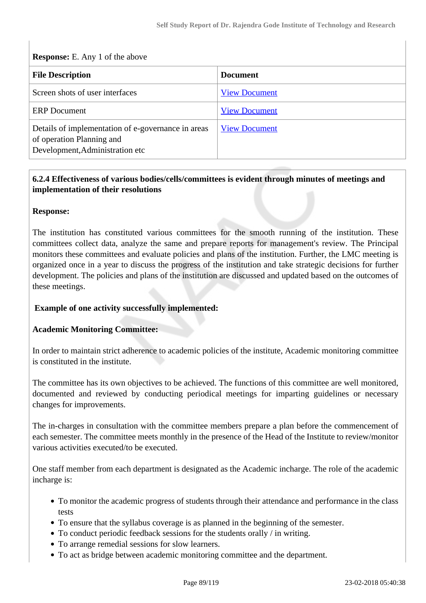| <b>Response:</b> E. Any 1 of the above                                                                             |                      |  |  |  |  |
|--------------------------------------------------------------------------------------------------------------------|----------------------|--|--|--|--|
| <b>File Description</b>                                                                                            | <b>Document</b>      |  |  |  |  |
| Screen shots of user interfaces                                                                                    | <b>View Document</b> |  |  |  |  |
| <b>ERP</b> Document                                                                                                | <b>View Document</b> |  |  |  |  |
| Details of implementation of e-governance in areas<br>of operation Planning and<br>Development, Administration etc | <b>View Document</b> |  |  |  |  |

# **6.2.4 Effectiveness of various bodies/cells/committees is evident through minutes of meetings and implementation of their resolutions**

#### **Response:**

The institution has constituted various committees for the smooth running of the institution. These committees collect data, analyze the same and prepare reports for management's review. The Principal monitors these committees and evaluate policies and plans of the institution. Further, the LMC meeting is organized once in a year to discuss the progress of the institution and take strategic decisions for further development. The policies and plans of the institution are discussed and updated based on the outcomes of these meetings.

## **Example of one activity successfully implemented:**

#### **Academic Monitoring Committee:**

In order to maintain strict adherence to academic policies of the institute, Academic monitoring committee is constituted in the institute.

The committee has its own objectives to be achieved. The functions of this committee are well monitored, documented and reviewed by conducting periodical meetings for imparting guidelines or necessary changes for improvements.

The in-charges in consultation with the committee members prepare a plan before the commencement of each semester. The committee meets monthly in the presence of the Head of the Institute to review/monitor various activities executed/to be executed.

One staff member from each department is designated as the Academic incharge. The role of the academic incharge is:

- To monitor the academic progress of students through their attendance and performance in the class tests
- To ensure that the syllabus coverage is as planned in the beginning of the semester.
- To conduct periodic feedback sessions for the students orally / in writing.
- To arrange remedial sessions for slow learners.
- To act as bridge between academic monitoring committee and the department.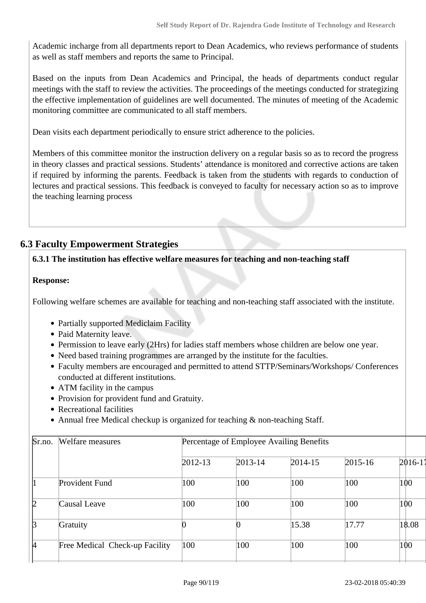Academic incharge from all departments report to Dean Academics, who reviews performance of students as well as staff members and reports the same to Principal.

Based on the inputs from Dean Academics and Principal, the heads of departments conduct regular meetings with the staff to review the activities. The proceedings of the meetings conducted for strategizing the effective implementation of guidelines are well documented. The minutes of meeting of the Academic monitoring committee are communicated to all staff members.

Dean visits each department periodically to ensure strict adherence to the policies.

Members of this committee monitor the instruction delivery on a regular basis so as to record the progress in theory classes and practical sessions. Students' attendance is monitored and corrective actions are taken if required by informing the parents. Feedback is taken from the students with regards to conduction of lectures and practical sessions. This feedback is conveyed to faculty for necessary action so as to improve the teaching learning process

# **6.3 Faculty Empowerment Strategies**

# **6.3.1 The institution has effective welfare measures for teaching and non-teaching staff**

## **Response:**

Following welfare schemes are available for teaching and non-teaching staff associated with the institute.

- Partially supported Mediclaim Facility
- Paid Maternity leave.
- Permission to leave early (2Hrs) for ladies staff members whose children are below one year.
- Need based training programmes are arranged by the institute for the faculties.
- Faculty members are encouraged and permitted to attend STTP/Seminars/Workshops/ Conferences conducted at different institutions.
- ATM facility in the campus
- Provision for provident fund and Gratuity.
- Recreational facilities
- Annual free Medical checkup is organized for teaching & non-teaching Staff.

| Welfare measures               |         |             |             |                                          |             |  |  |
|--------------------------------|---------|-------------|-------------|------------------------------------------|-------------|--|--|
|                                | 2012-13 | $2013 - 14$ | $2014 - 15$ | $2015 - 16$                              | $2016 - 1'$ |  |  |
| Provident Fund                 | 100     | 100         | 100         | 100                                      | 100         |  |  |
| Causal Leave                   | 100     | 100         | 100         | 100                                      | 100         |  |  |
| Gratuity                       |         |             | 15.38       | 17.77                                    | 18.08       |  |  |
| Free Medical Check-up Facility | 100     | 100         | 100         | 100                                      | 100         |  |  |
|                                |         |             |             | Percentage of Employee Availing Benefits |             |  |  |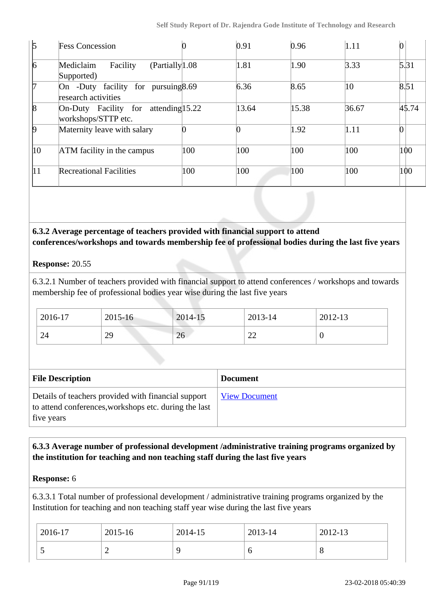| $\mathfrak b$   | <b>Fess Concession</b>                                            |     | 0.91  | 0.96  | 1.11  |       |
|-----------------|-------------------------------------------------------------------|-----|-------|-------|-------|-------|
| $\vert 6 \vert$ | (Partially <sup>1.08</sup><br>Facility<br>Mediclaim<br>Supported) |     | 1.81  | 1.90  | 3.33  | 5.31  |
| l7              | On -Duty facility for pursuing 8.69<br>research activities        |     | 6.36  | 8.65  | 10    | 8.51  |
| $\vert$ 8       | On-Duty Facility for attending 15.22<br>workshops/STTP etc.       |     | 13.64 | 15.38 | 36.67 | 45.74 |
| $\vert$ 9       | Maternity leave with salary                                       |     |       | 1.92  | 1.11  |       |
| $ 10\rangle$    | ATM facility in the campus                                        | 100 | 100   | 100   | 100   | 100   |
| 11              | <b>Recreational Facilities</b>                                    | 100 | 100   | 100   | 100   | 100   |

# **6.3.2 Average percentage of teachers provided with financial support to attend conferences/workshops and towards membership fee of professional bodies during the last five years**

# **Response:** 20.55

6.3.2.1 Number of teachers provided with financial support to attend conferences / workshops and towards membership fee of professional bodies year wise during the last five years

| 2016-17 | 2015-16 | 2014-15 | 2013-14      | 2012-13 |
|---------|---------|---------|--------------|---------|
| 24      | 29      | 26      | $\sim$<br>∠∠ | ν       |

| <b>File Description</b>                                                                                                    | <b>Document</b>      |
|----------------------------------------------------------------------------------------------------------------------------|----------------------|
| Details of teachers provided with financial support<br>to attend conferences, workshops etc. during the last<br>five years | <b>View Document</b> |

# **6.3.3 Average number of professional development /administrative training programs organized by the institution for teaching and non teaching staff during the last five years**

## **Response:** 6

6.3.3.1 Total number of professional development / administrative training programs organized by the Institution for teaching and non teaching staff year wise during the last five years

| 2016-17 | 2015-16 | 2014-15 | 2013-14 | 2012-13 |
|---------|---------|---------|---------|---------|
|         |         |         |         | v       |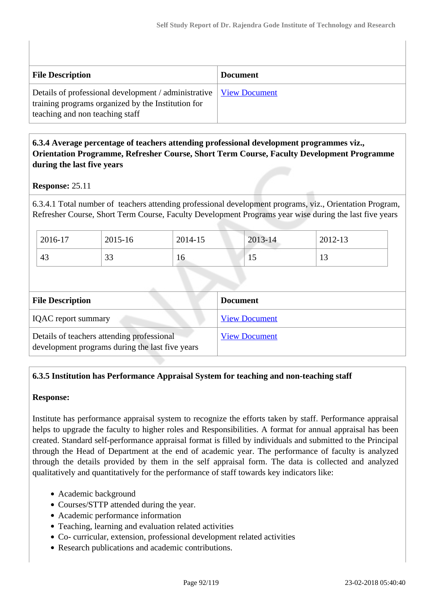| <b>File Description</b>                                                                                                                                              | <b>Document</b> |
|----------------------------------------------------------------------------------------------------------------------------------------------------------------------|-----------------|
| Details of professional development / administrative   <u>View Document</u><br>training programs organized by the Institution for<br>teaching and non teaching staff |                 |

# **6.3.4 Average percentage of teachers attending professional development programmes viz., Orientation Programme, Refresher Course, Short Term Course, Faculty Development Programme during the last five years**

# **Response:** 25.11

6.3.4.1 Total number of teachers attending professional development programs, viz., Orientation Program, Refresher Course, Short Term Course, Faculty Development Programs year wise during the last five years

| 2016-17 | 2015-16      | 2014-15 | 2013-14 | 2012-13          |
|---------|--------------|---------|---------|------------------|
| 43      | $\cap$<br>υJ | 16      | ⊥ J     | $1 \Omega$<br>IJ |

| <b>File Description</b>                                                                       | <b>Document</b>      |
|-----------------------------------------------------------------------------------------------|----------------------|
| <b>IQAC</b> report summary                                                                    | <b>View Document</b> |
| Details of teachers attending professional<br>development programs during the last five years | <b>View Document</b> |

# **6.3.5 Institution has Performance Appraisal System for teaching and non-teaching staff**

## **Response:**

Institute has performance appraisal system to recognize the efforts taken by staff. Performance appraisal helps to upgrade the faculty to higher roles and Responsibilities. A format for annual appraisal has been created. Standard self-performance appraisal format is filled by individuals and submitted to the Principal through the Head of Department at the end of academic year. The performance of faculty is analyzed through the details provided by them in the self appraisal form. The data is collected and analyzed qualitatively and quantitatively for the performance of staff towards key indicators like:

- Academic background
- Courses/STTP attended during the year.
- Academic performance information
- Teaching, learning and evaluation related activities
- Co- curricular, extension, professional development related activities
- Research publications and academic contributions.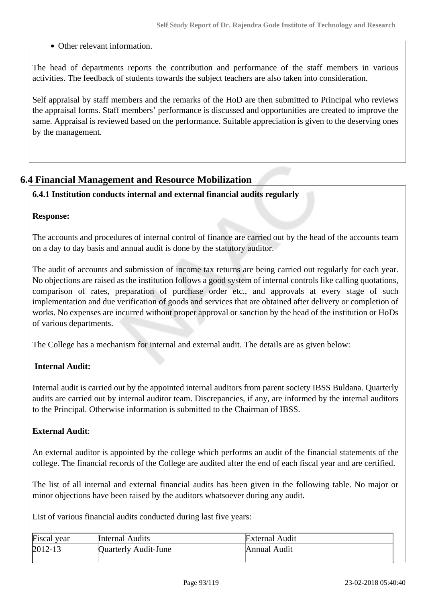• Other relevant information.

The head of departments reports the contribution and performance of the staff members in various activities. The feedback of students towards the subject teachers are also taken into consideration.

Self appraisal by staff members and the remarks of the HoD are then submitted to Principal who reviews the appraisal forms. Staff members' performance is discussed and opportunities are created to improve the same. Appraisal is reviewed based on the performance. Suitable appreciation is given to the deserving ones by the management.

# **6.4 Financial Management and Resource Mobilization**

# **6.4.1 Institution conducts internal and external financial audits regularly**

#### **Response:**

The accounts and procedures of internal control of finance are carried out by the head of the accounts team on a day to day basis and annual audit is done by the statutory auditor.

The audit of accounts and submission of income tax returns are being carried out regularly for each year. No objections are raised as the institution follows a good system of internal controls like calling quotations, comparison of rates, preparation of purchase order etc., and approvals at every stage of such implementation and due verification of goods and services that are obtained after delivery or completion of works. No expenses are incurred without proper approval or sanction by the head of the institution or HoDs of various departments.

The College has a mechanism for internal and external audit. The details are as given below:

# **Internal Audit:**

Internal audit is carried out by the appointed internal auditors from parent society IBSS Buldana. Quarterly audits are carried out by internal auditor team. Discrepancies, if any, are informed by the internal auditors to the Principal. Otherwise information is submitted to the Chairman of IBSS.

## **External Audit**:

An external auditor is appointed by the college which performs an audit of the financial statements of the college. The financial records of the College are audited after the end of each fiscal year and are certified.

The list of all internal and external financial audits has been given in the following table. No major or minor objections have been raised by the auditors whatsoever during any audit.

List of various financial audits conducted during last five years:

| Fiscal year | <b>Internal Audits</b> | <b>External Audit</b> |
|-------------|------------------------|-----------------------|
| $2012 - 13$ | Quarterly Audit-June   | Annual Audit          |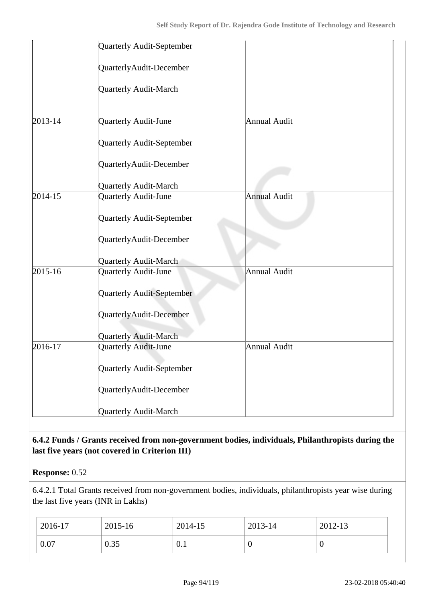|         | Quarterly Audit-September    |                     |  |
|---------|------------------------------|---------------------|--|
|         | QuarterlyAudit-December      |                     |  |
|         | <b>Quarterly Audit-March</b> |                     |  |
| 2013-14 | Quarterly Audit-June         | Annual Audit        |  |
|         | Quarterly Audit-September    |                     |  |
|         | QuarterlyAudit-December      |                     |  |
|         | Quarterly Audit-March        |                     |  |
| 2014-15 | Quarterly Audit-June         | <b>Annual Audit</b> |  |
|         | Quarterly Audit-September    |                     |  |
|         | QuarterlyAudit-December      |                     |  |
|         | <b>Quarterly Audit-March</b> |                     |  |
| 2015-16 | Quarterly Audit-June         | Annual Audit        |  |
|         | Quarterly Audit-September    |                     |  |
|         | QuarterlyAudit-December      |                     |  |
|         | <b>Quarterly Audit-March</b> |                     |  |
| 2016-17 | Quarterly Audit-June         | Annual Audit        |  |
|         | Quarterly Audit-September    |                     |  |
|         | QuarterlyAudit-December      |                     |  |
|         | Quarterly Audit-March        |                     |  |

# **6.4.2 Funds / Grants received from non-government bodies, individuals, Philanthropists during the last five years (not covered in Criterion III)**

**Response:** 0.52

6.4.2.1 Total Grants received from non-government bodies, individuals, philanthropists year wise during the last five years (INR in Lakhs)

| 2016-17 | 2015-16 | 2014-15 | 2013-14 | 2012-13    |
|---------|---------|---------|---------|------------|
| 0.07    | 0.35    | 0.1     | ◡       | $\epsilon$ |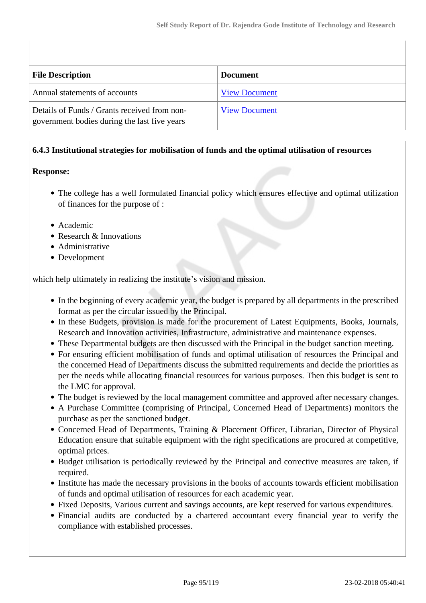| <b>File Description</b>                                                                      | <b>Document</b>      |
|----------------------------------------------------------------------------------------------|----------------------|
| Annual statements of accounts                                                                | <b>View Document</b> |
| Details of Funds / Grants received from non-<br>government bodies during the last five years | <b>View Document</b> |

## **6.4.3 Institutional strategies for mobilisation of funds and the optimal utilisation of resources**

#### **Response:**

- The college has a well formulated financial policy which ensures effective and optimal utilization of finances for the purpose of :
- Academic
- Research & Innovations
- Administrative
- Development

which help ultimately in realizing the institute's vision and mission.

- In the beginning of every academic year, the budget is prepared by all departments in the prescribed format as per the circular issued by the Principal.
- In these Budgets, provision is made for the procurement of Latest Equipments, Books, Journals, Research and Innovation activities, Infrastructure, administrative and maintenance expenses.
- These Departmental budgets are then discussed with the Principal in the budget sanction meeting.
- For ensuring efficient mobilisation of funds and optimal utilisation of resources the Principal and the concerned Head of Departments discuss the submitted requirements and decide the priorities as per the needs while allocating financial resources for various purposes. Then this budget is sent to the LMC for approval.
- The budget is reviewed by the local management committee and approved after necessary changes.
- A Purchase Committee (comprising of Principal, Concerned Head of Departments) monitors the purchase as per the sanctioned budget.
- Concerned Head of Departments, Training & Placement Officer, Librarian, Director of Physical Education ensure that suitable equipment with the right specifications are procured at competitive, optimal prices.
- Budget utilisation is periodically reviewed by the Principal and corrective measures are taken, if required.
- Institute has made the necessary provisions in the books of accounts towards efficient mobilisation of funds and optimal utilisation of resources for each academic year.
- Fixed Deposits, Various current and savings accounts, are kept reserved for various expenditures.
- Financial audits are conducted by a chartered accountant every financial year to verify the compliance with established processes.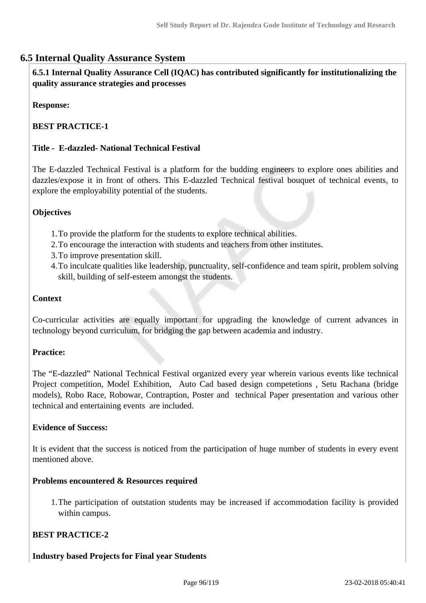# **6.5 Internal Quality Assurance System**

 **6.5.1 Internal Quality Assurance Cell (IQAC) has contributed significantly for institutionalizing the quality assurance strategies and processes**

**Response:** 

# **BEST PRACTICE-1**

#### **Title - E-dazzled- National Technical Festival**

The E-dazzled Technical Festival is a platform for the budding engineers to explore ones abilities and dazzles/expose it in front of others. This E-dazzled Technical festival bouquet of technical events, to explore the employability potential of the students.

#### **Objectives**

- 1.To provide the platform for the students to explore technical abilities.
- 2.To encourage the interaction with students and teachers from other institutes.
- 3.To improve presentation skill.
- 4.To inculcate qualities like leadership, punctuality, self-confidence and team spirit, problem solving skill, building of self-esteem amongst the students.

#### **Context**

Co-curricular activities are equally important for upgrading the knowledge of current advances in technology beyond curriculum, for bridging the gap between academia and industry.

#### **Practice:**

The "E-dazzled" National Technical Festival organized every year wherein various events like technical Project competition, Model Exhibition, Auto Cad based design competetions , Setu Rachana (bridge models), Robo Race, Robowar, Contraption, Poster and technical Paper presentation and various other technical and entertaining events are included.

#### **Evidence of Success:**

It is evident that the success is noticed from the participation of huge number of students in every event mentioned above.

#### **Problems encountered & Resources required**

1.The participation of outstation students may be increased if accommodation facility is provided within campus.

## **BEST PRACTICE-2**

# **Industry based Projects for Final year Students**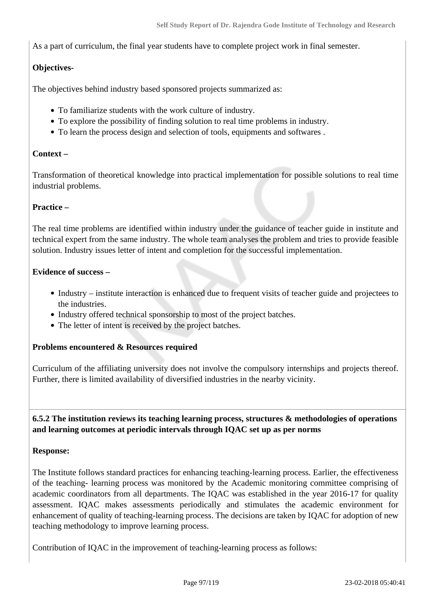As a part of curriculum, the final year students have to complete project work in final semester.

# **Objectives-**

The objectives behind industry based sponsored projects summarized as:

- To familiarize students with the work culture of industry.
- To explore the possibility of finding solution to real time problems in industry.
- To learn the process design and selection of tools, equipments and softwares .

## **Context –**

Transformation of theoretical knowledge into practical implementation for possible solutions to real time industrial problems.

#### **Practice –**

The real time problems are identified within industry under the guidance of teacher guide in institute and technical expert from the same industry. The whole team analyses the problem and tries to provide feasible solution. Industry issues letter of intent and completion for the successful implementation.

#### **Evidence of success –**

- Industry institute interaction is enhanced due to frequent visits of teacher guide and projectees to the industries.
- Industry offered technical sponsorship to most of the project batches.
- The letter of intent is received by the project batches.

## **Problems encountered & Resources required**

Curriculum of the affiliating university does not involve the compulsory internships and projects thereof. Further, there is limited availability of diversified industries in the nearby vicinity.

 **6.5.2 The institution reviews its teaching learning process, structures & methodologies of operations and learning outcomes at periodic intervals through IQAC set up as per norms**

#### **Response:**

The Institute follows standard practices for enhancing teaching-learning process. Earlier, the effectiveness of the teaching- learning process was monitored by the Academic monitoring committee comprising of academic coordinators from all departments. The IQAC was established in the year 2016-17 for quality assessment. IQAC makes assessments periodically and stimulates the academic environment for enhancement of quality of teaching-learning process. The decisions are taken by IQAC for adoption of new teaching methodology to improve learning process.

Contribution of IQAC in the improvement of teaching-learning process as follows: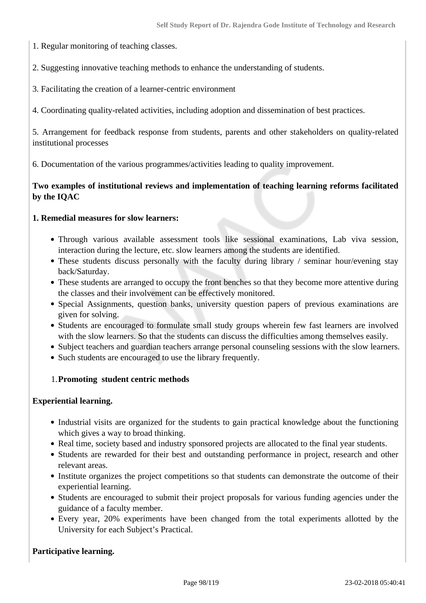1. Regular monitoring of teaching classes.

2. Suggesting innovative teaching methods to enhance the understanding of students.

3. Facilitating the creation of a learner-centric environment

4. Coordinating quality-related activities, including adoption and dissemination of best practices.

5. Arrangement for feedback response from students, parents and other stakeholders on quality-related institutional processes

6. Documentation of the various programmes/activities leading to quality improvement.

# **Two examples of institutional reviews and implementation of teaching learning reforms facilitated by the IQAC**

#### **1. Remedial measures for slow learners:**

- Through various available assessment tools like sessional examinations, Lab viva session, interaction during the lecture, etc. slow learners among the students are identified.
- These students discuss personally with the faculty during library / seminar hour/evening stay back/Saturday.
- These students are arranged to occupy the front benches so that they become more attentive during the classes and their involvement can be effectively monitored.
- Special Assignments, question banks, university question papers of previous examinations are given for solving.
- Students are encouraged to formulate small study groups wherein few fast learners are involved with the slow learners. So that the students can discuss the difficulties among themselves easily.
- Subject teachers and guardian teachers arrange personal counseling sessions with the slow learners.
- Such students are encouraged to use the library frequently.

## 1.**Promoting student centric methods**

#### **Experiential learning.**

- Industrial visits are organized for the students to gain practical knowledge about the functioning which gives a way to broad thinking.
- Real time, society based and industry sponsored projects are allocated to the final year students.
- Students are rewarded for their best and outstanding performance in project, research and other relevant areas.
- Institute organizes the project competitions so that students can demonstrate the outcome of their experiential learning.
- Students are encouraged to submit their project proposals for various funding agencies under the guidance of a faculty member.
- Every year, 20% experiments have been changed from the total experiments allotted by the University for each Subject's Practical.

## **Participative learning.**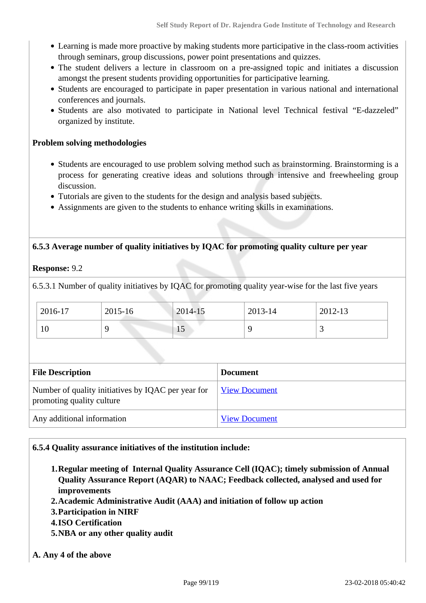- Learning is made more proactive by making students more participative in the class-room activities through seminars, group discussions, power point presentations and quizzes.
- The student delivers a lecture in classroom on a pre-assigned topic and initiates a discussion amongst the present students providing opportunities for participative learning.
- Students are encouraged to participate in paper presentation in various national and international conferences and journals.
- Students are also motivated to participate in National level Technical festival "E-dazzeled" organized by institute.

#### **Problem solving methodologies**

- Students are encouraged to use problem solving method such as brainstorming. Brainstorming is a process for generating creative ideas and solutions through intensive and freewheeling group discussion.
- Tutorials are given to the students for the design and analysis based subjects.
- Assignments are given to the students to enhance writing skills in examinations.

#### **6.5.3 Average number of quality initiatives by IQAC for promoting quality culture per year**

**Response:** 9.2

6.5.3.1 Number of quality initiatives by IQAC for promoting quality year-wise for the last five years

| 2016-17 | 2015-16 | 2014-15    | 2013-14 | 2012-13 |
|---------|---------|------------|---------|---------|
| 10      |         | $1 \omega$ |         |         |

| <b>File Description</b>                                                         | <b>Document</b>      |
|---------------------------------------------------------------------------------|----------------------|
| Number of quality initiatives by IQAC per year for<br>promoting quality culture | <b>View Document</b> |
| Any additional information                                                      | <b>View Document</b> |

#### **6.5.4 Quality assurance initiatives of the institution include:**

- **1.Regular meeting of Internal Quality Assurance Cell (IQAC); timely submission of Annual Quality Assurance Report (AQAR) to NAAC; Feedback collected, analysed and used for improvements**
- **2.Academic Administrative Audit (AAA) and initiation of follow up action**
- **3.Participation in NIRF**
- **4.ISO Certification**
- **5.NBA or any other quality audit**

**A. Any 4 of the above**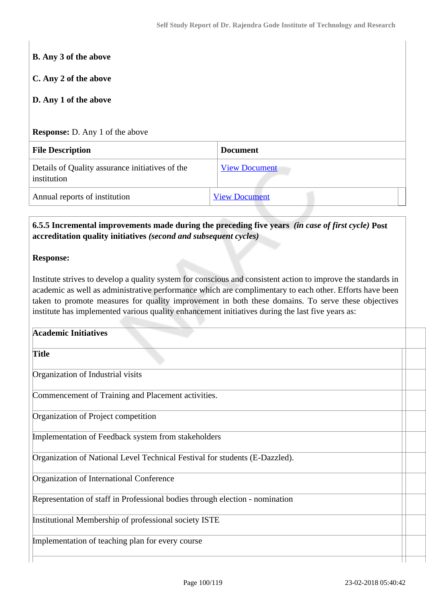| C. Any 2 of the above                                                                                                                           |                                                                                                                                                                                                                                                                                                                                |
|-------------------------------------------------------------------------------------------------------------------------------------------------|--------------------------------------------------------------------------------------------------------------------------------------------------------------------------------------------------------------------------------------------------------------------------------------------------------------------------------|
| D. Any 1 of the above                                                                                                                           |                                                                                                                                                                                                                                                                                                                                |
| <b>Response:</b> D. Any 1 of the above                                                                                                          |                                                                                                                                                                                                                                                                                                                                |
| <b>File Description</b>                                                                                                                         | <b>Document</b>                                                                                                                                                                                                                                                                                                                |
| Details of Quality assurance initiatives of the<br>institution                                                                                  | <b>View Document</b>                                                                                                                                                                                                                                                                                                           |
| Annual reports of institution                                                                                                                   | <b>View Document</b>                                                                                                                                                                                                                                                                                                           |
|                                                                                                                                                 | Institute strives to develop a quality system for conscious and consistent action to improve the standards in<br>academic as well as administrative performance which are complimentary to each other. Efforts have been<br>taken to promote measures for quality improvement in both these domains. To serve these objectives |
| institute has implemented various quality enhancement initiatives during the last five years as:<br><b>Academic Initiatives</b><br><b>Title</b> |                                                                                                                                                                                                                                                                                                                                |
| Organization of Industrial visits                                                                                                               |                                                                                                                                                                                                                                                                                                                                |
| Commencement of Training and Placement activities.                                                                                              |                                                                                                                                                                                                                                                                                                                                |
| Organization of Project competition                                                                                                             |                                                                                                                                                                                                                                                                                                                                |
| Implementation of Feedback system from stakeholders                                                                                             |                                                                                                                                                                                                                                                                                                                                |
| Organization of National Level Technical Festival for students (E-Dazzled).                                                                     |                                                                                                                                                                                                                                                                                                                                |
| Organization of International Conference                                                                                                        |                                                                                                                                                                                                                                                                                                                                |
| Representation of staff in Professional bodies through election - nomination                                                                    |                                                                                                                                                                                                                                                                                                                                |
| Institutional Membership of professional society ISTE                                                                                           |                                                                                                                                                                                                                                                                                                                                |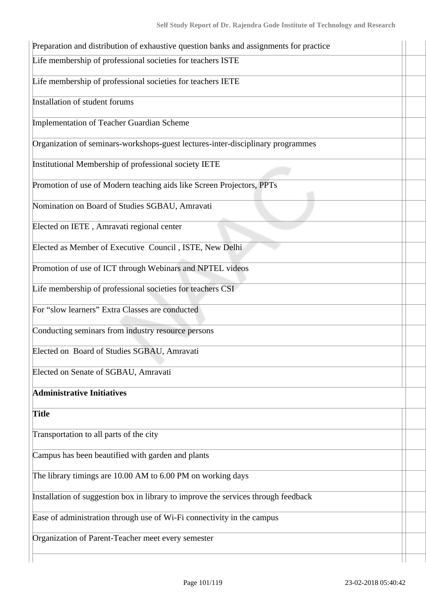| Life membership of professional societies for teachers ISTE                        |  |
|------------------------------------------------------------------------------------|--|
| Life membership of professional societies for teachers IETE                        |  |
| Installation of student forums                                                     |  |
| Implementation of Teacher Guardian Scheme                                          |  |
| Organization of seminars-workshops-guest lectures-inter-disciplinary programmes    |  |
| Institutional Membership of professional society IETE                              |  |
| Promotion of use of Modern teaching aids like Screen Projectors, PPTs              |  |
| Nomination on Board of Studies SGBAU, Amravati                                     |  |
| Elected on IETE, Amravati regional center                                          |  |
| Elected as Member of Executive Council, ISTE, New Delhi                            |  |
| Promotion of use of ICT through Webinars and NPTEL videos                          |  |
| Life membership of professional societies for teachers CSI                         |  |
| For "slow learners" Extra Classes are conducted                                    |  |
| Conducting seminars from industry resource persons                                 |  |
| Elected on Board of Studies SGBAU, Amravati                                        |  |
| Elected on Senate of SGBAU, Amravati                                               |  |
| <b>Administrative Initiatives</b>                                                  |  |
| <b>Title</b>                                                                       |  |
| Transportation to all parts of the city                                            |  |
| Campus has been beautified with garden and plants                                  |  |
| The library timings are 10.00 AM to 6.00 PM on working days                        |  |
| Installation of suggestion box in library to improve the services through feedback |  |
| Ease of administration through use of Wi-Fi connectivity in the campus             |  |
| Organization of Parent-Teacher meet every semester                                 |  |
|                                                                                    |  |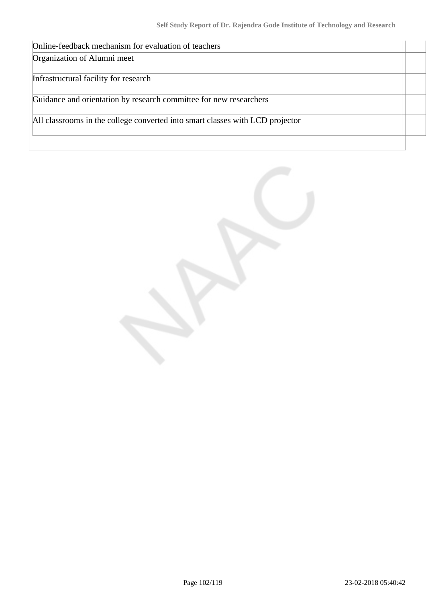| Online-feedback mechanism for evaluation of teachers                          |  |
|-------------------------------------------------------------------------------|--|
| Organization of Alumni meet                                                   |  |
|                                                                               |  |
| Infrastructural facility for research                                         |  |
|                                                                               |  |
| Guidance and orientation by research committee for new researchers            |  |
|                                                                               |  |
| All classrooms in the college converted into smart classes with LCD projector |  |
|                                                                               |  |
|                                                                               |  |

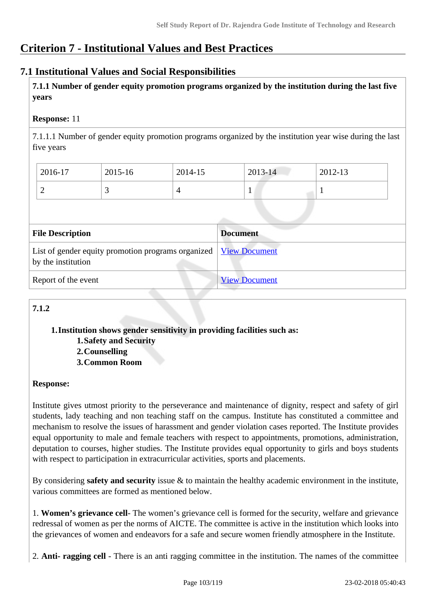# **Criterion 7 - Institutional Values and Best Practices**

# **7.1 Institutional Values and Social Responsibilities**

 **7.1.1 Number of gender equity promotion programs organized by the institution during the last five years** 

# **Response:** 11

7.1.1.1 Number of gender equity promotion programs organized by the institution year wise during the last five years

| 2016-17 | 2015-16 | 2014-15 | $2013 - 14$ | 2012-13 |
|---------|---------|---------|-------------|---------|
| ∽       | ~       |         |             |         |

| <b>File Description</b>                                                                         | <b>Document</b>      |
|-------------------------------------------------------------------------------------------------|----------------------|
| List of gender equity promotion programs organized   <u>View Document</u><br>by the institution |                      |
| Report of the event                                                                             | <b>View Document</b> |

# **7.1.2**

**1.Institution shows gender sensitivity in providing facilities such as: 1.Safety and Security**

**2.Counselling**

**3.Common Room**

## **Response:**

Institute gives utmost priority to the perseverance and maintenance of dignity, respect and safety of girl students, lady teaching and non teaching staff on the campus. Institute has constituted a committee and mechanism to resolve the issues of harassment and gender violation cases reported. The Institute provides equal opportunity to male and female teachers with respect to appointments, promotions, administration, deputation to courses, higher studies. The Institute provides equal opportunity to girls and boys students with respect to participation in extracurricular activities, sports and placements.

By considering **safety and security** issue & to maintain the healthy academic environment in the institute, various committees are formed as mentioned below.

1. **Women's grievance cell**- The women's grievance cell is formed for the security, welfare and grievance redressal of women as per the norms of AICTE. The committee is active in the institution which looks into the grievances of women and endeavors for a safe and secure women friendly atmosphere in the Institute.

2. **Anti- ragging cell** - There is an anti ragging committee in the institution. The names of the committee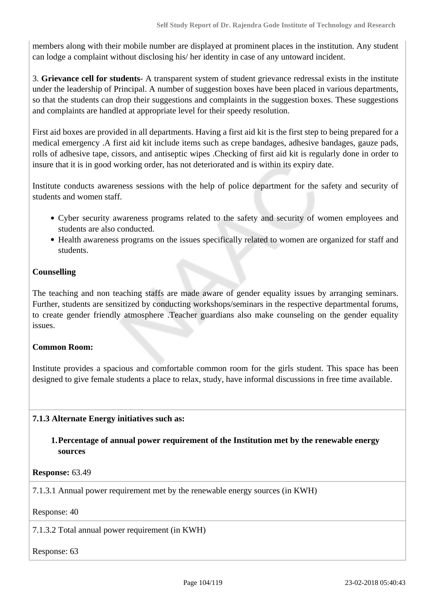members along with their mobile number are displayed at prominent places in the institution. Any student can lodge a complaint without disclosing his/ her identity in case of any untoward incident.

3. **Grievance cell for students**- A transparent system of student grievance redressal exists in the institute under the leadership of Principal. A number of suggestion boxes have been placed in various departments, so that the students can drop their suggestions and complaints in the suggestion boxes. These suggestions and complaints are handled at appropriate level for their speedy resolution.

First aid boxes are provided in all departments. Having a first aid kit is the first step to being prepared for a medical emergency .A first aid kit include items such as crepe bandages, adhesive bandages, gauze pads, rolls of adhesive tape, cissors, and antiseptic wipes .Checking of first aid kit is regularly done in order to insure that it is in good working order, has not deteriorated and is within its expiry date.

Institute conducts awareness sessions with the help of police department for the safety and security of students and women staff.

- Cyber security awareness programs related to the safety and security of women employees and students are also conducted.
- Health awareness programs on the issues specifically related to women are organized for staff and students.

# **Counselling**

The teaching and non teaching staffs are made aware of gender equality issues by arranging seminars. Further, students are sensitized by conducting workshops/seminars in the respective departmental forums, to create gender friendly atmosphere .Teacher guardians also make counseling on the gender equality issues.

## **Common Room:**

Institute provides a spacious and comfortable common room for the girls student. This space has been designed to give female students a place to relax, study, have informal discussions in free time available.

# **7.1.3 Alternate Energy initiatives such as:**

## **1.Percentage of annual power requirement of the Institution met by the renewable energy sources**

**Response:** 63.49

7.1.3.1 Annual power requirement met by the renewable energy sources (in KWH)

Response: 40

7.1.3.2 Total annual power requirement (in KWH)

Response: 63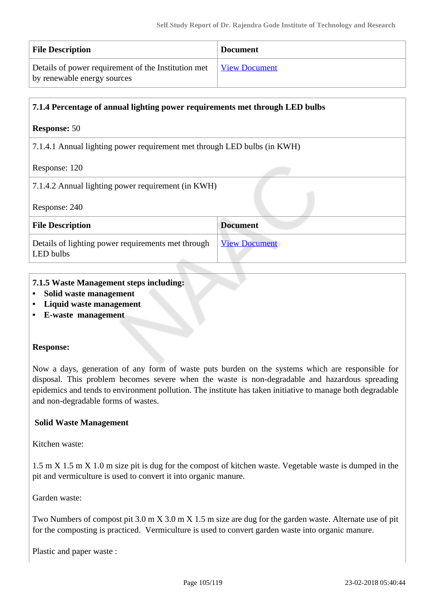| <b>File Description</b>                             | <b>Document</b>      |
|-----------------------------------------------------|----------------------|
| Details of power requirement of the Institution met | <b>View Document</b> |
| by renewable energy sources                         |                      |

## **7.1.4 Percentage of annual lighting power requirements met through LED bulbs**

#### **Response:** 50

7.1.4.1 Annual lighting power requirement met through LED bulbs (in KWH)

Response: 120

7.1.4.2 Annual lighting power requirement (in KWH)

Response: 240

| <b>File Description</b>                                         | <b>Document</b>      |
|-----------------------------------------------------------------|----------------------|
| Details of lighting power requirements met through<br>LED bulbs | <b>View Document</b> |

#### **7.1.5 Waste Management steps including:**

- **Solid waste management**
- **Liquid waste management**
- **E-waste management**

#### **Response:**

Now a days, generation of any form of waste puts burden on the systems which are responsible for disposal. This problem becomes severe when the waste is non-degradable and hazardous spreading epidemics and tends to environment pollution. The institute has taken initiative to manage both degradable and non-degradable forms of wastes.

## **Solid Waste Management**

Kitchen waste:

1.5 m X 1.5 m X 1.0 m size pit is dug for the compost of kitchen waste. Vegetable waste is dumped in the pit and vermiculture is used to convert it into organic manure.

Garden waste:

Two Numbers of compost pit 3.0 m X 3.0 m X 1.5 m size are dug for the garden waste. Alternate use of pit for the composting is practiced. Vermiculture is used to convert garden waste into organic manure.

Plastic and paper waste :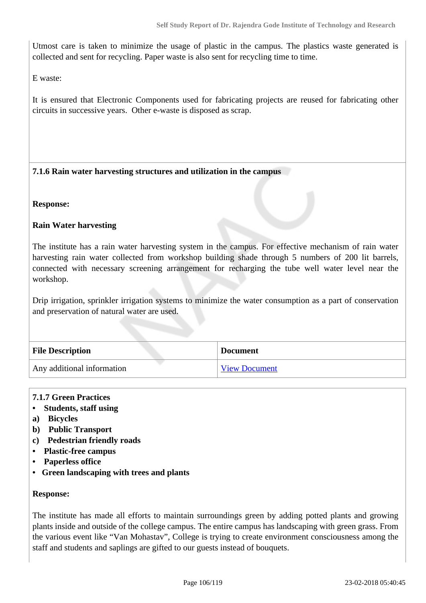Utmost care is taken to minimize the usage of plastic in the campus. The plastics waste generated is collected and sent for recycling. Paper waste is also sent for recycling time to time.

E waste:

It is ensured that Electronic Components used for fabricating projects are reused for fabricating other circuits in successive years. Other e-waste is disposed as scrap.

## **7.1.6 Rain water harvesting structures and utilization in the campus**

**Response:** 

## **Rain Water harvesting**

The institute has a rain water harvesting system in the campus. For effective mechanism of rain water harvesting rain water collected from workshop building shade through 5 numbers of 200 lit barrels, connected with necessary screening arrangement for recharging the tube well water level near the workshop.

Drip irrigation, sprinkler irrigation systems to minimize the water consumption as a part of conservation and preservation of natural water are used.

| <b>File Description</b>    | <b>Document</b>      |
|----------------------------|----------------------|
| Any additional information | <b>View Document</b> |

## **7.1.7 Green Practices**

- **Students, staff using**
- **a) Bicycles**
- **b) Public Transport**
- **c) Pedestrian friendly roads**
- **Plastic-free campus**
- **Paperless office**
- **Green landscaping with trees and plants**

#### **Response:**

The institute has made all efforts to maintain surroundings green by adding potted plants and growing plants inside and outside of the college campus. The entire campus has landscaping with green grass. From the various event like "Van Mohastav", College is trying to create environment consciousness among the staff and students and saplings are gifted to our guests instead of bouquets.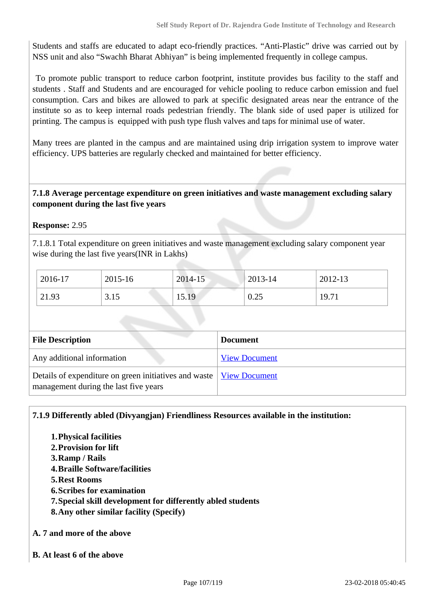Students and staffs are educated to adapt eco-friendly practices. "Anti-Plastic" drive was carried out by NSS unit and also "Swachh Bharat Abhiyan" is being implemented frequently in college campus.

 To promote public transport to reduce carbon footprint, institute provides bus facility to the staff and students . Staff and Students and are encouraged for vehicle pooling to reduce carbon emission and fuel consumption. Cars and bikes are allowed to park at specific designated areas near the entrance of the institute so as to keep internal roads pedestrian friendly. The blank side of used paper is utilized for printing. The campus is equipped with push type flush valves and taps for minimal use of water.

Many trees are planted in the campus and are maintained using drip irrigation system to improve water efficiency. UPS batteries are regularly checked and maintained for better efficiency.

## **7.1.8 Average percentage expenditure on green initiatives and waste management excluding salary component during the last five years**

# **Response:** 2.95

7.1.8.1 Total expenditure on green initiatives and waste management excluding salary component year wise during the last five years(INR in Lakhs)

| 2016-17 | 2015-16 | 2014-15 | $12013 - 14$ | 2012-13 |
|---------|---------|---------|--------------|---------|
| 21.93   | 3.15    | 15.19   | 0.25         | 19.71   |

| <b>File Description</b>                                                                                        | <b>Document</b>      |
|----------------------------------------------------------------------------------------------------------------|----------------------|
| Any additional information                                                                                     | <b>View Document</b> |
| Details of expenditure on green initiatives and waste   View Document<br>management during the last five years |                      |

## **7.1.9 Differently abled (Divyangjan) Friendliness Resources available in the institution:**

- **1.Physical facilities**
- **2.Provision for lift**
- **3.Ramp / Rails**
- **4.Braille Software/facilities**
- **5.Rest Rooms**
- **6.Scribes for examination**
- **7.Special skill development for differently abled students**
- **8.Any other similar facility (Specify)**
- **A. 7 and more of the above**
- **B. At least 6 of the above**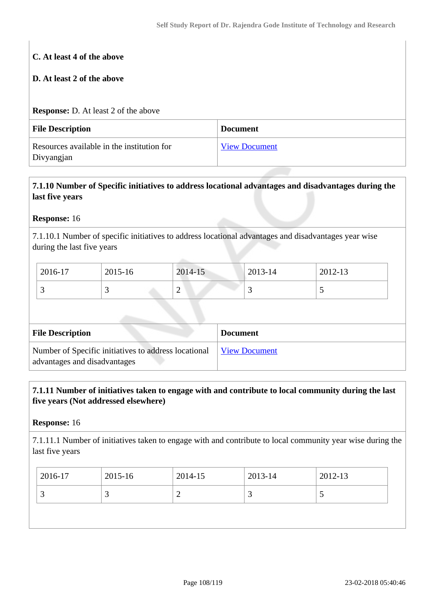# **C. At least 4 of the above**

# **D. At least 2 of the above**

## **Response:** D. At least 2 of the above

| <b>File Description</b>                                  | <b>Document</b>      |
|----------------------------------------------------------|----------------------|
| Resources available in the institution for<br>Divyangjan | <b>View Document</b> |

# **7.1.10 Number of Specific initiatives to address locational advantages and disadvantages during the last five years**

## **Response:** 16

7.1.10.1 Number of specific initiatives to address locational advantages and disadvantages year wise during the last five years

| 2016-17  | 2015-16 | 2014-15 | 2013-14 | 2012-13 |
|----------|---------|---------|---------|---------|
| <u>ب</u> |         | ∼       | ~       |         |

| <b>File Description</b>                                                              | <b>Document</b>      |
|--------------------------------------------------------------------------------------|----------------------|
| Number of Specific initiatives to address locational<br>advantages and disadvantages | <b>View Document</b> |

# **7.1.11 Number of initiatives taken to engage with and contribute to local community during the last five years (Not addressed elsewhere)**

## **Response:** 16

7.1.11.1 Number of initiatives taken to engage with and contribute to local community year wise during the last five years

|                              | 2016-17 | 2015-16 | 2014-15 | 2013-14 | $12012 - 13$ |
|------------------------------|---------|---------|---------|---------|--------------|
| ∽<br>ັ<br><u>ب</u><br>~<br>ັ |         |         |         |         |              |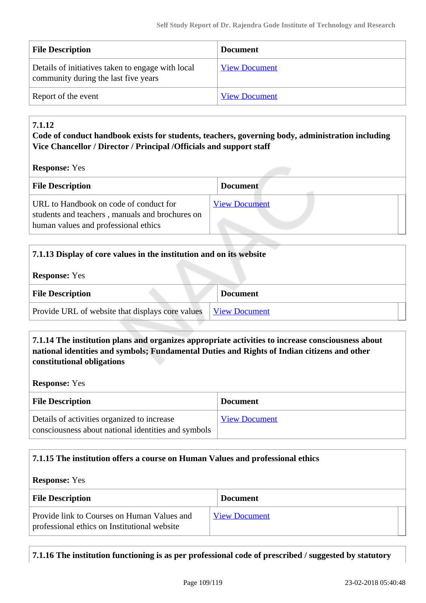| <b>File Description</b>                                                                   | <b>Document</b>      |
|-------------------------------------------------------------------------------------------|----------------------|
| Details of initiatives taken to engage with local<br>community during the last five years | <b>View Document</b> |
| Report of the event                                                                       | <b>View Document</b> |

## **7.1.12**

## **Code of conduct handbook exists for students, teachers, governing body, administration including Vice Chancellor / Director / Principal /Officials and support staff**

**Response:** Yes

| <b>File Description</b>                                                                                                           | <b>Document</b>      |
|-----------------------------------------------------------------------------------------------------------------------------------|----------------------|
| URL to Handbook on code of conduct for<br>students and teachers, manuals and brochures on<br>human values and professional ethics | <b>View Document</b> |

| 7.1.13 Display of core values in the institution and on its website |                      |  |
|---------------------------------------------------------------------|----------------------|--|
| <b>Response:</b> Yes                                                |                      |  |
| <b>File Description</b>                                             | <b>Document</b>      |  |
| Provide URL of website that displays core values                    | <b>View Document</b> |  |

## **7.1.14 The institution plans and organizes appropriate activities to increase consciousness about national identities and symbols; Fundamental Duties and Rights of Indian citizens and other constitutional obligations**

**Response:** Yes

| <b>File Description</b>                                                                            | <b>Document</b>      |
|----------------------------------------------------------------------------------------------------|----------------------|
| Details of activities organized to increase<br>consciousness about national identities and symbols | <b>View Document</b> |

## **7.1.15 The institution offers a course on Human Values and professional ethics**

#### **Response:** Yes

| <b>File Description</b>                                                                     | <b>Document</b>      |  |
|---------------------------------------------------------------------------------------------|----------------------|--|
| Provide link to Courses on Human Values and<br>professional ethics on Institutional website | <b>View Document</b> |  |

**7.1.16 The institution functioning is as per professional code of prescribed / suggested by statutory**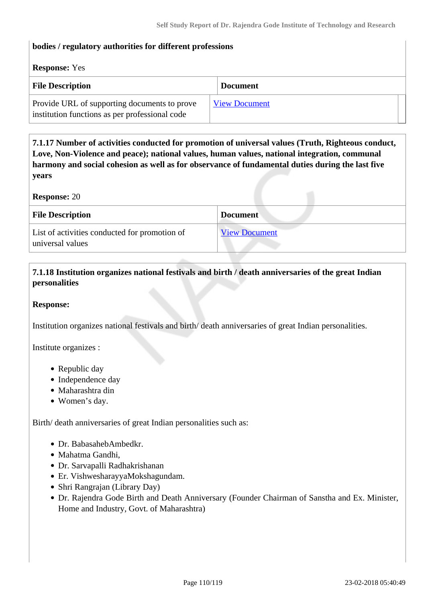#### **bodies / regulatory authorities for different professions**

#### **Response:** Yes

| <b>File Description</b>                                                                        | <b>Document</b>      |
|------------------------------------------------------------------------------------------------|----------------------|
| Provide URL of supporting documents to prove<br>institution functions as per professional code | <b>View Document</b> |

 **7.1.17 Number of activities conducted for promotion of universal values (Truth, Righteous conduct, Love, Non-Violence and peace); national values, human values, national integration, communal harmony and social cohesion as well as for observance of fundamental duties during the last five years**

**Response:** 20

| <b>File Description</b>                                           | <b>Document</b>      |
|-------------------------------------------------------------------|----------------------|
| List of activities conducted for promotion of<br>universal values | <b>View Document</b> |

## **7.1.18 Institution organizes national festivals and birth / death anniversaries of the great Indian personalities**

#### **Response:**

Institution organizes national festivals and birth/ death anniversaries of great Indian personalities.

Institute organizes :

- Republic day
- Independence day
- Maharashtra din
- Women's day.

Birth/ death anniversaries of great Indian personalities such as:

- Dr. BabasahebAmbedkr.
- Mahatma Gandhi,
- Dr. Sarvapalli Radhakrishanan
- Er. VishwesharayyaMokshagundam.
- Shri Rangrajan (Library Day)
- Dr. Rajendra Gode Birth and Death Anniversary (Founder Chairman of Sanstha and Ex. Minister, Home and Industry, Govt. of Maharashtra)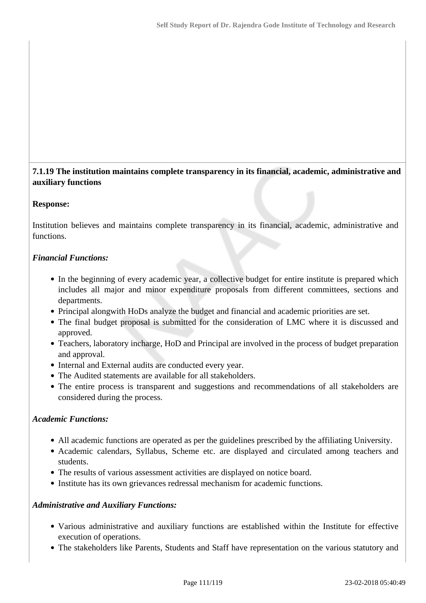## **7.1.19 The institution maintains complete transparency in its financial, academic, administrative and auxiliary functions**

## **Response:**

Institution believes and maintains complete transparency in its financial, academic, administrative and functions.

## *Financial Functions:*

- In the beginning of every academic year, a collective budget for entire institute is prepared which includes all major and minor expenditure proposals from different committees, sections and departments.
- Principal alongwith HoDs analyze the budget and financial and academic priorities are set.
- The final budget proposal is submitted for the consideration of LMC where it is discussed and approved.
- Teachers, laboratory incharge, HoD and Principal are involved in the process of budget preparation and approval.
- Internal and External audits are conducted every year.
- The Audited statements are available for all stakeholders.
- The entire process is transparent and suggestions and recommendations of all stakeholders are considered during the process.

## *Academic Functions:*

- All academic functions are operated as per the guidelines prescribed by the affiliating University.
- Academic calendars, Syllabus, Scheme etc. are displayed and circulated among teachers and students.
- The results of various assessment activities are displayed on notice board.
- Institute has its own grievances redressal mechanism for academic functions.

## *Administrative and Auxiliary Functions:*

- Various administrative and auxiliary functions are established within the Institute for effective execution of operations.
- The stakeholders like Parents, Students and Staff have representation on the various statutory and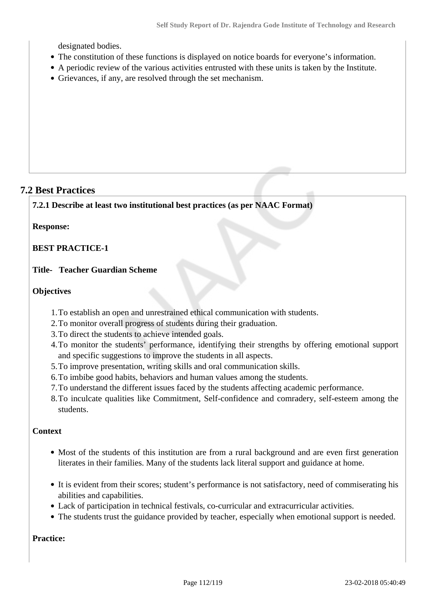designated bodies.

- The constitution of these functions is displayed on notice boards for everyone's information.
- A periodic review of the various activities entrusted with these units is taken by the Institute.
- Grievances, if any, are resolved through the set mechanism.

## **7.2 Best Practices**

**7.2.1 Describe at least two institutional best practices (as per NAAC Format)**

#### **Response:**

**BEST PRACTICE-1**

#### **Title- Teacher Guardian Scheme**

#### **Objectives**

- 1.To establish an open and unrestrained ethical communication with students.
- 2.To monitor overall progress of students during their graduation.
- 3.To direct the students to achieve intended goals.
- 4.To monitor the students' performance, identifying their strengths by offering emotional support and specific suggestions to improve the students in all aspects.
- 5.To improve presentation, writing skills and oral communication skills.
- 6.To imbibe good habits, behaviors and human values among the students.
- 7.To understand the different issues faced by the students affecting academic performance.
- 8.To inculcate qualities like Commitment, Self-confidence and comradery, self-esteem among the students.

## **Context**

- Most of the students of this institution are from a rural background and are even first generation literates in their families. Many of the students lack literal support and guidance at home.
- It is evident from their scores; student's performance is not satisfactory, need of commiserating his abilities and capabilities.
- Lack of participation in technical festivals, co-curricular and extracurricular activities.
- The students trust the guidance provided by teacher, especially when emotional support is needed.

**Practice:**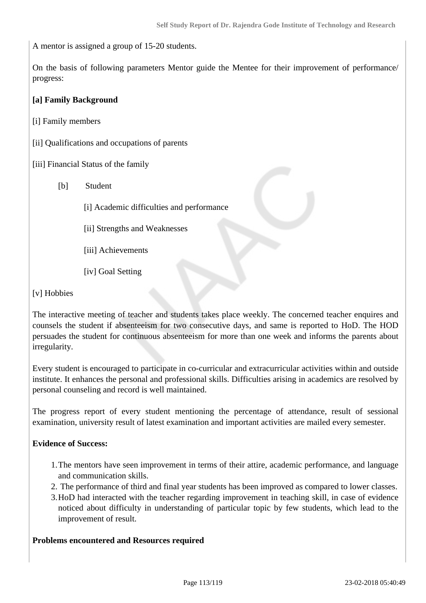A mentor is assigned a group of 15-20 students.

On the basis of following parameters Mentor guide the Mentee for their improvement of performance/ progress:

## **[a] Family Background**

- [i] Family members
- [ii] Qualifications and occupations of parents
- [iii] Financial Status of the family
	- [b] Student
		- [i] Academic difficulties and performance
		- [ii] Strengths and Weaknesses
		- [iii] Achievements
		- [iv] Goal Setting

#### [v] Hobbies

The interactive meeting of teacher and students takes place weekly. The concerned teacher enquires and counsels the student if absenteeism for two consecutive days, and same is reported to HoD. The HOD persuades the student for continuous absenteeism for more than one week and informs the parents about irregularity.

Every student is encouraged to participate in co-curricular and extracurricular activities within and outside institute. It enhances the personal and professional skills. Difficulties arising in academics are resolved by personal counseling and record is well maintained.

The progress report of every student mentioning the percentage of attendance, result of sessional examination, university result of latest examination and important activities are mailed every semester.

#### **Evidence of Success:**

- 1.The mentors have seen improvement in terms of their attire, academic performance, and language and communication skills.
- 2. The performance of third and final year students has been improved as compared to lower classes.
- 3.HoD had interacted with the teacher regarding improvement in teaching skill, in case of evidence noticed about difficulty in understanding of particular topic by few students, which lead to the improvement of result.

#### **Problems encountered and Resources required**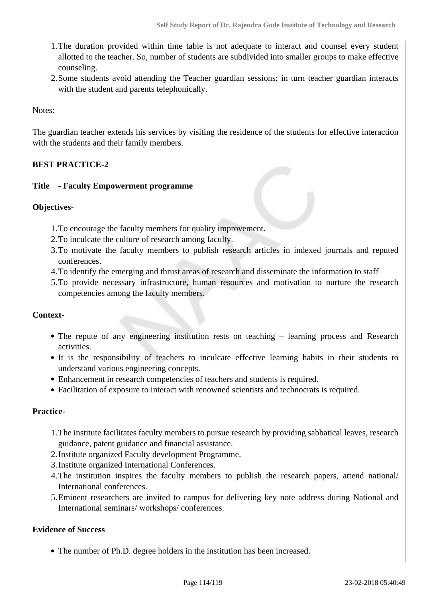- 1.The duration provided within time table is not adequate to interact and counsel every student allotted to the teacher. So, number of students are subdivided into smaller groups to make effective counseling.
- 2.Some students avoid attending the Teacher guardian sessions; in turn teacher guardian interacts with the student and parents telephonically.

Notes:

The guardian teacher extends his services by visiting the residence of the students for effective interaction with the students and their family members.

## **BEST PRACTICE-2**

## **Title - Faculty Empowerment programme**

#### **Objectives-**

- 1.To encourage the faculty members for quality improvement.
- 2.To inculcate the culture of research among faculty.
- 3.To motivate the faculty members to publish research articles in indexed journals and reputed conferences.
- 4.To identify the emerging and thrust areas of research and disseminate the information to staff
- 5.To provide necessary infrastructure, human resources and motivation to nurture the research competencies among the faculty members.

#### **Context-**

- The repute of any engineering institution rests on teaching learning process and Research activities.
- It is the responsibility of teachers to inculcate effective learning habits in their students to understand various engineering concepts.
- Enhancement in research competencies of teachers and students is required.
- Facilitation of exposure to interact with renowned scientists and technocrats is required.

#### **Practice-**

- 1.The institute facilitates faculty members to pursue research by providing sabbatical leaves, research guidance, patent guidance and financial assistance.
- 2.Institute organized Faculty development Programme.
- 3.Institute organized International Conferences.
- 4.The institution inspires the faculty members to publish the research papers, attend national/ International conferences.
- 5.Eminent researchers are invited to campus for delivering key note address during National and International seminars/ workshops/ conferences.

## **Evidence of Success**

The number of Ph.D. degree holders in the institution has been increased.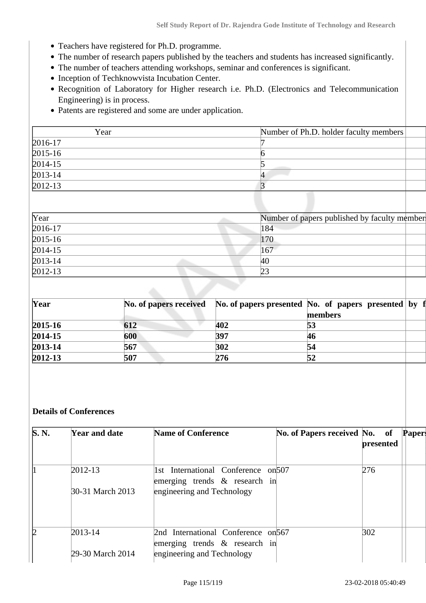- Teachers have registered for Ph.D. programme.
- The number of research papers published by the teachers and students has increased significantly.
- The number of teachers attending workshops, seminar and conferences is significant.
- Inception of Techknowvista Incubation Center.
- Recognition of Laboratory for Higher research i.e. Ph.D. (Electronics and Telecommunication Engineering) is in process.
- Patents are registered and some are under application.

| Year             | Number of Ph.D. holder faculty members |
|------------------|----------------------------------------|
| $2016-17$        |                                        |
| $2015 - 16$      |                                        |
| $\sqrt{2014-15}$ |                                        |
| $2013 - 14$      |                                        |
| $2012 - 13$      |                                        |
|                  |                                        |

| $\gamma$ rear | Number of papers published by faculty member |
|---------------|----------------------------------------------|
| $2016 - 17$   | 184                                          |
| $2015 - 16$   | 170                                          |
| $2014 - 15$   | 167                                          |
| $2013 - 14$   | 40                                           |
| $2012 - 13$   | 23                                           |

| Year        |     |     | No. of papers received No. of papers presented No. of papers presented by f |  |
|-------------|-----|-----|-----------------------------------------------------------------------------|--|
|             |     |     | members                                                                     |  |
| $2015 - 16$ | 612 | 402 | 53                                                                          |  |
| $2014 - 15$ | 600 | 397 | 46                                                                          |  |
| 2013-14     | 567 | 302 | 54                                                                          |  |
| $2012 - 13$ | 507 | 276 | 52                                                                          |  |

## **Details of Conferences**

| S. N. | Year and date                   | <b>Name of Conference</b>                                                                             | No. of Papers received No. of | presented | <b>Papers</b> |
|-------|---------------------------------|-------------------------------------------------------------------------------------------------------|-------------------------------|-----------|---------------|
|       | $2012 - 13$<br>30-31 March 2013 | 1st International Conference on 507<br>emerging trends $\&$ research in<br>engineering and Technology |                               | 276       |               |
| 12    | 2013-14<br>29-30 March 2014     | 2nd International Conference on 567<br>emerging trends & research in<br>engineering and Technology    |                               | 302       |               |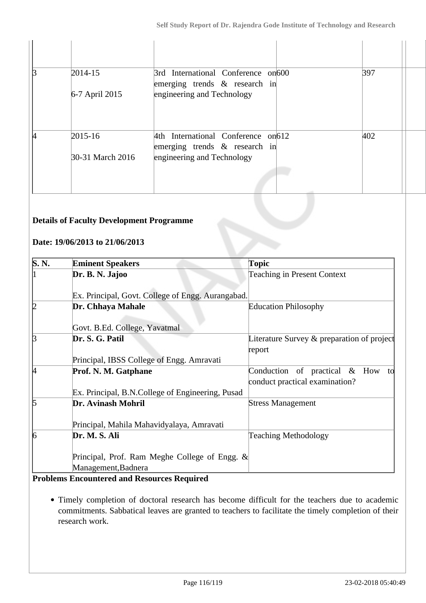| R | $2014 - 15$      | 3rd International Conference on 600<br>emerging trends $\&$ research in | 397 |
|---|------------------|-------------------------------------------------------------------------|-----|
|   | 6-7 April 2015   | engineering and Technology                                              |     |
|   | $2015 - 16$      | 4th International Conference on 612<br>emerging trends $\&$ research in | 402 |
|   | 30-31 March 2016 | engineering and Technology                                              |     |
|   |                  |                                                                         |     |

## **Details of Faculty Development Programme**

## **Date: 19/06/2013 to 21/06/2013**

| <b>Eminent Speakers</b>                           | <b>Topic</b>                                  |  |  |
|---------------------------------------------------|-----------------------------------------------|--|--|
| Dr. B. N. Jajoo                                   | <b>Teaching in Present Context</b>            |  |  |
| Ex. Principal, Govt. College of Engg. Aurangabad. |                                               |  |  |
| Dr. Chhaya Mahale                                 | <b>Education Philosophy</b>                   |  |  |
| Govt. B.Ed. College, Yavatmal                     |                                               |  |  |
| Dr. S. G. Patil                                   | Literature Survey $\&$ preparation of project |  |  |
|                                                   | report                                        |  |  |
| Principal, IBSS College of Engg. Amravati         |                                               |  |  |
| Prof. N. M. Gatphane                              | Conduction of practical & How<br>to           |  |  |
|                                                   | conduct practical examination?                |  |  |
| Ex. Principal, B.N.College of Engineering, Pusad  |                                               |  |  |
| Dr. Avinash Mohril                                | <b>Stress Management</b>                      |  |  |
| Principal, Mahila Mahavidyalaya, Amravati         |                                               |  |  |
| Dr. M. S. Ali                                     | <b>Teaching Methodology</b>                   |  |  |
| Principal, Prof. Ram Meghe College of Engg. $\&$  |                                               |  |  |
| Management, Badnera                               |                                               |  |  |
|                                                   |                                               |  |  |

#### **Problems Encountered and Resources Required**

Timely completion of doctoral research has become difficult for the teachers due to academic commitments. Sabbatical leaves are granted to teachers to facilitate the timely completion of their research work.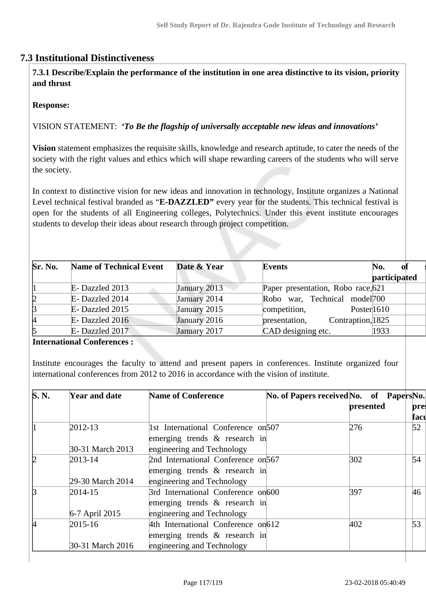## **7.3 Institutional Distinctiveness**

 **7.3.1 Describe/Explain the performance of the institution in one area distinctive to its vision, priority and thrust**

#### **Response:**

VISION STATEMENT: *'To Be the flagship of universally acceptable new ideas and innovations'*

**Vision** statement emphasizes the requisite skills, knowledge and research aptitude, to cater the needs of the society with the right values and ethics which will shape rewarding careers of the students who will serve the society.

In context to distinctive vision for new ideas and innovation in technology, Institute organizes a National Level technical festival branded as "**E-DAZZLED**" every year for the students. This technical festival is open for the students of all Engineering colleges, Polytechnics. Under this event institute encourages students to develop their ideas about research through project competition.

| Sr. No. | <b>Name of Technical Event</b> | Date & Year  | <b>Events</b>                      | of<br>No.    |
|---------|--------------------------------|--------------|------------------------------------|--------------|
|         |                                |              |                                    | participated |
|         | E-Dazzled 2013                 | January 2013 | Paper presentation, Robo race, 621 |              |
| 12      | E-Dazzled 2014                 | January 2014 | Robo war, Technical model 700      |              |
| B       | E-Dazzled 2015                 | January 2015 | competition,<br>Poster $1610$      |              |
| 14      | E-Dazzled 2016                 | January 2016 | Contraption, 1825<br>presentation, |              |
| 15      | E-Dazzled 2017                 | January 2017 | CAD designing etc.                 | 1933         |

**International Conferences :**

Institute encourages the faculty to attend and present papers in conferences. Institute organized four international conferences from 2012 to 2016 in accordance with the vision of institute.

| S.N. | <b>Year and date</b>            | <b>Name of Conference</b>                                                                             | No. of Papers received No. of Papers No. | presented | pre:<br>facu |
|------|---------------------------------|-------------------------------------------------------------------------------------------------------|------------------------------------------|-----------|--------------|
|      | $2012 - 13$                     | 1st International Conference on 507<br>emerging trends $\&$ research in                               |                                          | 276       | 52           |
|      | 30-31 March 2013                | engineering and Technology                                                                            |                                          |           |              |
| 12   | $2013 - 14$<br>29-30 March 2014 | 2nd International Conference on 567<br>emerging trends $\&$ research in<br>engineering and Technology |                                          | 302       | 54           |
| k    | 2014-15<br>6-7 April 2015       | 3rd International Conference on600<br>emerging trends $\&$ research in<br>engineering and Technology  |                                          | 397       | 46           |
| k    | 2015-16<br>30-31 March 2016     | 4th International Conference on 612<br>emerging trends $\&$ research in<br>engineering and Technology |                                          | 402       | 53           |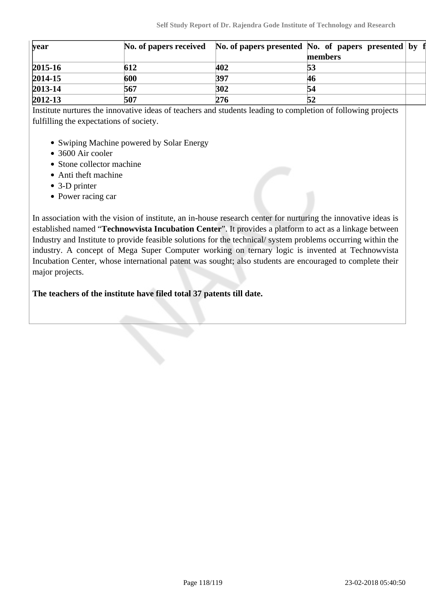|     |     | members |                                                                             |
|-----|-----|---------|-----------------------------------------------------------------------------|
| 612 | 402 | 53      |                                                                             |
| 600 | 397 | 46      |                                                                             |
| 567 | 302 | 54      |                                                                             |
| 507 | 276 | 52      |                                                                             |
|     |     |         | No. of papers received No. of papers presented No. of papers presented by f |

Institute nurtures the innovative ideas of teachers and students leading to completion of following projects fulfilling the expectations of society.

- Swiping Machine powered by Solar Energy
- 3600 Air cooler
- Stone collector machine
- Anti theft machine
- 3-D printer
- Power racing car

In association with the vision of institute, an in-house research center for nurturing the innovative ideas is established named "**Technowvista Incubation Center**". It provides a platform to act as a linkage between Industry and Institute to provide feasible solutions for the technical/ system problems occurring within the industry. A concept of Mega Super Computer working on ternary logic is invented at Technowvista Incubation Center, whose international patent was sought; also students are encouraged to complete their major projects.

**The teachers of the institute have filed total 37 patents till date.**